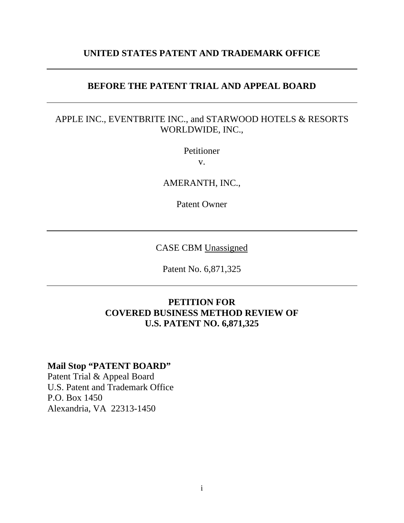# **UNITED STATES PATENT AND TRADEMARK OFFICE**

## **BEFORE THE PATENT TRIAL AND APPEAL BOARD**

# APPLE INC., EVENTBRITE INC., and STARWOOD HOTELS & RESORTS WORLDWIDE, INC.,

Petitioner

v.

AMERANTH, INC.,

Patent Owner

CASE CBM Unassigned

Patent No. 6,871,325

# **PETITION FOR COVERED BUSINESS METHOD REVIEW OF U.S. PATENT NO. 6,871,325**

# **Mail Stop "PATENT BOARD"**

Patent Trial & Appeal Board U.S. Patent and Trademark Office P.O. Box 1450 Alexandria, VA 22313-1450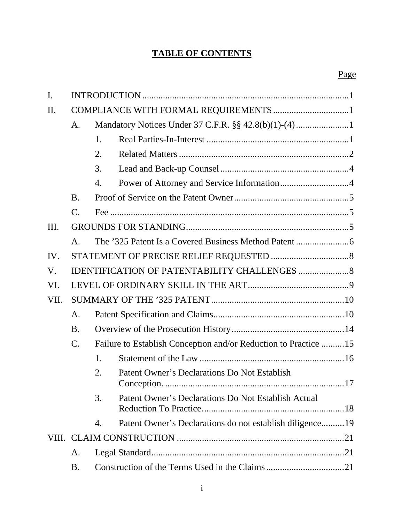# **TABLE OF CONTENTS**

| $\mathbf{I}$ . |                 |    |                                                                 |  |
|----------------|-----------------|----|-----------------------------------------------------------------|--|
| П.             |                 |    |                                                                 |  |
|                | A.              |    |                                                                 |  |
|                |                 | 1. |                                                                 |  |
|                |                 | 2. |                                                                 |  |
|                |                 | 3. |                                                                 |  |
|                |                 | 4. |                                                                 |  |
|                | <b>B.</b>       |    |                                                                 |  |
|                | $\mathcal{C}$ . |    |                                                                 |  |
| Ш.             |                 |    |                                                                 |  |
|                | A.              |    |                                                                 |  |
| IV.            |                 |    |                                                                 |  |
| V.             |                 |    |                                                                 |  |
| VI.            |                 |    |                                                                 |  |
| VII.           |                 |    |                                                                 |  |
|                | A.              |    |                                                                 |  |
|                | <b>B.</b>       |    |                                                                 |  |
|                | $\mathcal{C}$ . |    | Failure to Establish Conception and/or Reduction to Practice 15 |  |
|                |                 | 1. |                                                                 |  |
|                |                 | 2. | Patent Owner's Declarations Do Not Establish<br>17              |  |
|                |                 | 3. | Patent Owner's Declarations Do Not Establish Actual             |  |
|                |                 | 4. | Patent Owner's Declarations do not establish diligence19        |  |
|                |                 |    |                                                                 |  |
|                | A.              |    |                                                                 |  |
|                | <b>B.</b>       |    |                                                                 |  |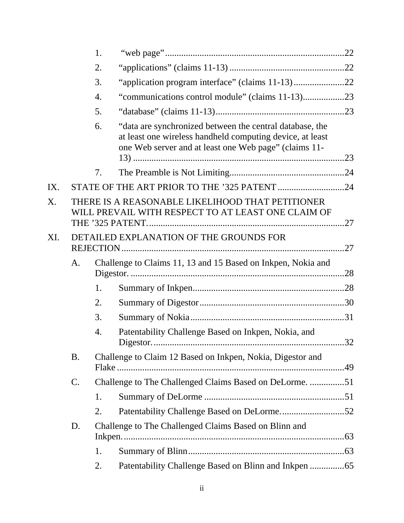|     |           | 1. |                                                                                                                                                                                |     |
|-----|-----------|----|--------------------------------------------------------------------------------------------------------------------------------------------------------------------------------|-----|
|     |           | 2. |                                                                                                                                                                                |     |
|     |           | 3. | "application program interface" (claims 11-13)22                                                                                                                               |     |
|     |           | 4. | "communications control module" (claims 11-13)23                                                                                                                               |     |
|     |           | 5. |                                                                                                                                                                                |     |
|     |           | 6. | "data are synchronized between the central database, the<br>at least one wireless handheld computing device, at least<br>one Web server and at least one Web page" (claims 11- |     |
|     |           | 7. |                                                                                                                                                                                |     |
| IX. |           |    |                                                                                                                                                                                |     |
| X.  |           |    | THERE IS A REASONABLE LIKELIHOOD THAT PETITIONER<br>WILL PREVAIL WITH RESPECT TO AT LEAST ONE CLAIM OF                                                                         |     |
| XI. |           |    | DETAILED EXPLANATION OF THE GROUNDS FOR                                                                                                                                        | .27 |
|     | A.        |    | Challenge to Claims 11, 13 and 15 Based on Inkpen, Nokia and                                                                                                                   |     |
|     |           | 1. |                                                                                                                                                                                |     |
|     |           | 2. |                                                                                                                                                                                |     |
|     |           | 3. |                                                                                                                                                                                |     |
|     |           | 4. | Patentability Challenge Based on Inkpen, Nokia, and                                                                                                                            |     |
|     | <b>B.</b> |    | Challenge to Claim 12 Based on Inkpen, Nokia, Digestor and                                                                                                                     |     |
|     | C.        |    | Challenge to The Challenged Claims Based on DeLorme. 51                                                                                                                        |     |
|     |           | 1. |                                                                                                                                                                                |     |
|     |           | 2. |                                                                                                                                                                                |     |
|     | D.        |    | Challenge to The Challenged Claims Based on Blinn and                                                                                                                          |     |
|     |           | 1. |                                                                                                                                                                                |     |
|     |           | 2. |                                                                                                                                                                                |     |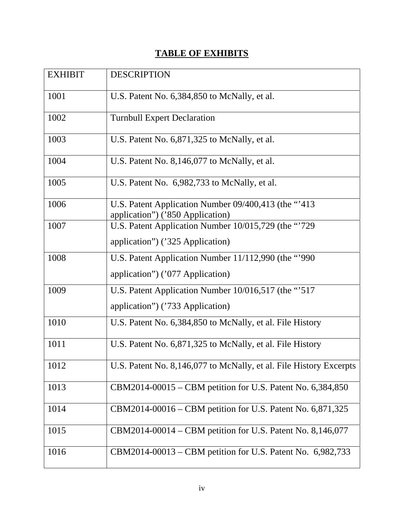# **TABLE OF EXHIBITS**

| <b>EXHIBIT</b> | <b>DESCRIPTION</b>                                                                        |
|----------------|-------------------------------------------------------------------------------------------|
| 1001           | U.S. Patent No. 6,384,850 to McNally, et al.                                              |
| 1002           | <b>Turnbull Expert Declaration</b>                                                        |
| 1003           | U.S. Patent No. 6,871,325 to McNally, et al.                                              |
| 1004           | U.S. Patent No. 8,146,077 to McNally, et al.                                              |
| 1005           | U.S. Patent No. 6,982,733 to McNally, et al.                                              |
| 1006           | U.S. Patent Application Number 09/400,413 (the "413"<br>application") ('850 Application)  |
| 1007           | U.S. Patent Application Number 10/015,729 (the "729"<br>application") ('325 Application)  |
| 1008           | U.S. Patent Application Number 11/112,990 (the "'990"<br>application") ('077 Application) |
| 1009           | U.S. Patent Application Number 10/016,517 (the "517<br>application") ('733 Application)   |
| 1010           | U.S. Patent No. 6,384,850 to McNally, et al. File History                                 |
| 1011           | U.S. Patent No. 6,871,325 to McNally, et al. File History                                 |
| 1012           | U.S. Patent No. 8,146,077 to McNally, et al. File History Excerpts                        |
| 1013           | CBM2014-00015 – CBM petition for U.S. Patent No. 6,384,850                                |
| 1014           | CBM2014-00016 – CBM petition for U.S. Patent No. 6,871,325                                |
| 1015           | CBM2014-00014 – CBM petition for U.S. Patent No. 8,146,077                                |
| 1016           | CBM2014-00013 - CBM petition for U.S. Patent No. 6,982,733                                |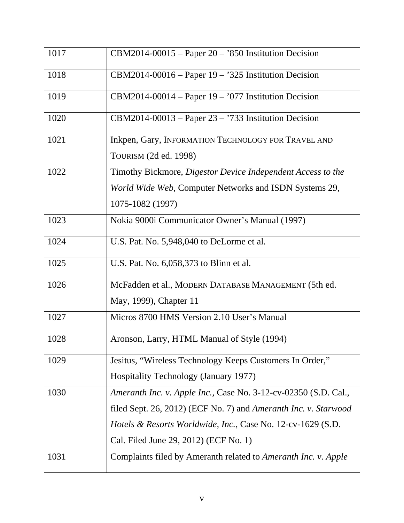| 1017 | $CBM2014-00015$ – Paper 20 – '850 Institution Decision                   |
|------|--------------------------------------------------------------------------|
| 1018 | $CBM2014-00016$ – Paper 19 – '325 Institution Decision                   |
| 1019 | $CBM2014-00014$ – Paper 19 – '077 Institution Decision                   |
| 1020 | $CBM2014-00013$ – Paper 23 – '733 Institution Decision                   |
| 1021 | Inkpen, Gary, INFORMATION TECHNOLOGY FOR TRAVEL AND                      |
|      | TOURISM (2d ed. 1998)                                                    |
| 1022 | Timothy Bickmore, Digestor Device Independent Access to the              |
|      | World Wide Web, Computer Networks and ISDN Systems 29,                   |
|      | 1075-1082 (1997)                                                         |
| 1023 | Nokia 9000i Communicator Owner's Manual (1997)                           |
| 1024 | U.S. Pat. No. 5,948,040 to DeLorme et al.                                |
| 1025 | U.S. Pat. No. 6,058,373 to Blinn et al.                                  |
| 1026 | McFadden et al., MODERN DATABASE MANAGEMENT (5th ed.                     |
|      | May, 1999), Chapter 11                                                   |
| 1027 | Micros 8700 HMS Version 2.10 User's Manual                               |
| 1028 | Aronson, Larry, HTML Manual of Style (1994)                              |
| 1029 | Jesitus, "Wireless Technology Keeps Customers In Order,"                 |
|      | Hospitality Technology (January 1977)                                    |
| 1030 | Ameranth Inc. v. Apple Inc., Case No. 3-12-cv-02350 (S.D. Cal.,          |
|      | filed Sept. 26, 2012) (ECF No. 7) and Ameranth Inc. v. Starwood          |
|      | <i>Hotels &amp; Resorts Worldwide, Inc., Case No. 12-cv-1629 (S.D.</i> ) |
|      | Cal. Filed June 29, 2012) (ECF No. 1)                                    |
| 1031 | Complaints filed by Ameranth related to Ameranth Inc. v. Apple           |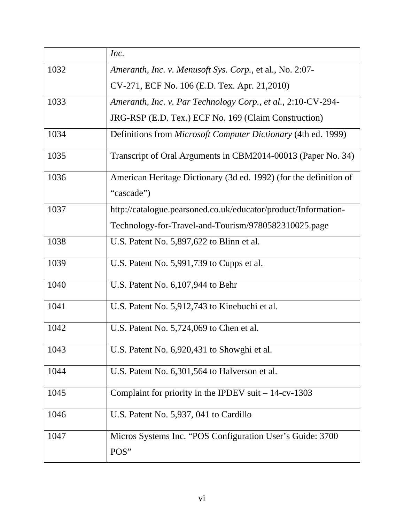|      | Inc.                                                                 |
|------|----------------------------------------------------------------------|
| 1032 | Ameranth, Inc. v. Menusoft Sys. Corp., et al., No. 2:07-             |
|      | CV-271, ECF No. 106 (E.D. Tex. Apr. 21,2010)                         |
| 1033 | Ameranth, Inc. v. Par Technology Corp., et al., 2:10-CV-294-         |
|      | JRG-RSP (E.D. Tex.) ECF No. 169 (Claim Construction)                 |
| 1034 | Definitions from <i>Microsoft Computer Dictionary</i> (4th ed. 1999) |
| 1035 | Transcript of Oral Arguments in CBM2014-00013 (Paper No. 34)         |
| 1036 | American Heritage Dictionary (3d ed. 1992) (for the definition of    |
|      | "cascade")                                                           |
| 1037 | http://catalogue.pearsoned.co.uk/educator/product/Information-       |
|      | Technology-for-Travel-and-Tourism/9780582310025.page                 |
| 1038 | U.S. Patent No. 5,897,622 to Blinn et al.                            |
| 1039 | U.S. Patent No. 5,991,739 to Cupps et al.                            |
| 1040 | U.S. Patent No. 6, 107, 944 to Behr                                  |
| 1041 | U.S. Patent No. 5,912,743 to Kinebuchi et al.                        |
| 1042 | U.S. Patent No. 5,724,069 to Chen et al.                             |
| 1043 | U.S. Patent No. 6,920,431 to Showghi et al.                          |
| 1044 | U.S. Patent No. 6,301,564 to Halverson et al.                        |
| 1045 | Complaint for priority in the IPDEV suit $-14$ -cv-1303              |
| 1046 | U.S. Patent No. 5,937, 041 to Cardillo                               |
| 1047 | Micros Systems Inc. "POS Configuration User's Guide: 3700            |
|      | POS"                                                                 |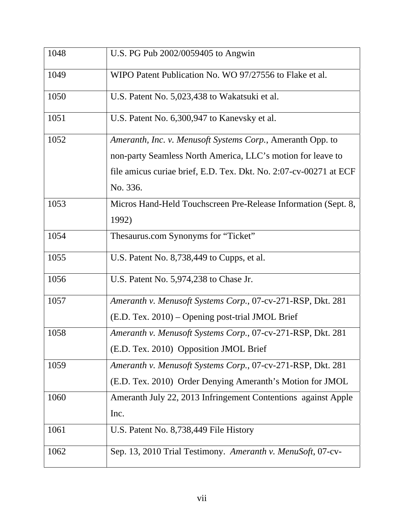| 1048 | U.S. PG Pub 2002/0059405 to Angwin                                |
|------|-------------------------------------------------------------------|
| 1049 | WIPO Patent Publication No. WO 97/27556 to Flake et al.           |
| 1050 | U.S. Patent No. 5,023,438 to Wakatsuki et al.                     |
| 1051 | U.S. Patent No. 6,300,947 to Kanevsky et al.                      |
| 1052 | Ameranth, Inc. v. Menusoft Systems Corp., Ameranth Opp. to        |
|      | non-party Seamless North America, LLC's motion for leave to       |
|      | file amicus curiae brief, E.D. Tex. Dkt. No. 2:07-cv-00271 at ECF |
|      | No. 336.                                                          |
| 1053 | Micros Hand-Held Touchscreen Pre-Release Information (Sept. 8,    |
|      | 1992)                                                             |
| 1054 | Thesaurus.com Synonyms for "Ticket"                               |
| 1055 | U.S. Patent No. 8,738,449 to Cupps, et al.                        |
| 1056 | U.S. Patent No. 5,974,238 to Chase Jr.                            |
| 1057 | Ameranth v. Menusoft Systems Corp., 07-cv-271-RSP, Dkt. 281       |
|      | (E.D. Tex. 2010) – Opening post-trial JMOL Brief                  |
| 1058 | Ameranth v. Menusoft Systems Corp., 07-cv-271-RSP, Dkt. 281       |
|      | (E.D. Tex. 2010) Opposition JMOL Brief                            |
| 1059 | Ameranth v. Menusoft Systems Corp., 07-cv-271-RSP, Dkt. 281       |
|      | (E.D. Tex. 2010) Order Denying Ameranth's Motion for JMOL         |
| 1060 | Ameranth July 22, 2013 Infringement Contentions against Apple     |
|      | Inc.                                                              |
| 1061 | U.S. Patent No. 8,738,449 File History                            |
| 1062 | Sep. 13, 2010 Trial Testimony. Ameranth v. MenuSoft, 07-cv-       |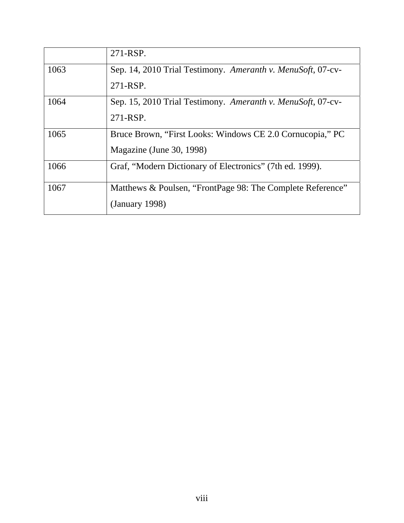|      | 271-RSP.                                                    |
|------|-------------------------------------------------------------|
| 1063 | Sep. 14, 2010 Trial Testimony. Ameranth v. MenuSoft, 07-cv- |
|      | 271-RSP.                                                    |
| 1064 | Sep. 15, 2010 Trial Testimony. Ameranth v. MenuSoft, 07-cv- |
|      | 271-RSP.                                                    |
| 1065 | Bruce Brown, "First Looks: Windows CE 2.0 Cornucopia," PC   |
|      | Magazine (June 30, 1998)                                    |
| 1066 | Graf, "Modern Dictionary of Electronics" (7th ed. 1999).    |
| 1067 | Matthews & Poulsen, "FrontPage 98: The Complete Reference"  |
|      | (January 1998)                                              |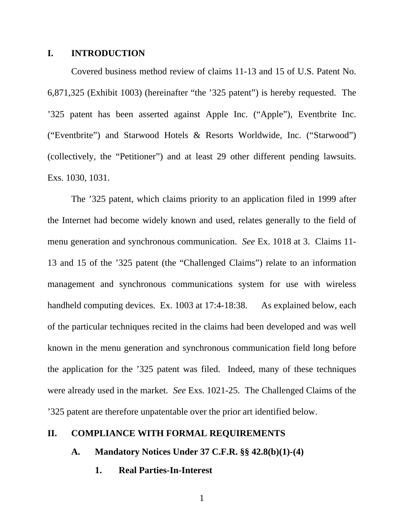## **I. INTRODUCTION**

 Covered business method review of claims 11-13 and 15 of U.S. Patent No. 6,871,325 (Exhibit 1003) (hereinafter "the '325 patent") is hereby requested. The '325 patent has been asserted against Apple Inc. ("Apple"), Eventbrite Inc. ("Eventbrite") and Starwood Hotels & Resorts Worldwide, Inc. ("Starwood") (collectively, the "Petitioner") and at least 29 other different pending lawsuits. Exs. 1030, 1031.

 The '325 patent, which claims priority to an application filed in 1999 after the Internet had become widely known and used, relates generally to the field of menu generation and synchronous communication. *See* Ex. 1018 at 3. Claims 11- 13 and 15 of the '325 patent (the "Challenged Claims") relate to an information management and synchronous communications system for use with wireless handheld computing devices. Ex. 1003 at 17:4-18:38. As explained below, each of the particular techniques recited in the claims had been developed and was well known in the menu generation and synchronous communication field long before the application for the '325 patent was filed. Indeed, many of these techniques were already used in the market. *See* Exs. 1021-25. The Challenged Claims of the '325 patent are therefore unpatentable over the prior art identified below.

# **II. COMPLIANCE WITH FORMAL REQUIREMENTS**

**A. Mandatory Notices Under 37 C.F.R. §§ 42.8(b)(1)-(4)** 

**1. Real Parties-In-Interest**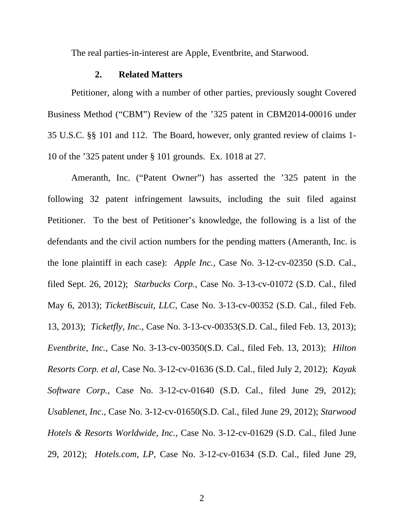The real parties-in-interest are Apple, Eventbrite, and Starwood.

#### **2. Related Matters**

 Petitioner, along with a number of other parties, previously sought Covered Business Method ("CBM") Review of the '325 patent in CBM2014-00016 under 35 U.S.C. §§ 101 and 112. The Board, however, only granted review of claims 1- 10 of the '325 patent under § 101 grounds. Ex. 1018 at 27.

Ameranth, Inc. ("Patent Owner") has asserted the '325 patent in the following 32 patent infringement lawsuits, including the suit filed against Petitioner. To the best of Petitioner's knowledge, the following is a list of the defendants and the civil action numbers for the pending matters (Ameranth, Inc. is the lone plaintiff in each case): *Apple Inc.,* Case No. 3-12-cv-02350 (S.D. Cal., filed Sept. 26, 2012); *Starbucks Corp.,* Case No. 3-13-cv-01072 (S.D. Cal., filed May 6, 2013); *TicketBiscuit, LLC,* Case No. 3-13-cv-00352 (S.D. Cal., filed Feb. 13, 2013); *Ticketfly, Inc.,* Case No. 3-13-cv-00353(S.D. Cal., filed Feb. 13, 2013); *Eventbrite, Inc.,* Case No. 3-13-cv-00350(S.D. Cal., filed Feb. 13, 2013); *Hilton Resorts Corp. et al,* Case No. 3-12-cv-01636 (S.D. Cal., filed July 2, 2012); *Kayak Software Corp.*, Case No. 3-12-cv-01640 (S.D. Cal., filed June 29, 2012); *Usablenet, Inc*., Case No. 3-12-cv-01650(S.D. Cal., filed June 29, 2012); *Starwood Hotels & Resorts Worldwide, Inc.*, Case No. 3-12-cv-01629 (S.D. Cal., filed June 29, 2012); *Hotels.com, LP*, Case No. 3-12-cv-01634 (S.D. Cal., filed June 29,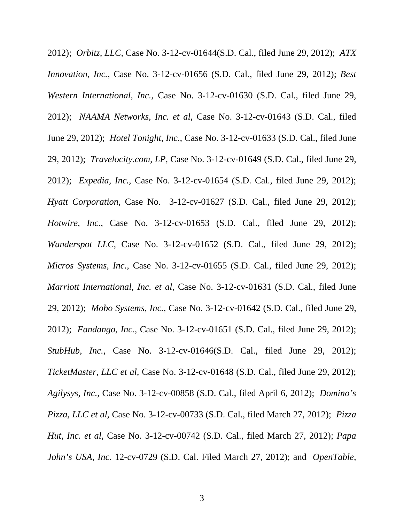2012); *Orbitz, LLC,* Case No. 3-12-cv-01644(S.D. Cal., filed June 29, 2012); *ATX Innovation, Inc.*, Case No. 3-12-cv-01656 (S.D. Cal., filed June 29, 2012); *Best Western International, Inc.*, Case No. 3-12-cv-01630 (S.D. Cal., filed June 29, 2012); *NAAMA Networks, Inc. et al,* Case No. 3-12-cv-01643 (S.D. Cal., filed June 29, 2012); *Hotel Tonight, Inc.,* Case No. 3-12-cv-01633 (S.D. Cal., filed June 29, 2012); *Travelocity.com, LP,* Case No. 3-12-cv-01649 (S.D. Cal., filed June 29, 2012); *Expedia, Inc.,* Case No. 3-12-cv-01654 (S.D. Cal., filed June 29, 2012); *Hyatt Corporation,* Case No. 3-12-cv-01627 (S.D. Cal., filed June 29, 2012); *Hotwire, Inc.,* Case No. 3-12-cv-01653 (S.D. Cal., filed June 29, 2012); *Wanderspot LLC,* Case No. 3-12-cv-01652 (S.D. Cal., filed June 29, 2012); *Micros Systems, Inc.*, Case No. 3-12-cv-01655 (S.D. Cal., filed June 29, 2012); *Marriott International, Inc. et al,* Case No. 3-12-cv-01631 (S.D. Cal., filed June 29, 2012); *Mobo Systems, Inc.,* Case No. 3-12-cv-01642 (S.D. Cal., filed June 29, 2012); *Fandango, Inc.,* Case No. 3-12-cv-01651 (S.D. Cal., filed June 29, 2012); *StubHub, Inc.,* Case No. 3-12-cv-01646(S.D. Cal., filed June 29, 2012); *TicketMaster, LLC et al,* Case No. 3-12-cv-01648 (S.D. Cal., filed June 29, 2012); *Agilysys, Inc.,* Case No. 3-12-cv-00858 (S.D. Cal., filed April 6, 2012); *Domino's Pizza, LLC et al,* Case No. 3-12-cv-00733 (S.D. Cal., filed March 27, 2012); *Pizza Hut, Inc. et al,* Case No. 3-12-cv-00742 (S.D. Cal., filed March 27, 2012); *Papa John's USA, Inc.* 12-cv-0729 (S.D. Cal. Filed March 27, 2012); and *OpenTable,*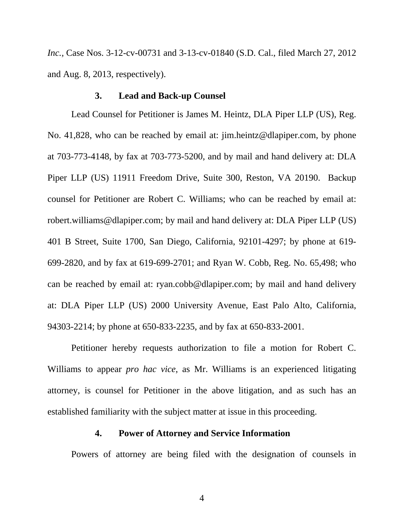*Inc.,* Case Nos. 3-12-cv-00731 and 3-13-cv-01840 (S.D. Cal., filed March 27, 2012 and Aug. 8, 2013, respectively).

## **3. Lead and Back-up Counsel**

Lead Counsel for Petitioner is James M. Heintz, DLA Piper LLP (US), Reg. No. 41,828, who can be reached by email at: jim.heintz@dlapiper.com, by phone at 703-773-4148, by fax at 703-773-5200, and by mail and hand delivery at: DLA Piper LLP (US) 11911 Freedom Drive, Suite 300, Reston, VA 20190. Backup counsel for Petitioner are Robert C. Williams; who can be reached by email at: robert.williams@dlapiper.com; by mail and hand delivery at: DLA Piper LLP (US) 401 B Street, Suite 1700, San Diego, California, 92101-4297; by phone at 619- 699-2820, and by fax at 619-699-2701; and Ryan W. Cobb, Reg. No. 65,498; who can be reached by email at: ryan.cobb@dlapiper.com; by mail and hand delivery at: DLA Piper LLP (US) 2000 University Avenue, East Palo Alto, California, 94303-2214; by phone at 650-833-2235, and by fax at 650-833-2001.

Petitioner hereby requests authorization to file a motion for Robert C. Williams to appear *pro hac vice*, as Mr. Williams is an experienced litigating attorney, is counsel for Petitioner in the above litigation, and as such has an established familiarity with the subject matter at issue in this proceeding.

# **4. Power of Attorney and Service Information**

Powers of attorney are being filed with the designation of counsels in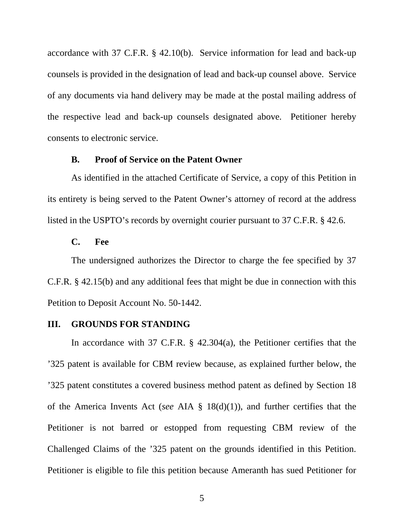accordance with 37 C.F.R. § 42.10(b). Service information for lead and back-up counsels is provided in the designation of lead and back-up counsel above. Service of any documents via hand delivery may be made at the postal mailing address of the respective lead and back-up counsels designated above. Petitioner hereby consents to electronic service.

#### **B. Proof of Service on the Patent Owner**

 As identified in the attached Certificate of Service, a copy of this Petition in its entirety is being served to the Patent Owner's attorney of record at the address listed in the USPTO's records by overnight courier pursuant to 37 C.F.R. § 42.6.

## **C. Fee**

 The undersigned authorizes the Director to charge the fee specified by 37 C.F.R. § 42.15(b) and any additional fees that might be due in connection with this Petition to Deposit Account No. 50-1442.

# **III. GROUNDS FOR STANDING**

 In accordance with 37 C.F.R. § 42.304(a), the Petitioner certifies that the '325 patent is available for CBM review because, as explained further below, the '325 patent constitutes a covered business method patent as defined by Section 18 of the America Invents Act (*see* AIA § 18(d)(1)), and further certifies that the Petitioner is not barred or estopped from requesting CBM review of the Challenged Claims of the '325 patent on the grounds identified in this Petition. Petitioner is eligible to file this petition because Ameranth has sued Petitioner for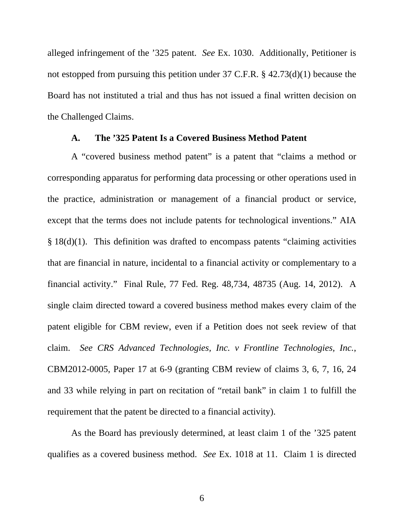alleged infringement of the '325 patent. *See* Ex. 1030. Additionally, Petitioner is not estopped from pursuing this petition under 37 C.F.R. § 42.73(d)(1) because the Board has not instituted a trial and thus has not issued a final written decision on the Challenged Claims.

## **A. The '325 Patent Is a Covered Business Method Patent**

A "covered business method patent" is a patent that "claims a method or corresponding apparatus for performing data processing or other operations used in the practice, administration or management of a financial product or service, except that the terms does not include patents for technological inventions." AIA § 18(d)(1). This definition was drafted to encompass patents "claiming activities that are financial in nature, incidental to a financial activity or complementary to a financial activity." Final Rule, 77 Fed. Reg. 48,734, 48735 (Aug. 14, 2012). A single claim directed toward a covered business method makes every claim of the patent eligible for CBM review, even if a Petition does not seek review of that claim. *See CRS Advanced Technologies, Inc. v Frontline Technologies, Inc.*, CBM2012-0005, Paper 17 at 6-9 (granting CBM review of claims 3, 6, 7, 16, 24 and 33 while relying in part on recitation of "retail bank" in claim 1 to fulfill the requirement that the patent be directed to a financial activity).

As the Board has previously determined, at least claim 1 of the '325 patent qualifies as a covered business method. *See* Ex. 1018 at 11. Claim 1 is directed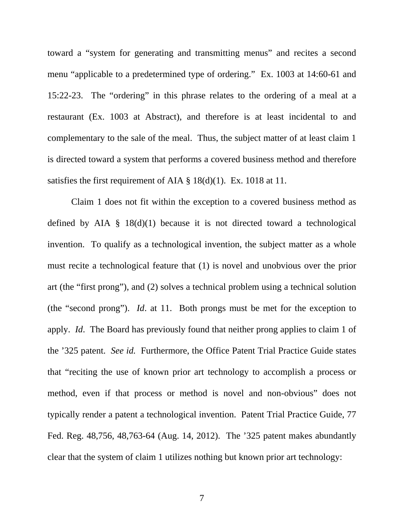toward a "system for generating and transmitting menus" and recites a second menu "applicable to a predetermined type of ordering." Ex. 1003 at 14:60-61 and 15:22-23. The "ordering" in this phrase relates to the ordering of a meal at a restaurant (Ex. 1003 at Abstract), and therefore is at least incidental to and complementary to the sale of the meal. Thus, the subject matter of at least claim 1 is directed toward a system that performs a covered business method and therefore satisfies the first requirement of AIA  $\S$  18(d)(1). Ex. 1018 at 11.

Claim 1 does not fit within the exception to a covered business method as defined by AIA § 18(d)(1) because it is not directed toward a technological invention. To qualify as a technological invention, the subject matter as a whole must recite a technological feature that (1) is novel and unobvious over the prior art (the "first prong"), and (2) solves a technical problem using a technical solution (the "second prong"). *Id*. at 11. Both prongs must be met for the exception to apply. *Id*. The Board has previously found that neither prong applies to claim 1 of the '325 patent. *See id.* Furthermore, the Office Patent Trial Practice Guide states that "reciting the use of known prior art technology to accomplish a process or method, even if that process or method is novel and non-obvious" does not typically render a patent a technological invention. Patent Trial Practice Guide, 77 Fed. Reg. 48,756, 48,763-64 (Aug. 14, 2012). The '325 patent makes abundantly clear that the system of claim 1 utilizes nothing but known prior art technology: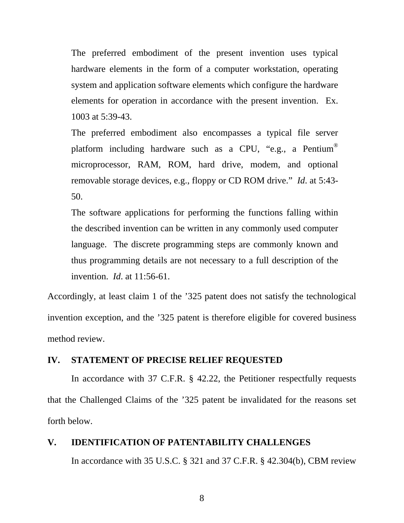The preferred embodiment of the present invention uses typical hardware elements in the form of a computer workstation, operating system and application software elements which configure the hardware elements for operation in accordance with the present invention. Ex. 1003 at 5:39-43.

The preferred embodiment also encompasses a typical file server platform including hardware such as a CPU, "e.g., a Pentium® microprocessor, RAM, ROM, hard drive, modem, and optional removable storage devices, e.g., floppy or CD ROM drive." *Id*. at 5:43- 50.

The software applications for performing the functions falling within the described invention can be written in any commonly used computer language. The discrete programming steps are commonly known and thus programming details are not necessary to a full description of the invention. *Id*. at 11:56-61.

Accordingly, at least claim 1 of the '325 patent does not satisfy the technological invention exception, and the '325 patent is therefore eligible for covered business method review.

# **IV. STATEMENT OF PRECISE RELIEF REQUESTED**

 In accordance with 37 C.F.R. § 42.22, the Petitioner respectfully requests that the Challenged Claims of the '325 patent be invalidated for the reasons set forth below.

## **V. IDENTIFICATION OF PATENTABILITY CHALLENGES**

In accordance with 35 U.S.C. § 321 and 37 C.F.R. § 42.304(b), CBM review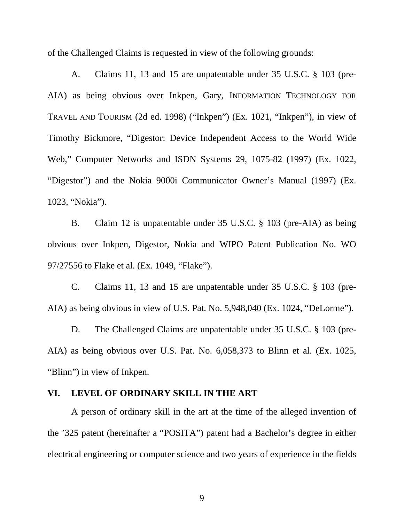of the Challenged Claims is requested in view of the following grounds:

 A. Claims 11, 13 and 15 are unpatentable under 35 U.S.C. § 103 (pre-AIA) as being obvious over Inkpen, Gary, INFORMATION TECHNOLOGY FOR TRAVEL AND TOURISM (2d ed. 1998) ("Inkpen") (Ex. 1021, "Inkpen"), in view of Timothy Bickmore, "Digestor: Device Independent Access to the World Wide Web," Computer Networks and ISDN Systems 29, 1075-82 (1997) (Ex. 1022, "Digestor") and the Nokia 9000i Communicator Owner's Manual (1997) (Ex. 1023, "Nokia").

B. Claim 12 is unpatentable under 35 U.S.C. § 103 (pre-AIA) as being obvious over Inkpen, Digestor, Nokia and WIPO Patent Publication No. WO 97/27556 to Flake et al. (Ex. 1049, "Flake").

 C. Claims 11, 13 and 15 are unpatentable under 35 U.S.C. § 103 (pre-AIA) as being obvious in view of U.S. Pat. No. 5,948,040 (Ex. 1024, "DeLorme").

 D. The Challenged Claims are unpatentable under 35 U.S.C. § 103 (pre-AIA) as being obvious over U.S. Pat. No. 6,058,373 to Blinn et al. (Ex. 1025, "Blinn") in view of Inkpen.

# **VI. LEVEL OF ORDINARY SKILL IN THE ART**

 A person of ordinary skill in the art at the time of the alleged invention of the '325 patent (hereinafter a "POSITA") patent had a Bachelor's degree in either electrical engineering or computer science and two years of experience in the fields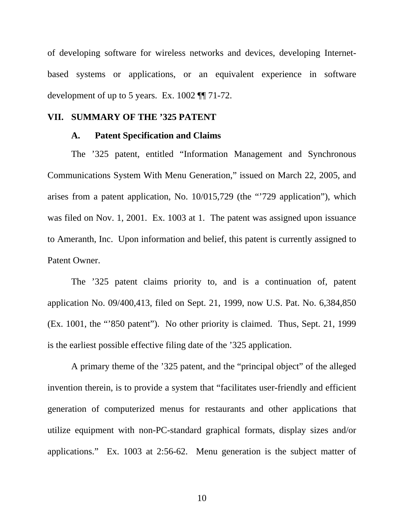of developing software for wireless networks and devices, developing Internetbased systems or applications, or an equivalent experience in software development of up to 5 years. Ex. 1002 ¶¶ 71-72.

# **VII. SUMMARY OF THE '325 PATENT**

## **A. Patent Specification and Claims**

 The '325 patent, entitled "Information Management and Synchronous Communications System With Menu Generation," issued on March 22, 2005, and arises from a patent application, No. 10/015,729 (the "'729 application"), which was filed on Nov. 1, 2001. Ex. 1003 at 1. The patent was assigned upon issuance to Ameranth, Inc. Upon information and belief, this patent is currently assigned to Patent Owner.

 The '325 patent claims priority to, and is a continuation of, patent application No. 09/400,413, filed on Sept. 21, 1999, now U.S. Pat. No. 6,384,850 (Ex. 1001, the "'850 patent"). No other priority is claimed. Thus, Sept. 21, 1999 is the earliest possible effective filing date of the '325 application.

 A primary theme of the '325 patent, and the "principal object" of the alleged invention therein, is to provide a system that "facilitates user-friendly and efficient generation of computerized menus for restaurants and other applications that utilize equipment with non-PC-standard graphical formats, display sizes and/or applications." Ex. 1003 at 2:56-62. Menu generation is the subject matter of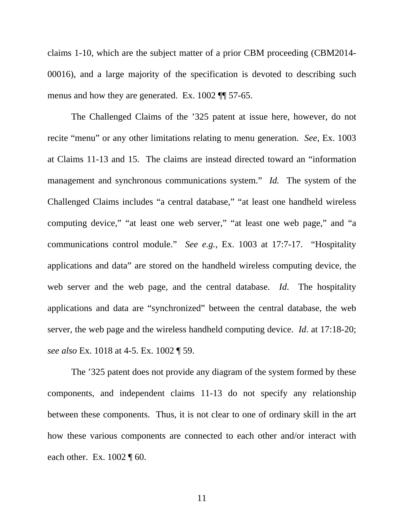claims 1-10, which are the subject matter of a prior CBM proceeding (CBM2014- 00016), and a large majority of the specification is devoted to describing such menus and how they are generated. Ex. 1002 ¶¶ 57-65.

The Challenged Claims of the '325 patent at issue here, however, do not recite "menu" or any other limitations relating to menu generation. *See*, Ex. 1003 at Claims 11-13 and 15. The claims are instead directed toward an "information management and synchronous communications system." *Id.* The system of the Challenged Claims includes "a central database," "at least one handheld wireless computing device," "at least one web server," "at least one web page," and "a communications control module." *See e.g.*, Ex. 1003 at 17:7-17. "Hospitality applications and data" are stored on the handheld wireless computing device, the web server and the web page, and the central database. *Id*. The hospitality applications and data are "synchronized" between the central database, the web server, the web page and the wireless handheld computing device. *Id*. at 17:18-20; *see also* Ex. 1018 at 4-5. Ex. 1002 ¶ 59.

The '325 patent does not provide any diagram of the system formed by these components, and independent claims 11-13 do not specify any relationship between these components. Thus, it is not clear to one of ordinary skill in the art how these various components are connected to each other and/or interact with each other. Ex. 1002 ¶ 60.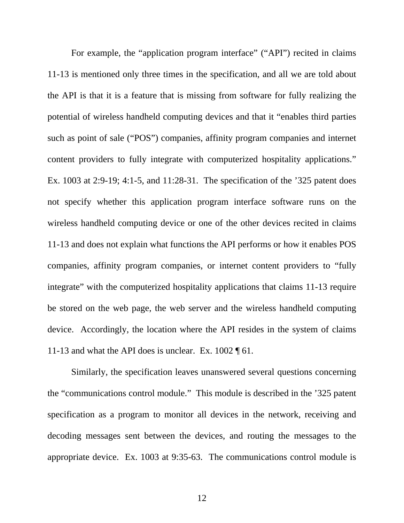For example, the "application program interface" ("API") recited in claims 11-13 is mentioned only three times in the specification, and all we are told about the API is that it is a feature that is missing from software for fully realizing the potential of wireless handheld computing devices and that it "enables third parties such as point of sale ("POS") companies, affinity program companies and internet content providers to fully integrate with computerized hospitality applications." Ex. 1003 at 2:9-19; 4:1-5, and 11:28-31. The specification of the '325 patent does not specify whether this application program interface software runs on the wireless handheld computing device or one of the other devices recited in claims 11-13 and does not explain what functions the API performs or how it enables POS companies, affinity program companies, or internet content providers to "fully integrate" with the computerized hospitality applications that claims 11-13 require be stored on the web page, the web server and the wireless handheld computing device. Accordingly, the location where the API resides in the system of claims 11-13 and what the API does is unclear. Ex.  $1002 \text{ } \text{\textdegree{}} 61$ .

Similarly, the specification leaves unanswered several questions concerning the "communications control module." This module is described in the '325 patent specification as a program to monitor all devices in the network, receiving and decoding messages sent between the devices, and routing the messages to the appropriate device. Ex. 1003 at 9:35-63. The communications control module is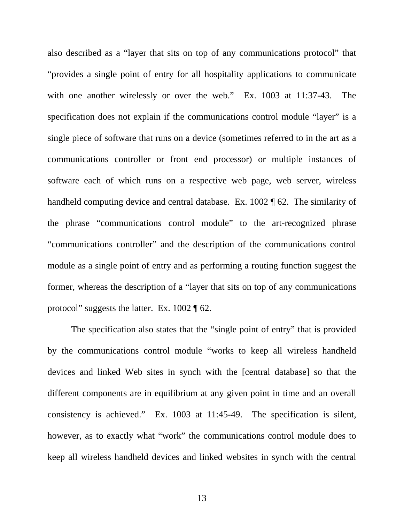also described as a "layer that sits on top of any communications protocol" that "provides a single point of entry for all hospitality applications to communicate with one another wirelessly or over the web." Ex. 1003 at 11:37-43. The specification does not explain if the communications control module "layer" is a single piece of software that runs on a device (sometimes referred to in the art as a communications controller or front end processor) or multiple instances of software each of which runs on a respective web page, web server, wireless handheld computing device and central database. Ex. 1002 ¶ 62. The similarity of the phrase "communications control module" to the art-recognized phrase "communications controller" and the description of the communications control module as a single point of entry and as performing a routing function suggest the former, whereas the description of a "layer that sits on top of any communications protocol" suggests the latter. Ex. 1002 ¶ 62.

 The specification also states that the "single point of entry" that is provided by the communications control module "works to keep all wireless handheld devices and linked Web sites in synch with the [central database] so that the different components are in equilibrium at any given point in time and an overall consistency is achieved." Ex. 1003 at 11:45-49. The specification is silent, however, as to exactly what "work" the communications control module does to keep all wireless handheld devices and linked websites in synch with the central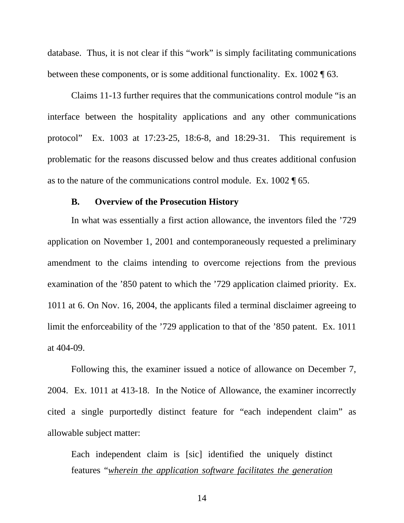database. Thus, it is not clear if this "work" is simply facilitating communications between these components, or is some additional functionality. Ex. 1002 ¶ 63.

Claims 11-13 further requires that the communications control module "is an interface between the hospitality applications and any other communications protocol" Ex. 1003 at 17:23-25, 18:6-8, and 18:29-31. This requirement is problematic for the reasons discussed below and thus creates additional confusion as to the nature of the communications control module. Ex. 1002 ¶ 65.

#### **B. Overview of the Prosecution History**

In what was essentially a first action allowance, the inventors filed the '729 application on November 1, 2001 and contemporaneously requested a preliminary amendment to the claims intending to overcome rejections from the previous examination of the '850 patent to which the '729 application claimed priority. Ex. 1011 at 6. On Nov. 16, 2004, the applicants filed a terminal disclaimer agreeing to limit the enforceability of the '729 application to that of the '850 patent. Ex. 1011 at 404-09.

Following this, the examiner issued a notice of allowance on December 7, 2004. Ex. 1011 at 413-18. In the Notice of Allowance, the examiner incorrectly cited a single purportedly distinct feature for "each independent claim" as allowable subject matter:

Each independent claim is [sic] identified the uniquely distinct features "*wherein the application software facilitates the generation*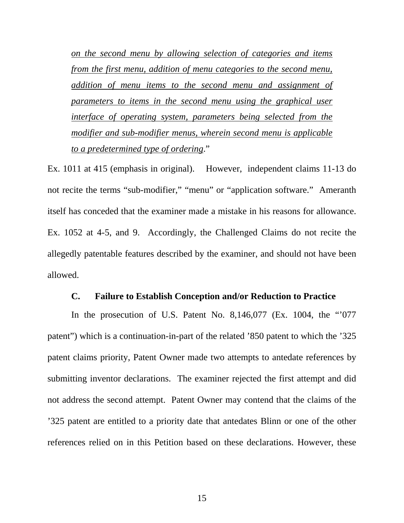*on the second menu by allowing selection of categories and items from the first menu, addition of menu categories to the second menu, addition of menu items to the second menu and assignment of parameters to items in the second menu using the graphical user interface of operating system, parameters being selected from the modifier and sub-modifier menus, wherein second menu is applicable to a predetermined type of ordering*."

Ex. 1011 at 415 (emphasis in original). However, independent claims 11-13 do not recite the terms "sub-modifier," "menu" or "application software." Ameranth itself has conceded that the examiner made a mistake in his reasons for allowance. Ex. 1052 at 4-5, and 9. Accordingly, the Challenged Claims do not recite the allegedly patentable features described by the examiner, and should not have been allowed.

## **C. Failure to Establish Conception and/or Reduction to Practice**

In the prosecution of U.S. Patent No.  $8,146,077$  (Ex. 1004, the "'077 patent") which is a continuation-in-part of the related '850 patent to which the '325 patent claims priority, Patent Owner made two attempts to antedate references by submitting inventor declarations. The examiner rejected the first attempt and did not address the second attempt. Patent Owner may contend that the claims of the '325 patent are entitled to a priority date that antedates Blinn or one of the other references relied on in this Petition based on these declarations. However, these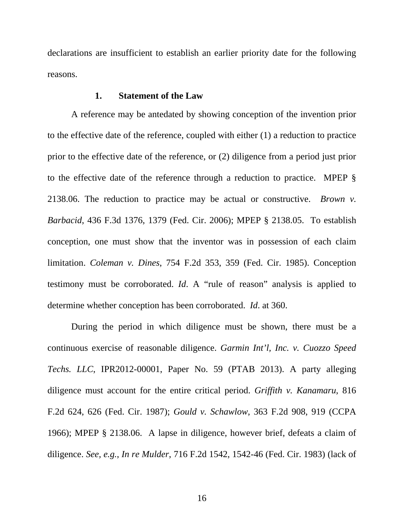declarations are insufficient to establish an earlier priority date for the following reasons.

#### **1. Statement of the Law**

A reference may be antedated by showing conception of the invention prior to the effective date of the reference, coupled with either (1) a reduction to practice prior to the effective date of the reference, or (2) diligence from a period just prior to the effective date of the reference through a reduction to practice. MPEP § 2138.06. The reduction to practice may be actual or constructive. *Brown v. Barbacid*, 436 F.3d 1376, 1379 (Fed. Cir. 2006); MPEP § 2138.05. To establish conception, one must show that the inventor was in possession of each claim limitation. *Coleman v. Dines*, 754 F.2d 353, 359 (Fed. Cir. 1985). Conception testimony must be corroborated. *Id*. A "rule of reason" analysis is applied to determine whether conception has been corroborated. *Id*. at 360.

During the period in which diligence must be shown, there must be a continuous exercise of reasonable diligence. *Garmin Int'l, Inc. v. Cuozzo Speed Techs. LLC*, IPR2012-00001, Paper No. 59 (PTAB 2013). A party alleging diligence must account for the entire critical period. *Griffith v. Kanamaru*, 816 F.2d 624, 626 (Fed. Cir. 1987); *Gould v. Schawlow*, 363 F.2d 908, 919 (CCPA 1966); MPEP § 2138.06. A lapse in diligence, however brief, defeats a claim of diligence. *See, e.g.*, *In re Mulder*, 716 F.2d 1542, 1542-46 (Fed. Cir. 1983) (lack of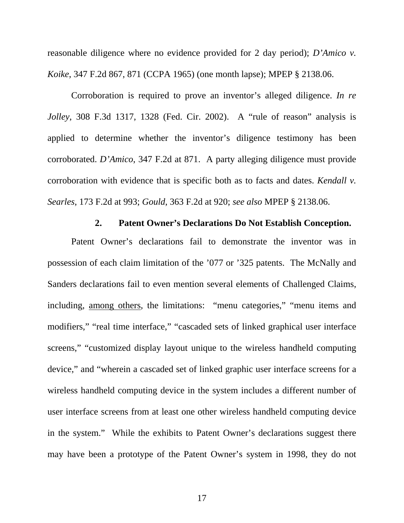reasonable diligence where no evidence provided for 2 day period); *D'Amico v. Koike*, 347 F.2d 867, 871 (CCPA 1965) (one month lapse); MPEP § 2138.06.

Corroboration is required to prove an inventor's alleged diligence. *In re Jolley*, 308 F.3d 1317, 1328 (Fed. Cir. 2002). A "rule of reason" analysis is applied to determine whether the inventor's diligence testimony has been corroborated. *D'Amico*, 347 F.2d at 871. A party alleging diligence must provide corroboration with evidence that is specific both as to facts and dates. *Kendall v. Searles*, 173 F.2d at 993; *Gould*, 363 F.2d at 920; *see also* MPEP § 2138.06.

#### **2. Patent Owner's Declarations Do Not Establish Conception.**

Patent Owner's declarations fail to demonstrate the inventor was in possession of each claim limitation of the '077 or '325 patents. The McNally and Sanders declarations fail to even mention several elements of Challenged Claims, including, among others, the limitations: "menu categories," "menu items and modifiers," "real time interface," "cascaded sets of linked graphical user interface screens," "customized display layout unique to the wireless handheld computing device," and "wherein a cascaded set of linked graphic user interface screens for a wireless handheld computing device in the system includes a different number of user interface screens from at least one other wireless handheld computing device in the system." While the exhibits to Patent Owner's declarations suggest there may have been a prototype of the Patent Owner's system in 1998, they do not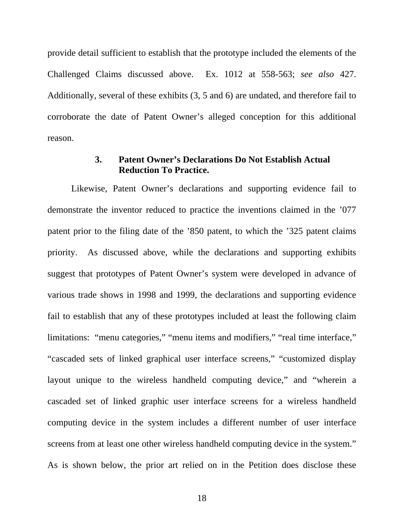provide detail sufficient to establish that the prototype included the elements of the Challenged Claims discussed above. Ex. 1012 at 558-563; *see also* 427. Additionally, several of these exhibits (3, 5 and 6) are undated, and therefore fail to corroborate the date of Patent Owner's alleged conception for this additional reason.

# **3. Patent Owner's Declarations Do Not Establish Actual Reduction To Practice.**

Likewise, Patent Owner's declarations and supporting evidence fail to demonstrate the inventor reduced to practice the inventions claimed in the '077 patent prior to the filing date of the '850 patent, to which the '325 patent claims priority. As discussed above, while the declarations and supporting exhibits suggest that prototypes of Patent Owner's system were developed in advance of various trade shows in 1998 and 1999, the declarations and supporting evidence fail to establish that any of these prototypes included at least the following claim limitations: "menu categories," "menu items and modifiers," "real time interface," "cascaded sets of linked graphical user interface screens," "customized display layout unique to the wireless handheld computing device," and "wherein a cascaded set of linked graphic user interface screens for a wireless handheld computing device in the system includes a different number of user interface screens from at least one other wireless handheld computing device in the system." As is shown below, the prior art relied on in the Petition does disclose these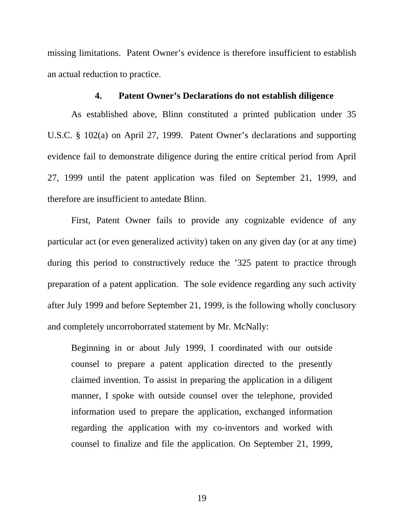missing limitations. Patent Owner's evidence is therefore insufficient to establish an actual reduction to practice.

#### **4. Patent Owner's Declarations do not establish diligence**

As established above, Blinn constituted a printed publication under 35 U.S.C. § 102(a) on April 27, 1999. Patent Owner's declarations and supporting evidence fail to demonstrate diligence during the entire critical period from April 27, 1999 until the patent application was filed on September 21, 1999, and therefore are insufficient to antedate Blinn.

First, Patent Owner fails to provide any cognizable evidence of any particular act (or even generalized activity) taken on any given day (or at any time) during this period to constructively reduce the '325 patent to practice through preparation of a patent application. The sole evidence regarding any such activity after July 1999 and before September 21, 1999, is the following wholly conclusory and completely uncorroborrated statement by Mr. McNally:

Beginning in or about July 1999, I coordinated with our outside counsel to prepare a patent application directed to the presently claimed invention. To assist in preparing the application in a diligent manner, I spoke with outside counsel over the telephone, provided information used to prepare the application, exchanged information regarding the application with my co-inventors and worked with counsel to finalize and file the application. On September 21, 1999,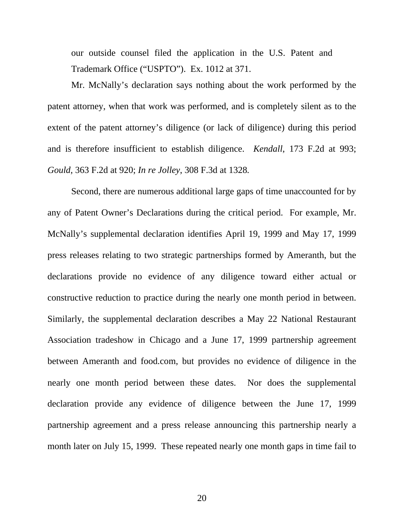our outside counsel filed the application in the U.S. Patent and Trademark Office ("USPTO"). Ex. 1012 at 371.

Mr. McNally's declaration says nothing about the work performed by the patent attorney, when that work was performed, and is completely silent as to the extent of the patent attorney's diligence (or lack of diligence) during this period and is therefore insufficient to establish diligence. *Kendall*, 173 F.2d at 993; *Gould*, 363 F.2d at 920; *In re Jolley*, 308 F.3d at 1328*.*

Second, there are numerous additional large gaps of time unaccounted for by any of Patent Owner's Declarations during the critical period. For example, Mr. McNally's supplemental declaration identifies April 19, 1999 and May 17, 1999 press releases relating to two strategic partnerships formed by Ameranth, but the declarations provide no evidence of any diligence toward either actual or constructive reduction to practice during the nearly one month period in between. Similarly, the supplemental declaration describes a May 22 National Restaurant Association tradeshow in Chicago and a June 17, 1999 partnership agreement between Ameranth and food.com, but provides no evidence of diligence in the nearly one month period between these dates. Nor does the supplemental declaration provide any evidence of diligence between the June 17, 1999 partnership agreement and a press release announcing this partnership nearly a month later on July 15, 1999. These repeated nearly one month gaps in time fail to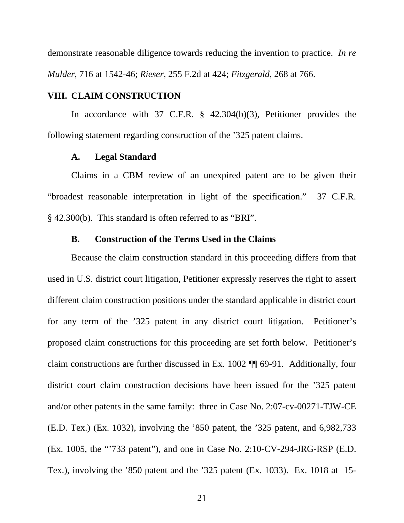demonstrate reasonable diligence towards reducing the invention to practice. *In re Mulder*, 716 at 1542-46; *Rieser*, 255 F.2d at 424; *Fitzgerald*, 268 at 766.

# **VIII. CLAIM CONSTRUCTION**

 In accordance with 37 C.F.R. § 42.304(b)(3), Petitioner provides the following statement regarding construction of the '325 patent claims.

## **A. Legal Standard**

 Claims in a CBM review of an unexpired patent are to be given their "broadest reasonable interpretation in light of the specification." 37 C.F.R. § 42.300(b). This standard is often referred to as "BRI".

#### **B. Construction of the Terms Used in the Claims**

Because the claim construction standard in this proceeding differs from that used in U.S. district court litigation, Petitioner expressly reserves the right to assert different claim construction positions under the standard applicable in district court for any term of the '325 patent in any district court litigation. Petitioner's proposed claim constructions for this proceeding are set forth below. Petitioner's claim constructions are further discussed in Ex. 1002 ¶¶ 69-91. Additionally, four district court claim construction decisions have been issued for the '325 patent and/or other patents in the same family: three in Case No. 2:07-cv-00271-TJW-CE (E.D. Tex.) (Ex. 1032), involving the '850 patent, the '325 patent, and 6,982,733 (Ex. 1005, the "'733 patent"), and one in Case No. 2:10-CV-294-JRG-RSP (E.D. Tex.), involving the '850 patent and the '325 patent (Ex. 1033). Ex. 1018 at 15-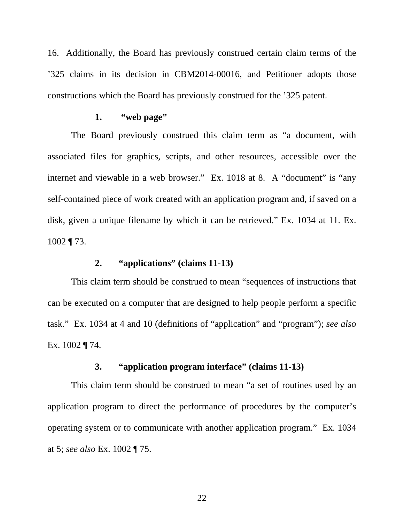16. Additionally, the Board has previously construed certain claim terms of the '325 claims in its decision in CBM2014-00016, and Petitioner adopts those constructions which the Board has previously construed for the '325 patent.

# **1. "web page"**

The Board previously construed this claim term as "a document, with associated files for graphics, scripts, and other resources, accessible over the internet and viewable in a web browser." Ex. 1018 at 8. A "document" is "any self-contained piece of work created with an application program and, if saved on a disk, given a unique filename by which it can be retrieved." Ex. 1034 at 11. Ex. 1002 ¶ 73.

# **2. "applications" (claims 11-13)**

 This claim term should be construed to mean "sequences of instructions that can be executed on a computer that are designed to help people perform a specific task." Ex. 1034 at 4 and 10 (definitions of "application" and "program"); *see also* Ex. 1002 ¶ 74.

# **3. "application program interface" (claims 11-13)**

This claim term should be construed to mean "a set of routines used by an application program to direct the performance of procedures by the computer's operating system or to communicate with another application program." Ex. 1034 at 5; *see also* Ex. 1002 ¶ 75.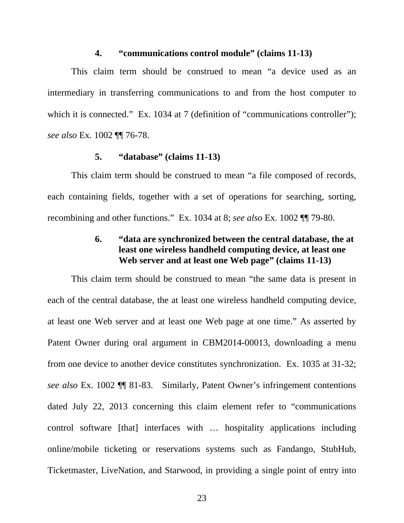#### **4. "communications control module" (claims 11-13)**

This claim term should be construed to mean "a device used as an intermediary in transferring communications to and from the host computer to which it is connected." Ex. 1034 at 7 (definition of "communications controller"); *see also* Ex. 1002 ¶¶ 76-78.

# **5. "database" (claims 11-13)**

This claim term should be construed to mean "a file composed of records, each containing fields, together with a set of operations for searching, sorting, recombining and other functions." Ex. 1034 at 8; *see also* Ex. 1002 ¶¶ 79-80.

# **6. "data are synchronized between the central database, the at least one wireless handheld computing device, at least one Web server and at least one Web page" (claims 11-13)**

This claim term should be construed to mean "the same data is present in each of the central database, the at least one wireless handheld computing device, at least one Web server and at least one Web page at one time." As asserted by Patent Owner during oral argument in CBM2014-00013, downloading a menu from one device to another device constitutes synchronization. Ex. 1035 at 31-32; *see also* Ex. 1002 ¶¶ 81-83. Similarly, Patent Owner's infringement contentions dated July 22, 2013 concerning this claim element refer to "communications control software [that] interfaces with … hospitality applications including online/mobile ticketing or reservations systems such as Fandango, StubHub, Ticketmaster, LiveNation, and Starwood, in providing a single point of entry into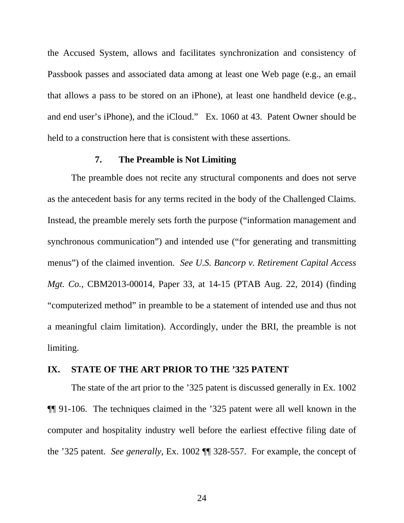the Accused System, allows and facilitates synchronization and consistency of Passbook passes and associated data among at least one Web page (e.g., an email that allows a pass to be stored on an iPhone), at least one handheld device (e.g., and end user's iPhone), and the iCloud." Ex. 1060 at 43. Patent Owner should be held to a construction here that is consistent with these assertions.

# **7. The Preamble is Not Limiting**

The preamble does not recite any structural components and does not serve as the antecedent basis for any terms recited in the body of the Challenged Claims. Instead, the preamble merely sets forth the purpose ("information management and synchronous communication") and intended use ("for generating and transmitting menus") of the claimed invention. *See U.S. Bancorp v. Retirement Capital Access Mgt. Co.*, CBM2013-00014, Paper 33, at 14-15 (PTAB Aug. 22, 2014) (finding "computerized method" in preamble to be a statement of intended use and thus not a meaningful claim limitation). Accordingly, under the BRI, the preamble is not limiting.

## **IX. STATE OF THE ART PRIOR TO THE '325 PATENT**

 The state of the art prior to the '325 patent is discussed generally in Ex. 1002 ¶¶ 91-106. The techniques claimed in the '325 patent were all well known in the computer and hospitality industry well before the earliest effective filing date of the '325 patent. *See generally*, Ex. 1002 ¶¶ 328-557. For example, the concept of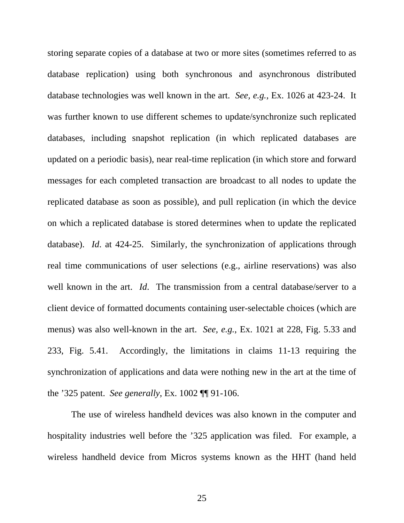storing separate copies of a database at two or more sites (sometimes referred to as database replication) using both synchronous and asynchronous distributed database technologies was well known in the art. *See, e.g.*, Ex. 1026 at 423-24. It was further known to use different schemes to update/synchronize such replicated databases, including snapshot replication (in which replicated databases are updated on a periodic basis), near real-time replication (in which store and forward messages for each completed transaction are broadcast to all nodes to update the replicated database as soon as possible), and pull replication (in which the device on which a replicated database is stored determines when to update the replicated database). *Id*. at 424-25. Similarly, the synchronization of applications through real time communications of user selections (e.g., airline reservations) was also well known in the art. *Id*. The transmission from a central database/server to a client device of formatted documents containing user-selectable choices (which are menus) was also well-known in the art. *See, e.g.*, Ex. 1021 at 228, Fig. 5.33 and 233, Fig. 5.41. Accordingly, the limitations in claims 11-13 requiring the synchronization of applications and data were nothing new in the art at the time of the '325 patent. *See generally*, Ex. 1002 ¶¶ 91-106.

 The use of wireless handheld devices was also known in the computer and hospitality industries well before the '325 application was filed. For example, a wireless handheld device from Micros systems known as the HHT (hand held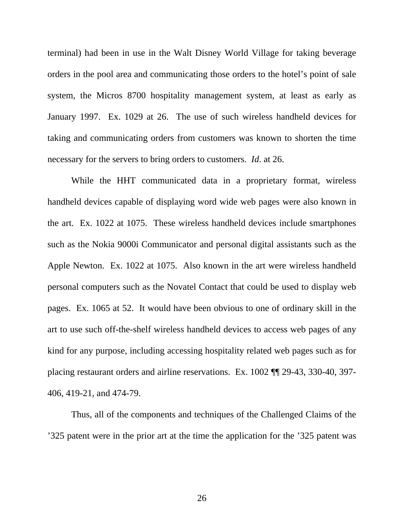terminal) had been in use in the Walt Disney World Village for taking beverage orders in the pool area and communicating those orders to the hotel's point of sale system, the Micros 8700 hospitality management system, at least as early as January 1997. Ex. 1029 at 26. The use of such wireless handheld devices for taking and communicating orders from customers was known to shorten the time necessary for the servers to bring orders to customers. *Id*. at 26.

 While the HHT communicated data in a proprietary format, wireless handheld devices capable of displaying word wide web pages were also known in the art. Ex. 1022 at 1075. These wireless handheld devices include smartphones such as the Nokia 9000i Communicator and personal digital assistants such as the Apple Newton. Ex. 1022 at 1075. Also known in the art were wireless handheld personal computers such as the Novatel Contact that could be used to display web pages. Ex. 1065 at 52. It would have been obvious to one of ordinary skill in the art to use such off-the-shelf wireless handheld devices to access web pages of any kind for any purpose, including accessing hospitality related web pages such as for placing restaurant orders and airline reservations. Ex. 1002 ¶¶ 29-43, 330-40, 397- 406, 419-21, and 474-79.

 Thus, all of the components and techniques of the Challenged Claims of the '325 patent were in the prior art at the time the application for the '325 patent was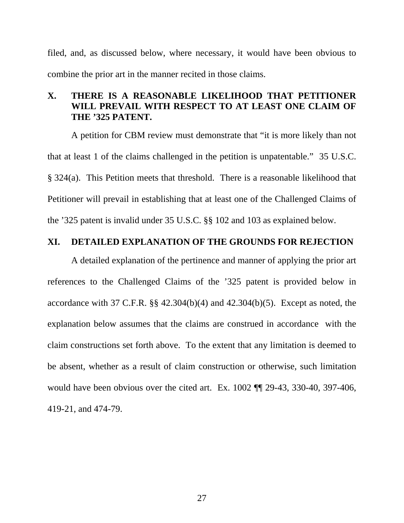filed, and, as discussed below, where necessary, it would have been obvious to combine the prior art in the manner recited in those claims.

# **X. THERE IS A REASONABLE LIKELIHOOD THAT PETITIONER WILL PREVAIL WITH RESPECT TO AT LEAST ONE CLAIM OF THE '325 PATENT.**

 A petition for CBM review must demonstrate that "it is more likely than not that at least 1 of the claims challenged in the petition is unpatentable." 35 U.S.C. § 324(a). This Petition meets that threshold. There is a reasonable likelihood that Petitioner will prevail in establishing that at least one of the Challenged Claims of the '325 patent is invalid under 35 U.S.C. §§ 102 and 103 as explained below.

## **XI. DETAILED EXPLANATION OF THE GROUNDS FOR REJECTION**

 A detailed explanation of the pertinence and manner of applying the prior art references to the Challenged Claims of the '325 patent is provided below in accordance with 37 C.F.R.  $\S$ § 42.304(b)(4) and 42.304(b)(5). Except as noted, the explanation below assumes that the claims are construed in accordance with the claim constructions set forth above. To the extent that any limitation is deemed to be absent, whether as a result of claim construction or otherwise, such limitation would have been obvious over the cited art. Ex. 1002 ¶¶ 29-43, 330-40, 397-406, 419-21, and 474-79.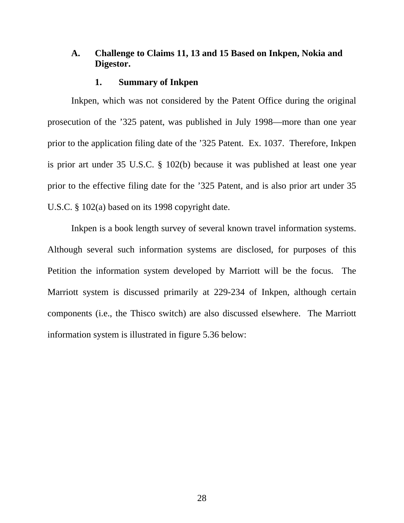## **A. Challenge to Claims 11, 13 and 15 Based on Inkpen, Nokia and Digestor.**

#### **1. Summary of Inkpen**

Inkpen, which was not considered by the Patent Office during the original prosecution of the '325 patent, was published in July 1998—more than one year prior to the application filing date of the '325 Patent. Ex. 1037. Therefore, Inkpen is prior art under 35 U.S.C. § 102(b) because it was published at least one year prior to the effective filing date for the '325 Patent, and is also prior art under 35 U.S.C. § 102(a) based on its 1998 copyright date.

Inkpen is a book length survey of several known travel information systems. Although several such information systems are disclosed, for purposes of this Petition the information system developed by Marriott will be the focus. The Marriott system is discussed primarily at 229-234 of Inkpen, although certain components (i.e., the Thisco switch) are also discussed elsewhere. The Marriott information system is illustrated in figure 5.36 below: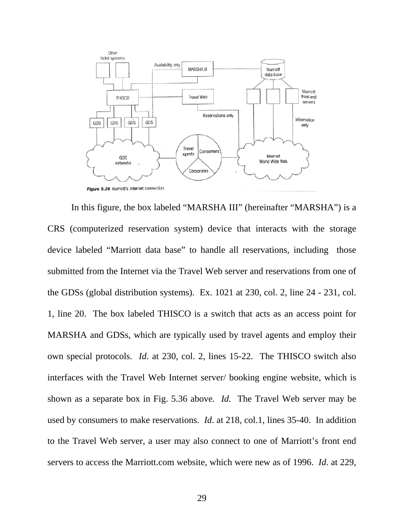

In this figure, the box labeled "MARSHA III" (hereinafter "MARSHA") is a CRS (computerized reservation system) device that interacts with the storage device labeled "Marriott data base" to handle all reservations, including those submitted from the Internet via the Travel Web server and reservations from one of the GDSs (global distribution systems). Ex. 1021 at 230, col. 2, line 24 - 231, col. 1, line 20. The box labeled THISCO is a switch that acts as an access point for MARSHA and GDSs, which are typically used by travel agents and employ their own special protocols. *Id*. at 230, col. 2, lines 15-22. The THISCO switch also interfaces with the Travel Web Internet server/ booking engine website, which is shown as a separate box in Fig. 5.36 above. *Id.* The Travel Web server may be used by consumers to make reservations. *Id*. at 218, col.1, lines 35-40. In addition to the Travel Web server, a user may also connect to one of Marriott's front end servers to access the Marriott.com website, which were new as of 1996. *Id*. at 229,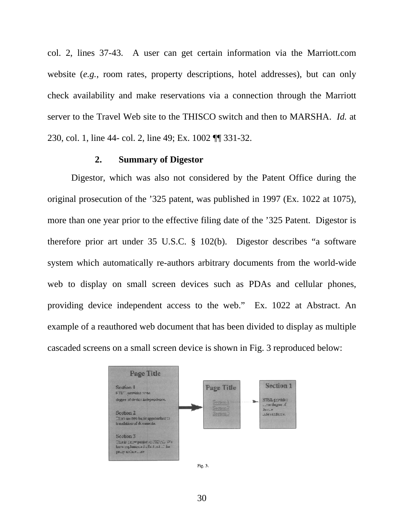col. 2, lines 37-43. A user can get certain information via the Marriott.com website (*e.g.*, room rates, property descriptions, hotel addresses), but can only check availability and make reservations via a connection through the Marriott server to the Travel Web site to the THISCO switch and then to MARSHA. *Id.* at 230, col. 1, line 44- col. 2, line 49; Ex. 1002 ¶¶ 331-32.

#### **2. Summary of Digestor**

Digestor, which was also not considered by the Patent Office during the original prosecution of the '325 patent, was published in 1997 (Ex. 1022 at 1075), more than one year prior to the effective filing date of the '325 Patent. Digestor is therefore prior art under 35 U.S.C. § 102(b). Digestor describes "a software system which automatically re-authors arbitrary documents from the world-wide web to display on small screen devices such as PDAs and cellular phones, providing device independent access to the web." Ex. 1022 at Abstract. An example of a reauthored web document that has been divided to display as multiple cascaded screens on a small screen device is shown in Fig. 3 reproduced below:



Fig. 3.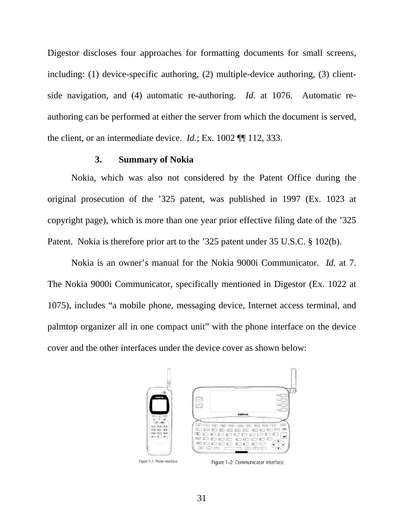Digestor discloses four approaches for formatting documents for small screens, including: (1) device-specific authoring, (2) multiple-device authoring, (3) clientside navigation, and (4) automatic re-authoring. *Id.* at 1076. Automatic reauthoring can be performed at either the server from which the document is served, the client, or an intermediate device. *Id.*; Ex. 1002 ¶¶ 112, 333.

#### **3. Summary of Nokia**

Nokia, which was also not considered by the Patent Office during the original prosecution of the '325 patent, was published in 1997 (Ex. 1023 at copyright page), which is more than one year prior effective filing date of the '325 Patent. Nokia is therefore prior art to the '325 patent under 35 U.S.C. § 102(b).

Nokia is an owner's manual for the Nokia 9000i Communicator. *Id.* at 7. The Nokia 9000i Communicator, specifically mentioned in Digestor (Ex. 1022 at 1075), includes "a mobile phone, messaging device, Internet access terminal, and palmtop organizer all in one compact unit" with the phone interface on the device cover and the other interfaces under the device cover as shown below:



Figure 1-2: Communicator interface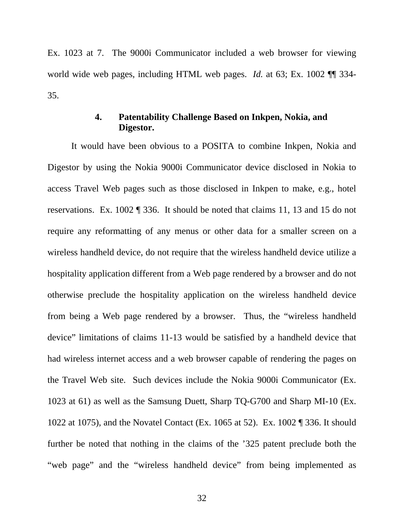Ex. 1023 at 7. The 9000i Communicator included a web browser for viewing world wide web pages, including HTML web pages. *Id.* at 63; Ex. 1002 ¶¶ 334- 35.

# **4. Patentability Challenge Based on Inkpen, Nokia, and Digestor.**

It would have been obvious to a POSITA to combine Inkpen, Nokia and Digestor by using the Nokia 9000i Communicator device disclosed in Nokia to access Travel Web pages such as those disclosed in Inkpen to make, e.g., hotel reservations. Ex. 1002 ¶ 336. It should be noted that claims 11, 13 and 15 do not require any reformatting of any menus or other data for a smaller screen on a wireless handheld device, do not require that the wireless handheld device utilize a hospitality application different from a Web page rendered by a browser and do not otherwise preclude the hospitality application on the wireless handheld device from being a Web page rendered by a browser. Thus, the "wireless handheld device" limitations of claims 11-13 would be satisfied by a handheld device that had wireless internet access and a web browser capable of rendering the pages on the Travel Web site. Such devices include the Nokia 9000i Communicator (Ex. 1023 at 61) as well as the Samsung Duett, Sharp TQ-G700 and Sharp MI-10 (Ex. 1022 at 1075), and the Novatel Contact (Ex. 1065 at 52). Ex. 1002 ¶ 336. It should further be noted that nothing in the claims of the '325 patent preclude both the "web page" and the "wireless handheld device" from being implemented as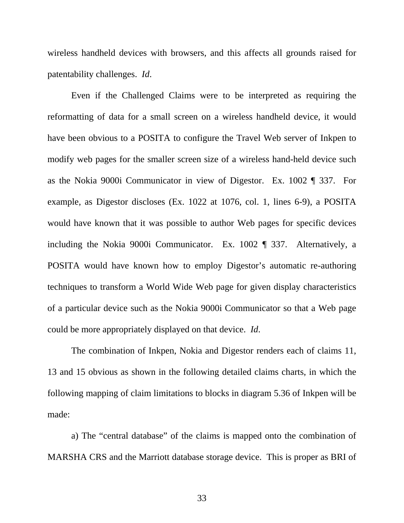wireless handheld devices with browsers, and this affects all grounds raised for patentability challenges. *Id*.

Even if the Challenged Claims were to be interpreted as requiring the reformatting of data for a small screen on a wireless handheld device, it would have been obvious to a POSITA to configure the Travel Web server of Inkpen to modify web pages for the smaller screen size of a wireless hand-held device such as the Nokia 9000i Communicator in view of Digestor. Ex. 1002 ¶ 337. For example, as Digestor discloses (Ex. 1022 at 1076, col. 1, lines 6-9), a POSITA would have known that it was possible to author Web pages for specific devices including the Nokia 9000i Communicator. Ex. 1002 ¶ 337. Alternatively, a POSITA would have known how to employ Digestor's automatic re-authoring techniques to transform a World Wide Web page for given display characteristics of a particular device such as the Nokia 9000i Communicator so that a Web page could be more appropriately displayed on that device. *Id*.

The combination of Inkpen, Nokia and Digestor renders each of claims 11, 13 and 15 obvious as shown in the following detailed claims charts, in which the following mapping of claim limitations to blocks in diagram 5.36 of Inkpen will be made:

a) The "central database" of the claims is mapped onto the combination of MARSHA CRS and the Marriott database storage device. This is proper as BRI of

33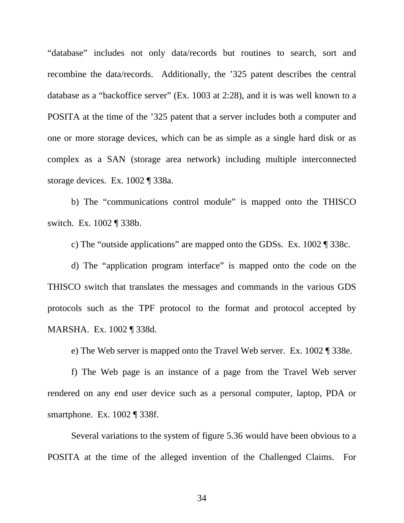"database" includes not only data/records but routines to search, sort and recombine the data/records. Additionally, the '325 patent describes the central database as a "backoffice server" (Ex. 1003 at 2:28), and it is was well known to a POSITA at the time of the '325 patent that a server includes both a computer and one or more storage devices, which can be as simple as a single hard disk or as complex as a SAN (storage area network) including multiple interconnected storage devices. Ex. 1002 ¶ 338a.

b) The "communications control module" is mapped onto the THISCO switch. Ex. 1002 ¶ 338b.

c) The "outside applications" are mapped onto the GDSs. Ex. 1002 ¶ 338c.

d) The "application program interface" is mapped onto the code on the THISCO switch that translates the messages and commands in the various GDS protocols such as the TPF protocol to the format and protocol accepted by MARSHA. Ex. 1002 ¶ 338d.

e) The Web server is mapped onto the Travel Web server. Ex. 1002 ¶ 338e.

f) The Web page is an instance of a page from the Travel Web server rendered on any end user device such as a personal computer, laptop, PDA or smartphone. Ex. 1002 ¶ 338f.

Several variations to the system of figure 5.36 would have been obvious to a POSITA at the time of the alleged invention of the Challenged Claims. For

34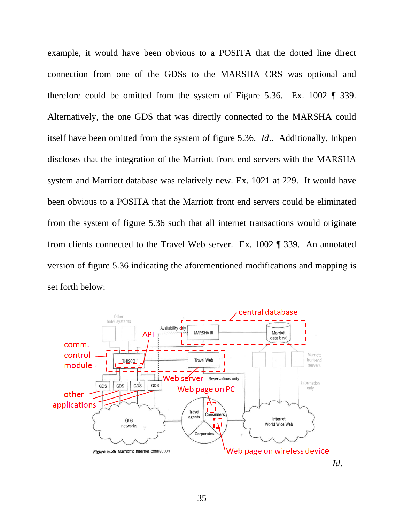example, it would have been obvious to a POSITA that the dotted line direct connection from one of the GDSs to the MARSHA CRS was optional and therefore could be omitted from the system of Figure 5.36. Ex. 1002 ¶ 339. Alternatively, the one GDS that was directly connected to the MARSHA could itself have been omitted from the system of figure 5.36. *Id*.. Additionally, Inkpen discloses that the integration of the Marriott front end servers with the MARSHA system and Marriott database was relatively new. Ex. 1021 at 229. It would have been obvious to a POSITA that the Marriott front end servers could be eliminated from the system of figure 5.36 such that all internet transactions would originate from clients connected to the Travel Web server. Ex. 1002 ¶ 339. An annotated version of figure 5.36 indicating the aforementioned modifications and mapping is set forth below:

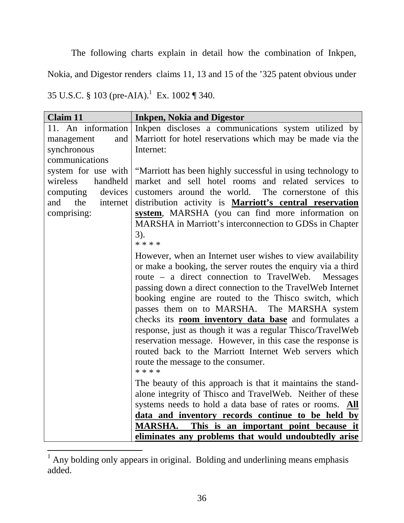The following charts explain in detail how the combination of Inkpen, Nokia, and Digestor renders claims 11, 13 and 15 of the '325 patent obvious under 35 U.S.C. § 103 (pre-AIA).<sup>1</sup> Ex. 1002 ¶ 340.

| <b>Claim 11</b>        | <b>Inkpen, Nokia and Digestor</b>                              |
|------------------------|----------------------------------------------------------------|
| 11. An information     | Inkpen discloses a communications system utilized by           |
| and<br>management      | Marriott for hotel reservations which may be made via the      |
| synchronous            | Internet:                                                      |
| communications         |                                                                |
| system for use with    | "Marriott has been highly successful in using technology to    |
| wireless<br>handheld   | market and sell hotel rooms and related services to            |
| devices<br>computing   | customers around the world. The cornerstone of this            |
| and<br>the<br>internet | distribution activity is <b>Marriott's central reservation</b> |
| comprising:            | system, MARSHA (you can find more information on               |
|                        | MARSHA in Marriott's interconnection to GDSs in Chapter        |
|                        | $3)$ .                                                         |
|                        | * * * *                                                        |
|                        | However, when an Internet user wishes to view availability     |
|                        | or make a booking, the server routes the enquiry via a third   |
|                        | route – a direct connection to TravelWeb. Messages             |
|                        | passing down a direct connection to the TravelWeb Internet     |
|                        | booking engine are routed to the Thisco switch, which          |
|                        | passes them on to MARSHA. The MARSHA system                    |
|                        | checks its <b>room inventory data base</b> and formulates a    |
|                        | response, just as though it was a regular Thisco/TravelWeb     |
|                        | reservation message. However, in this case the response is     |
|                        | routed back to the Marriott Internet Web servers which         |
|                        | route the message to the consumer.                             |
|                        | $***$ * *                                                      |
|                        | The beauty of this approach is that it maintains the stand-    |
|                        | alone integrity of Thisco and TravelWeb. Neither of these      |
|                        | systems needs to hold a data base of rates or rooms. All       |
|                        | data and inventory records continue to be held by              |
|                        | MARSHA. This is an important point because it                  |
|                        | eliminates any problems that would undoubtedly arise           |

<sup>&</sup>lt;sup>1</sup> Any bolding only appears in original. Bolding and underlining means emphasis added.

 $\overline{a}$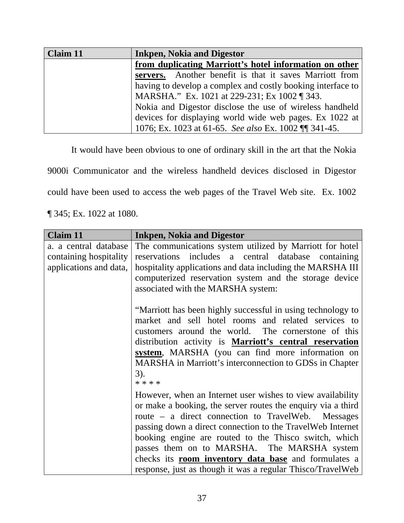| <b>Claim 11</b> | <b>Inkpen, Nokia and Digestor</b>                           |
|-----------------|-------------------------------------------------------------|
|                 | from duplicating Marriott's hotel information on other      |
|                 | servers. Another benefit is that it saves Marriott from     |
|                 | having to develop a complex and costly booking interface to |
|                 | MARSHA." Ex. 1021 at 229-231; Ex 1002 ¶ 343.                |
|                 | Nokia and Digestor disclose the use of wireless handheld    |
|                 | devices for displaying world wide web pages. Ex 1022 at     |
|                 | 1076; Ex. 1023 at 61-65. See also Ex. 1002 \[\] 341-45.     |

It would have been obvious to one of ordinary skill in the art that the Nokia

9000i Communicator and the wireless handheld devices disclosed in Digestor

could have been used to access the web pages of the Travel Web site. Ex. 1002

¶ 345; Ex. 1022 at 1080.

| <b>Claim 11</b>        | <b>Inkpen, Nokia and Digestor</b>                                                                                                                                                                                                                                                                                                                                               |
|------------------------|---------------------------------------------------------------------------------------------------------------------------------------------------------------------------------------------------------------------------------------------------------------------------------------------------------------------------------------------------------------------------------|
| a. a central database  | The communications system utilized by Marriott for hotel                                                                                                                                                                                                                                                                                                                        |
| containing hospitality | reservations includes a central database containing                                                                                                                                                                                                                                                                                                                             |
| applications and data, | hospitality applications and data including the MARSHA III                                                                                                                                                                                                                                                                                                                      |
|                        | computerized reservation system and the storage device                                                                                                                                                                                                                                                                                                                          |
|                        | associated with the MARSHA system:                                                                                                                                                                                                                                                                                                                                              |
|                        | "Marriott has been highly successful in using technology to<br>market and sell hotel rooms and related services to<br>customers around the world. The cornerstone of this<br>distribution activity is <b>Marriott's central reservation</b><br>system, MARSHA (you can find more information on<br>MARSHA in Marriott's interconnection to GDSs in Chapter<br>$3)$ .<br>* * * * |
|                        | However, when an Internet user wishes to view availability                                                                                                                                                                                                                                                                                                                      |
|                        | or make a booking, the server routes the enquiry via a third                                                                                                                                                                                                                                                                                                                    |
|                        | route – a direct connection to TravelWeb. Messages                                                                                                                                                                                                                                                                                                                              |
|                        | passing down a direct connection to the TravelWeb Internet                                                                                                                                                                                                                                                                                                                      |
|                        | booking engine are routed to the Thisco switch, which                                                                                                                                                                                                                                                                                                                           |
|                        | passes them on to MARSHA. The MARSHA system                                                                                                                                                                                                                                                                                                                                     |
|                        | checks its <b>room inventory data base</b> and formulates a                                                                                                                                                                                                                                                                                                                     |
|                        | response, just as though it was a regular Thisco/TravelWeb                                                                                                                                                                                                                                                                                                                      |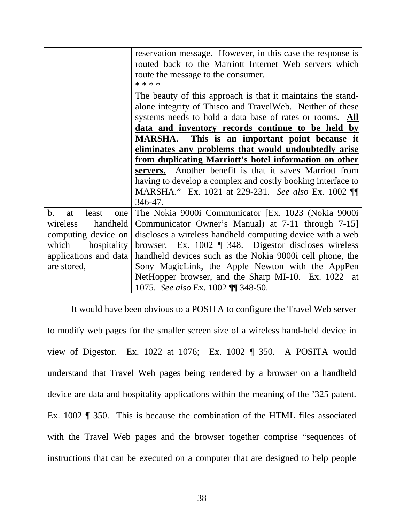|                          | reservation message. However, in this case the response is<br>routed back to the Marriott Internet Web servers which<br>route the message to the consumer.<br>* * * *                                                                     |
|--------------------------|-------------------------------------------------------------------------------------------------------------------------------------------------------------------------------------------------------------------------------------------|
|                          | The beauty of this approach is that it maintains the stand-<br>alone integrity of Thisco and TravelWeb. Neither of these<br>systems needs to hold a data base of rates or rooms. All<br>data and inventory records continue to be held by |
|                          | <b>MARSHA.</b> This is an important point because it                                                                                                                                                                                      |
|                          | eliminates any problems that would undoubtedly arise                                                                                                                                                                                      |
|                          | <u>from duplicating Marriott's hotel information on other</u>                                                                                                                                                                             |
|                          | Another benefit is that it saves Marriott from<br>servers.                                                                                                                                                                                |
|                          | having to develop a complex and costly booking interface to                                                                                                                                                                               |
|                          | MARSHA." Ex. 1021 at 229-231. See also Ex. 1002 1                                                                                                                                                                                         |
|                          | 346-47.                                                                                                                                                                                                                                   |
| b.<br>least<br>at<br>one | The Nokia 9000i Communicator [Ex. 1023 (Nokia 9000i)                                                                                                                                                                                      |
| handheld<br>wireless     | Communicator Owner's Manual) at 7-11 through 7-15]                                                                                                                                                                                        |
| computing device on      | discloses a wireless handheld computing device with a web                                                                                                                                                                                 |
| which<br>hospitality     | browser. Ex. $1002 \text{ } \text{\ensuremath{\mathfrak{q}}}$ 348. Digestor discloses wireless                                                                                                                                            |
| applications and data    | handheld devices such as the Nokia 9000i cell phone, the                                                                                                                                                                                  |
| are stored,              | Sony MagicLink, the Apple Newton with the AppPen                                                                                                                                                                                          |
|                          | NetHopper browser, and the Sharp MI-10. Ex. 1022 at                                                                                                                                                                                       |
|                          | 1075. See also Ex. 1002 ¶¶ 348-50.                                                                                                                                                                                                        |

It would have been obvious to a POSITA to configure the Travel Web server to modify web pages for the smaller screen size of a wireless hand-held device in view of Digestor. Ex. 1022 at 1076; Ex. 1002 ¶ 350. A POSITA would understand that Travel Web pages being rendered by a browser on a handheld device are data and hospitality applications within the meaning of the '325 patent. Ex. 1002 ¶ 350. This is because the combination of the HTML files associated with the Travel Web pages and the browser together comprise "sequences of instructions that can be executed on a computer that are designed to help people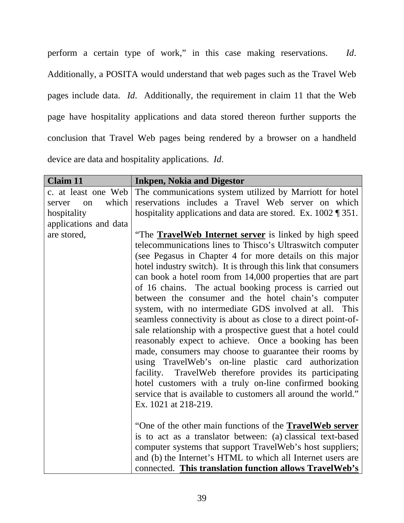perform a certain type of work," in this case making reservations. *Id*. Additionally, a POSITA would understand that web pages such as the Travel Web pages include data. *Id*. Additionally, the requirement in claim 11 that the Web page have hospitality applications and data stored thereon further supports the conclusion that Travel Web pages being rendered by a browser on a handheld device are data and hospitality applications. *Id*.

| <b>Claim 11</b>       | <b>Inkpen, Nokia and Digestor</b>                                         |
|-----------------------|---------------------------------------------------------------------------|
| c. at least one Web   | The communications system utilized by Marriott for hotel                  |
| which<br>server<br>on | reservations includes a Travel Web server on which                        |
| hospitality           | hospitality applications and data are stored. Ex. $1002 \text{ % } 351$ . |
| applications and data |                                                                           |
| are stored,           | "The <b>TravelWeb Internet server</b> is linked by high speed             |
|                       | telecommunications lines to Thisco's Ultraswitch computer                 |
|                       | (see Pegasus in Chapter 4 for more details on this major                  |
|                       | hotel industry switch). It is through this link that consumers            |
|                       | can book a hotel room from 14,000 properties that are part                |
|                       | of 16 chains. The actual booking process is carried out                   |
|                       | between the consumer and the hotel chain's computer                       |
|                       | system, with no intermediate GDS involved at all. This                    |
|                       | seamless connectivity is about as close to a direct point-of-             |
|                       | sale relationship with a prospective guest that a hotel could             |
|                       | reasonably expect to achieve. Once a booking has been                     |
|                       | made, consumers may choose to guarantee their rooms by                    |
|                       | using TravelWeb's on-line plastic card authorization                      |
|                       | facility. TravelWeb therefore provides its participating                  |
|                       | hotel customers with a truly on-line confirmed booking                    |
|                       | service that is available to customers all around the world."             |
|                       | Ex. 1021 at 218-219.                                                      |
|                       |                                                                           |
|                       | "One of the other main functions of the <b>TravelWeb server</b>           |
|                       | is to act as a translator between: (a) classical text-based               |
|                       | computer systems that support TravelWeb's host suppliers;                 |
|                       | and (b) the Internet's HTML to which all Internet users are               |
|                       | connected. This translation function allows TravelWeb's                   |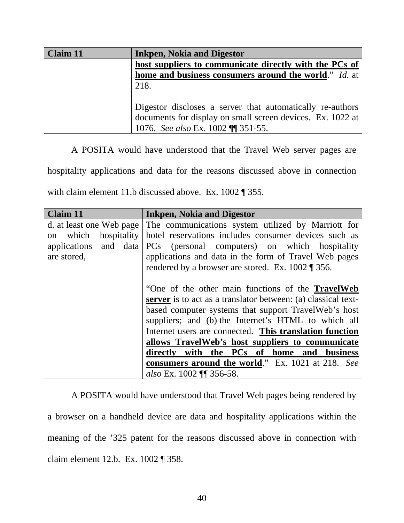| <b>Claim 11</b> | <b>Inkpen, Nokia and Digestor</b>                                    |
|-----------------|----------------------------------------------------------------------|
|                 | host suppliers to communicate directly with the PCs of               |
|                 | <b>home and business consumers around the world.</b> " <i>Id.</i> at |
|                 | 218.                                                                 |
|                 |                                                                      |
|                 | Digestor discloses a server that automatically re-authors            |
|                 | documents for display on small screen devices. Ex. 1022 at           |
|                 | 1076. See also Ex. 1002 ¶ 351-55.                                    |

A POSITA would have understood that the Travel Web server pages are

hospitality applications and data for the reasons discussed above in connection

with claim element 11.b discussed above. Ex. 1002 ¶ 355.

| Claim 11                                                                                       | <b>Inkpen, Nokia and Digestor</b>                                                                                                                                                                                                                                                                                                                                                                            |
|------------------------------------------------------------------------------------------------|--------------------------------------------------------------------------------------------------------------------------------------------------------------------------------------------------------------------------------------------------------------------------------------------------------------------------------------------------------------------------------------------------------------|
| d. at least one Web page<br>which<br>hospitality<br>on<br>applications and data<br>are stored, | The communications system utilized by Marriott for<br>hotel reservations includes consumer devices such as<br>PCs (personal computers) on which hospitality<br>applications and data in the form of Travel Web pages<br>rendered by a browser are stored. Ex. $1002 \text{ T}$ 356.                                                                                                                          |
|                                                                                                | "One of the other main functions of the <b>TravelWeb</b><br><b>server</b> is to act as a translator between: (a) classical text-<br>based computer systems that support TravelWeb's host<br>suppliers; and (b) the Internet's HTML to which all<br>Internet users are connected. This translation function<br>allows TravelWeb's host suppliers to communicate<br>directly with the PCs of home and business |
|                                                                                                | consumers around the world." Ex. 1021 at 218. See                                                                                                                                                                                                                                                                                                                                                            |
|                                                                                                | also Ex. 1002 ¶ 356-58.                                                                                                                                                                                                                                                                                                                                                                                      |

A POSITA would have understood that Travel Web pages being rendered by a browser on a handheld device are data and hospitality applications within the meaning of the '325 patent for the reasons discussed above in connection with claim element 12.b. Ex. 1002 ¶ 358.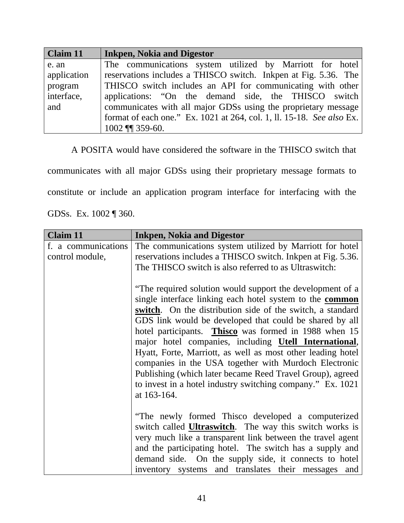| Claim 11    | <b>Inkpen, Nokia and Digestor</b>                                     |
|-------------|-----------------------------------------------------------------------|
| e. an       | The communications system utilized by Marriott for hotel              |
| application | reservations includes a THISCO switch. In kpen at Fig. 5.36. The      |
| program     | THISCO switch includes an API for communicating with other            |
| interface,  | applications: "On the demand side, the THISCO switch                  |
| and         | communicates with all major GDSs using the proprietary message        |
|             | format of each one." Ex. 1021 at 264, col. 1, ll. 15-18. See also Ex. |
|             | 1002 ¶ 359-60.                                                        |

A POSITA would have considered the software in the THISCO switch that

communicates with all major GDSs using their proprietary message formats to

constitute or include an application program interface for interfacing with the

GDSs. Ex. 1002 ¶ 360.

| <b>Claim 11</b>                        | <b>Inkpen, Nokia and Digestor</b>                                                                                             |
|----------------------------------------|-------------------------------------------------------------------------------------------------------------------------------|
| f. a communications<br>control module, | The communications system utilized by Marriott for hotel<br>reservations includes a THISCO switch. Inkpen at Fig. 5.36.       |
|                                        | The THISCO switch is also referred to as Ultraswitch:<br>"The required solution would support the development of a            |
|                                        | single interface linking each hotel system to the <b>common</b><br>switch. On the distribution side of the switch, a standard |
|                                        | GDS link would be developed that could be shared by all<br>hotel participants. Thisco was formed in 1988 when 15              |
|                                        | major hotel companies, including <b>Utell International</b> ,<br>Hyatt, Forte, Marriott, as well as most other leading hotel  |
|                                        | companies in the USA together with Murdoch Electronic<br>Publishing (which later became Reed Travel Group), agreed            |
|                                        | to invest in a hotel industry switching company." Ex. 1021<br>at 163-164.                                                     |
|                                        | "The newly formed Thisco developed a computerized                                                                             |
|                                        | switch called <b>Ultraswitch</b> . The way this switch works is                                                               |
|                                        | very much like a transparent link between the travel agent<br>and the participating hotel. The switch has a supply and        |
|                                        | demand side. On the supply side, it connects to hotel<br>inventory systems and translates their messages<br>and               |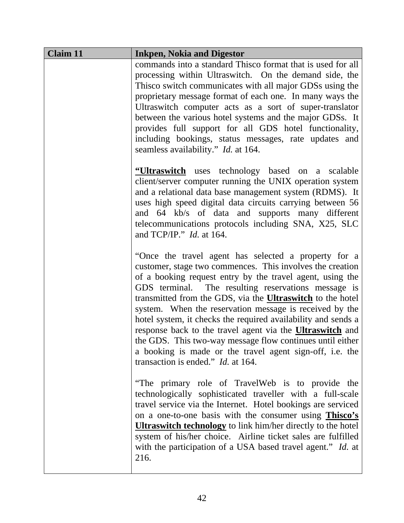| <b>Claim 11</b> | <b>Inkpen, Nokia and Digestor</b>                                                                                                                                                                                                                                                                                                                                                                                                                                                                                                                                                                                                                                                |
|-----------------|----------------------------------------------------------------------------------------------------------------------------------------------------------------------------------------------------------------------------------------------------------------------------------------------------------------------------------------------------------------------------------------------------------------------------------------------------------------------------------------------------------------------------------------------------------------------------------------------------------------------------------------------------------------------------------|
|                 | commands into a standard Thisco format that is used for all<br>processing within Ultraswitch. On the demand side, the<br>This control communicates with all major GDSs using the<br>proprietary message format of each one. In many ways the<br>Ultraswitch computer acts as a sort of super-translator<br>between the various hotel systems and the major GDSs. It<br>provides full support for all GDS hotel functionality,<br>including bookings, status messages, rate updates and<br>seamless availability." <i>Id.</i> at 164.                                                                                                                                             |
|                 | "Ultraswitch uses technology based on a scalable<br>client/server computer running the UNIX operation system<br>and a relational data base management system (RDMS). It<br>uses high speed digital data circuits carrying between 56<br>and 64 kb/s of data and supports many different<br>telecommunications protocols including SNA, X25, SLC<br>and TCP/IP." $Id.$ at 164.                                                                                                                                                                                                                                                                                                    |
|                 | "Once the travel agent has selected a property for a<br>customer, stage two commences. This involves the creation<br>of a booking request entry by the travel agent, using the<br>GDS terminal. The resulting reservations message is<br>transmitted from the GDS, via the <b>Ultraswitch</b> to the hotel<br>system. When the reservation message is received by the<br>hotel system, it checks the required availability and sends a<br>response back to the travel agent via the <b>Ultraswitch</b> and<br>the GDS. This two-way message flow continues until either<br>a booking is made or the travel agent sign-off, i.e. the<br>transaction is ended." <i>Id.</i> at 164. |
|                 | "The primary role of TravelWeb is to provide the<br>technologically sophisticated traveller with a full-scale<br>travel service via the Internet. Hotel bookings are serviced<br>on a one-to-one basis with the consumer using <b>Thisco's</b><br><b>Ultraswitch technology</b> to link him/her directly to the hotel<br>system of his/her choice. Airline ticket sales are fulfilled<br>with the participation of a USA based travel agent." Id. at<br>216.                                                                                                                                                                                                                     |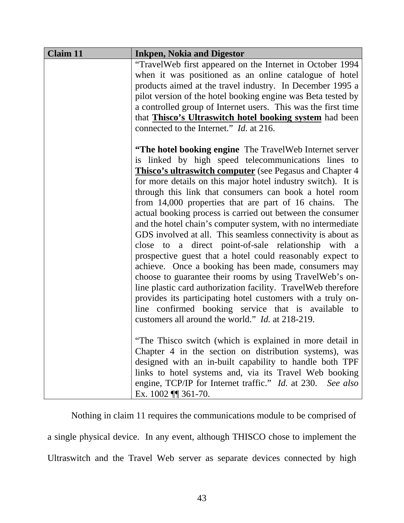| <b>Claim 11</b> | <b>Inkpen, Nokia and Digestor</b>                              |
|-----------------|----------------------------------------------------------------|
|                 | "TravelWeb first appeared on the Internet in October 1994      |
|                 | when it was positioned as an online catalogue of hotel         |
|                 | products aimed at the travel industry. In December 1995 a      |
|                 | pilot version of the hotel booking engine was Beta tested by   |
|                 | a controlled group of Internet users. This was the first time  |
|                 | that <b>Thisco's Ultraswitch hotel booking system</b> had been |
|                 | connected to the Internet." <i>Id.</i> at 216.                 |
|                 | "The hotel booking engine The TravelWeb Internet server        |
|                 | is linked by high speed telecommunications lines to            |
|                 | Thisco's ultraswitch computer (see Pegasus and Chapter 4       |
|                 | for more details on this major hotel industry switch). It is   |
|                 | through this link that consumers can book a hotel room         |
|                 | from 14,000 properties that are part of 16 chains. The         |
|                 | actual booking process is carried out between the consumer     |
|                 | and the hotel chain's computer system, with no intermediate    |
|                 | GDS involved at all. This seamless connectivity is about as    |
|                 | close to a direct point-of-sale relationship with a            |
|                 | prospective guest that a hotel could reasonably expect to      |
|                 | achieve. Once a booking has been made, consumers may           |
|                 | choose to guarantee their rooms by using TravelWeb's on-       |
|                 | line plastic card authorization facility. TravelWeb therefore  |
|                 | provides its participating hotel customers with a truly on-    |
|                 | line confirmed booking service that is available to            |
|                 | customers all around the world." Id. at 218-219.               |
|                 | "The Thisco switch (which is explained in more detail in       |
|                 | Chapter 4 in the section on distribution systems), was         |
|                 | designed with an in-built capability to handle both TPF        |
|                 | links to hotel systems and, via its Travel Web booking         |
|                 | engine, TCP/IP for Internet traffic." Id. at 230. See also     |
|                 | Ex. $1002$ ¶ 361-70.                                           |

Nothing in claim 11 requires the communications module to be comprised of a single physical device. In any event, although THISCO chose to implement the Ultraswitch and the Travel Web server as separate devices connected by high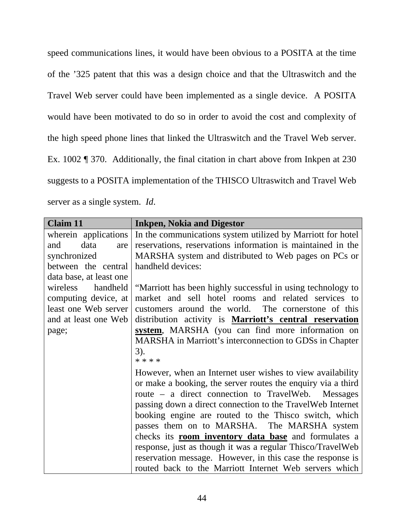speed communications lines, it would have been obvious to a POSITA at the time of the '325 patent that this was a design choice and that the Ultraswitch and the Travel Web server could have been implemented as a single device. A POSITA would have been motivated to do so in order to avoid the cost and complexity of the high speed phone lines that linked the Ultraswitch and the Travel Web server. Ex. 1002 ¶ 370. Additionally, the final citation in chart above from Inkpen at 230 suggests to a POSITA implementation of the THISCO Ultraswitch and Travel Web server as a single system. *Id*.

| <b>Claim 11</b>         | <b>Inkpen, Nokia and Digestor</b>                                                |
|-------------------------|----------------------------------------------------------------------------------|
|                         | wherein applications In the communications system utilized by Marriott for hotel |
| data<br>and<br>are      | reservations, reservations information is maintained in the                      |
| synchronized            | MARSHA system and distributed to Web pages on PCs or                             |
| between the central     | handheld devices:                                                                |
| data base, at least one |                                                                                  |
| handheld<br>wireless    | "Marriott has been highly successful in using technology to                      |
| computing device, at    | market and sell hotel rooms and related services to                              |
| least one Web server    | customers around the world. The cornerstone of this                              |
| and at least one Web    | distribution activity is <b>Marriott's central reservation</b>                   |
| page;                   | system, MARSHA (you can find more information on                                 |
|                         | MARSHA in Marriott's interconnection to GDSs in Chapter                          |
|                         | $3)$ .                                                                           |
|                         | * * * *                                                                          |
|                         | However, when an Internet user wishes to view availability                       |
|                         | or make a booking, the server routes the enquiry via a third                     |
|                         | route – a direct connection to TravelWeb. Messages                               |
|                         | passing down a direct connection to the TravelWeb Internet                       |
|                         | booking engine are routed to the Thisco switch, which                            |
|                         | passes them on to MARSHA. The MARSHA system                                      |
|                         | checks its <b>room inventory data base</b> and formulates a                      |
|                         | response, just as though it was a regular Thisco/TravelWeb                       |
|                         | reservation message. However, in this case the response is                       |
|                         | routed back to the Marriott Internet Web servers which                           |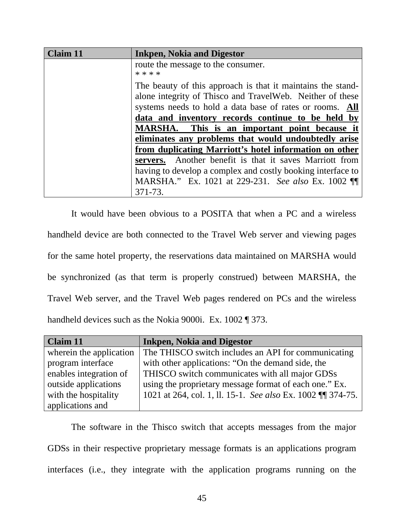| Claim 11 | <b>Inkpen, Nokia and Digestor</b>                           |
|----------|-------------------------------------------------------------|
|          | route the message to the consumer.                          |
|          | * * * *                                                     |
|          | The beauty of this approach is that it maintains the stand- |
|          | alone integrity of Thisco and TravelWeb. Neither of these   |
|          | systems needs to hold a data base of rates or rooms. All    |
|          | data and inventory records continue to be held by           |
|          | MARSHA. This is an important point because it               |
|          | eliminates any problems that would undoubtedly arise        |
|          | from duplicating Marriott's hotel information on other      |
|          | Another benefit is that it saves Marriott from<br>servers.  |
|          | having to develop a complex and costly booking interface to |
|          | MARSHA." Ex. 1021 at 229-231. See also Ex. 1002 1           |
|          | 371-73.                                                     |

It would have been obvious to a POSITA that when a PC and a wireless handheld device are both connected to the Travel Web server and viewing pages for the same hotel property, the reservations data maintained on MARSHA would be synchronized (as that term is properly construed) between MARSHA, the Travel Web server, and the Travel Web pages rendered on PCs and the wireless handheld devices such as the Nokia 9000i. Ex. 1002 ¶ 373.

| <b>Claim 11</b>         | <b>Inkpen, Nokia and Digestor</b>                           |
|-------------------------|-------------------------------------------------------------|
| wherein the application | The THISCO switch includes an API for communicating         |
| program interface       | with other applications: "On the demand side, the           |
| enables integration of  | THISCO switch communicates with all major GDSs              |
| outside applications    | using the proprietary message format of each one." Ex.      |
| with the hospitality    | 1021 at 264, col. 1, 11. 15-1. See also Ex. 1002 \\ 374-75. |
| applications and        |                                                             |

The software in the Thisco switch that accepts messages from the major GDSs in their respective proprietary message formats is an applications program interfaces (i.e., they integrate with the application programs running on the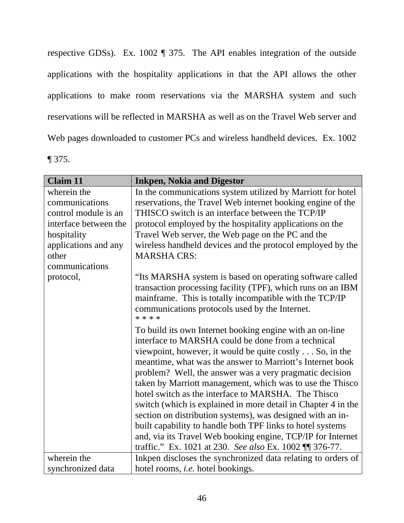respective GDSs). Ex. 1002 ¶ 375. The API enables integration of the outside applications with the hospitality applications in that the API allows the other applications to make room reservations via the MARSHA system and such reservations will be reflected in MARSHA as well as on the Travel Web server and Web pages downloaded to customer PCs and wireless handheld devices. Ex. 1002 ¶ 375.

| <b>Claim 11</b>       | <b>Inkpen, Nokia and Digestor</b>                                                                                       |
|-----------------------|-------------------------------------------------------------------------------------------------------------------------|
| wherein the           | In the communications system utilized by Marriott for hotel                                                             |
| communications        | reservations, the Travel Web internet booking engine of the                                                             |
| control module is an  | THISCO switch is an interface between the TCP/IP                                                                        |
| interface between the | protocol employed by the hospitality applications on the                                                                |
| hospitality           | Travel Web server, the Web page on the PC and the                                                                       |
| applications and any  | wireless handheld devices and the protocol employed by the                                                              |
| other                 | <b>MARSHA CRS:</b>                                                                                                      |
| communications        |                                                                                                                         |
| protocol,             | "Its MARSHA system is based on operating software called<br>transaction processing facility (TPF), which runs on an IBM |
|                       | mainframe. This is totally incompatible with the TCP/IP                                                                 |
|                       | communications protocols used by the Internet.<br>* * * *                                                               |
|                       | To build its own Internet booking engine with an on-line                                                                |
|                       | interface to MARSHA could be done from a technical                                                                      |
|                       | viewpoint, however, it would be quite costly So, in the                                                                 |
|                       | meantime, what was the answer to Marriott's Internet book                                                               |
|                       | problem? Well, the answer was a very pragmatic decision                                                                 |
|                       | taken by Marriott management, which was to use the Thisco                                                               |
|                       | hotel switch as the interface to MARSHA. The Thisco                                                                     |
|                       | switch (which is explained in more detail in Chapter 4 in the                                                           |
|                       | section on distribution systems), was designed with an in-                                                              |
|                       | built capability to handle both TPF links to hotel systems                                                              |
|                       | and, via its Travel Web booking engine, TCP/IP for Internet                                                             |
|                       | traffic." Ex. 1021 at 230. See also Ex. 1002 [[ 376-77.                                                                 |
| wherein the           | Inkpen discloses the synchronized data relating to orders of                                                            |
| synchronized data     | hotel rooms, <i>i.e.</i> hotel bookings.                                                                                |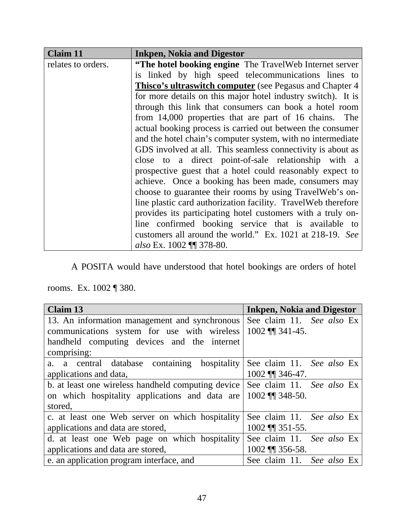| <b>Claim 11</b>    | <b>Inkpen, Nokia and Digestor</b>                              |
|--------------------|----------------------------------------------------------------|
| relates to orders. | "The hotel booking engine The TravelWeb Internet server        |
|                    | is linked by high speed telecommunications lines to            |
|                    | Thisco's ultraswitch computer (see Pegasus and Chapter 4       |
|                    | for more details on this major hotel industry switch). It is   |
|                    | through this link that consumers can book a hotel room         |
|                    | from 14,000 properties that are part of 16 chains. The         |
|                    | actual booking process is carried out between the consumer     |
|                    | and the hotel chain's computer system, with no intermediate    |
|                    | GDS involved at all. This seamless connectivity is about as    |
|                    | close to a direct point-of-sale relationship with a            |
|                    | prospective guest that a hotel could reasonably expect to      |
|                    | achieve. Once a booking has been made, consumers may           |
|                    | choose to guarantee their rooms by using TravelWeb's on-       |
|                    | line plastic card authorization facility. Travel Web therefore |
|                    | provides its participating hotel customers with a truly on-    |
|                    | line confirmed booking service that is available to            |
|                    | customers all around the world." Ex. 1021 at 218-19. See       |
|                    | also Ex. 1002 ¶¶ 378-80.                                       |

A POSITA would have understood that hotel bookings are orders of hotel

rooms. Ex. 1002 ¶ 380.

| <b>Claim 13</b>                                                              | <b>Inkpen, Nokia and Digestor</b> |
|------------------------------------------------------------------------------|-----------------------------------|
| 13. An information management and synchronous                                | See claim 11. See also Ex         |
| communications system for use with wireless                                  | 1002 <b>11</b> 341-45.            |
| handheld computing devices and the internet                                  |                                   |
| comprising:                                                                  |                                   |
| a. a central database containing<br>hospitality                              | See claim 11. See also Ex         |
| applications and data,                                                       | $1002$ ¶ 346-47.                  |
| b. at least one wireless handheld computing device See claim 11. See also Ex |                                   |
| on which hospitality applications and data are                               | 1002 $\P$ 348-50.                 |
| stored,                                                                      |                                   |
| c. at least one Web server on which hospitality                              | See claim 11. See also Ex         |
| applications and data are stored,                                            | 1002 ¶ 351-55.                    |
| d. at least one Web page on which hospitality                                | See claim 11. See also Ex         |
| applications and data are stored,                                            | 1002 ¶ 356-58.                    |
| e. an application program interface, and                                     | See claim 11. See also Ex         |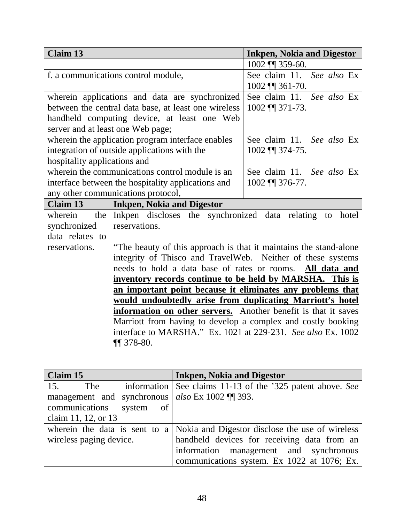| <b>Claim 13</b>                                            |                                                                    | <b>Inkpen, Nokia and Digestor</b> |
|------------------------------------------------------------|--------------------------------------------------------------------|-----------------------------------|
|                                                            |                                                                    | 1002 $\P$ 359-60.                 |
| f. a communications control module,                        |                                                                    | See claim 11. See also Ex         |
|                                                            |                                                                    | $1002$ ¶ 361-70.                  |
|                                                            | wherein applications and data are synchronized                     | See claim 11. See also Ex         |
|                                                            | between the central data base, at least one wireless               | 1002 ¶ 371-73.                    |
| handheld computing device, at least one Web                |                                                                    |                                   |
|                                                            | server and at least one Web page;                                  |                                   |
|                                                            | wherein the application program interface enables                  | See claim 11. See also Ex         |
|                                                            | integration of outside applications with the                       | 1002 ¶ 374-75.                    |
| hospitality applications and                               |                                                                    |                                   |
|                                                            | wherein the communications control module is an                    | See claim 11. See also Ex         |
|                                                            | interface between the hospitality applications and                 | 1002 ¶ 376-77.                    |
|                                                            | any other communications protocol,                                 |                                   |
| Claim 13                                                   | <b>Inkpen, Nokia and Digestor</b>                                  |                                   |
| wherein                                                    | the Inkpen discloses the synchronized data relating to hotel       |                                   |
| synchronized                                               | reservations.                                                      |                                   |
| data relates to                                            |                                                                    |                                   |
| reservations.                                              | "The beauty of this approach is that it maintains the stand-alone" |                                   |
|                                                            | integrity of Thisco and TravelWeb. Neither of these systems        |                                   |
|                                                            | needs to hold a data base of rates or rooms. All data and          |                                   |
| inventory records continue to be held by MARSHA. This is   |                                                                    |                                   |
| an important point because it eliminates any problems that |                                                                    |                                   |
|                                                            | would undoubtedly arise from duplicating Marriott's hotel          |                                   |
|                                                            | information on other servers. Another benefit is that it saves     |                                   |
|                                                            | Marriott from having to develop a complex and costly booking       |                                   |
|                                                            | interface to MARSHA." Ex. 1021 at 229-231. See also Ex. 1002       |                                   |
|                                                            | $\P$ 378-80.                                                       |                                   |

| Claim 15                                           | <b>Inkpen, Nokia and Digestor</b>                          |
|----------------------------------------------------|------------------------------------------------------------|
| 15.<br>The                                         | information See claims 11-13 of the '325 patent above. See |
| management and synchronous $ $ also Ex 1002 ¶ 393. |                                                            |
| communications system<br><sub>of</sub>             |                                                            |
| claim 11, 12, or 13                                |                                                            |
| wherein the data is sent to a                      | Nokia and Digestor disclose the use of wireless            |
| wireless paging device.                            | handheld devices for receiving data from an                |
|                                                    | information management and synchronous                     |
|                                                    | communications system. Ex 1022 at 1076; Ex.                |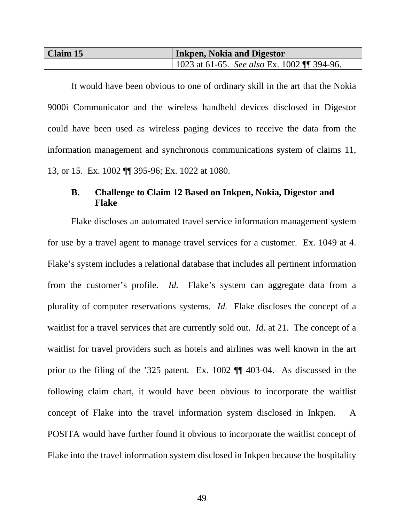| Claim 15 | <b>Inkpen, Nokia and Digestor</b>             |  |
|----------|-----------------------------------------------|--|
|          | 1023 at 61-65. See also Ex. 1002 $\P$ 394-96. |  |

It would have been obvious to one of ordinary skill in the art that the Nokia 9000i Communicator and the wireless handheld devices disclosed in Digestor could have been used as wireless paging devices to receive the data from the information management and synchronous communications system of claims 11, 13, or 15. Ex. 1002 ¶¶ 395-96; Ex. 1022 at 1080.

### **B. Challenge to Claim 12 Based on Inkpen, Nokia, Digestor and Flake**

Flake discloses an automated travel service information management system for use by a travel agent to manage travel services for a customer. Ex. 1049 at 4. Flake's system includes a relational database that includes all pertinent information from the customer's profile. *Id.* Flake's system can aggregate data from a plurality of computer reservations systems. *Id.* Flake discloses the concept of a waitlist for a travel services that are currently sold out. *Id*. at 21. The concept of a waitlist for travel providers such as hotels and airlines was well known in the art prior to the filing of the '325 patent. Ex. 1002 ¶¶ 403-04. As discussed in the following claim chart, it would have been obvious to incorporate the waitlist concept of Flake into the travel information system disclosed in Inkpen. A POSITA would have further found it obvious to incorporate the waitlist concept of Flake into the travel information system disclosed in Inkpen because the hospitality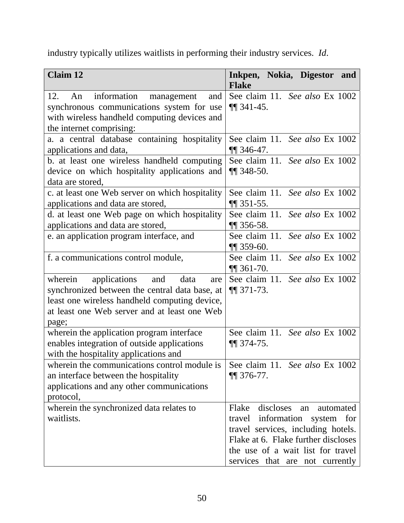industry typically utilizes waitlists in performing their industry services. *Id*.

| <b>Claim 12</b>                                                                                                                                                                                        | Inkpen, Nokia, Digestor and<br><b>Flake</b>                                                                                                                                                                                    |
|--------------------------------------------------------------------------------------------------------------------------------------------------------------------------------------------------------|--------------------------------------------------------------------------------------------------------------------------------------------------------------------------------------------------------------------------------|
| information management<br>12.<br>An<br>and<br>synchronous communications system for use<br>with wireless handheld computing devices and<br>the internet comprising:                                    | See claim 11. See also Ex 1002<br>$\P$ 341-45.                                                                                                                                                                                 |
| a. a central database containing hospitality<br>applications and data,                                                                                                                                 | See claim 11. See also Ex 1002<br>$\P$ 346-47.                                                                                                                                                                                 |
| b. at least one wireless handheld computing<br>device on which hospitality applications and<br>data are stored,                                                                                        | See claim 11. See also Ex 1002<br>$\P$ 348-50.                                                                                                                                                                                 |
| c. at least one Web server on which hospitality<br>applications and data are stored,                                                                                                                   | See claim 11. See also Ex 1002<br>$\P$ 351-55.                                                                                                                                                                                 |
| d. at least one Web page on which hospitality<br>applications and data are stored,                                                                                                                     | See claim 11. See also Ex 1002<br>$\P$ 356-58.                                                                                                                                                                                 |
| e. an application program interface, and                                                                                                                                                               | See claim 11. See also Ex 1002<br>$\P$ 359-60.                                                                                                                                                                                 |
| f. a communications control module,                                                                                                                                                                    | See claim 11. See also Ex 1002<br>$\P$ 361-70.                                                                                                                                                                                 |
| wherein<br>applications and<br>data<br>are<br>synchronized between the central data base, at<br>least one wireless handheld computing device,<br>at least one Web server and at least one Web<br>page; | See claim 11. See also Ex 1002<br>$\P$ 371-73.                                                                                                                                                                                 |
| wherein the application program interface<br>enables integration of outside applications<br>with the hospitality applications and                                                                      | See claim 11. See also Ex 1002<br>$\P\P$ 374-75.                                                                                                                                                                               |
| wherein the communications control module is<br>an interface between the hospitality<br>applications and any other communications<br>protocol,                                                         | See claim 11. See also Ex 1002<br>$\P$ 376-77.                                                                                                                                                                                 |
| wherein the synchronized data relates to<br>waitlists.                                                                                                                                                 | discloses<br>Flake<br>automated<br>an<br>information system for<br>travel<br>travel services, including hotels.<br>Flake at 6. Flake further discloses<br>the use of a wait list for travel<br>services that are not currently |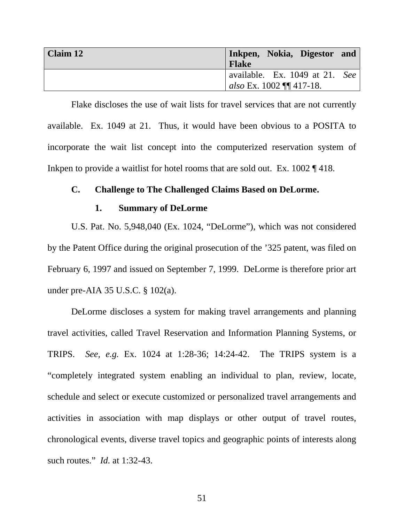| Claim 12 | Inkpen, Nokia, Digestor and<br><b>Flake</b>                       |
|----------|-------------------------------------------------------------------|
|          | available. Ex. 1049 at 21. See<br><i>also</i> Ex. 1002 ¶¶ 417-18. |

Flake discloses the use of wait lists for travel services that are not currently available. Ex. 1049 at 21. Thus, it would have been obvious to a POSITA to incorporate the wait list concept into the computerized reservation system of Inkpen to provide a waitlist for hotel rooms that are sold out. Ex. 1002 ¶ 418.

#### **C. Challenge to The Challenged Claims Based on DeLorme.**

#### **1. Summary of DeLorme**

U.S. Pat. No. 5,948,040 (Ex. 1024, "DeLorme"), which was not considered by the Patent Office during the original prosecution of the '325 patent, was filed on February 6, 1997 and issued on September 7, 1999. DeLorme is therefore prior art under pre-AIA 35 U.S.C. § 102(a).

DeLorme discloses a system for making travel arrangements and planning travel activities, called Travel Reservation and Information Planning Systems, or TRIPS. *See, e.g.* Ex. 1024 at 1:28-36; 14:24-42. The TRIPS system is a "completely integrated system enabling an individual to plan, review, locate, schedule and select or execute customized or personalized travel arrangements and activities in association with map displays or other output of travel routes, chronological events, diverse travel topics and geographic points of interests along such routes." *Id.* at 1:32-43.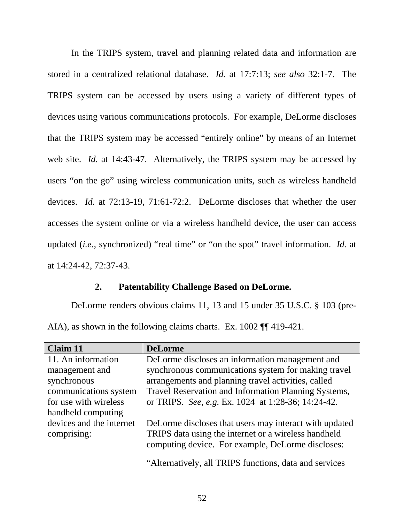In the TRIPS system, travel and planning related data and information are stored in a centralized relational database. *Id.* at 17:7:13; *see also* 32:1-7. The TRIPS system can be accessed by users using a variety of different types of devices using various communications protocols. For example, DeLorme discloses that the TRIPS system may be accessed "entirely online" by means of an Internet web site. *Id.* at 14:43-47. Alternatively, the TRIPS system may be accessed by users "on the go" using wireless communication units, such as wireless handheld devices. *Id.* at 72:13-19, 71:61-72:2. DeLorme discloses that whether the user accesses the system online or via a wireless handheld device, the user can access updated (*i.e.*, synchronized) "real time" or "on the spot" travel information. *Id.* at at 14:24-42, 72:37-43.

### **2. Patentability Challenge Based on DeLorme.**

DeLorme renders obvious claims 11, 13 and 15 under 35 U.S.C. § 103 (pre-AIA), as shown in the following claims charts. Ex. 1002 ¶¶ 419-421.

| <b>DeLorme</b>                                         |
|--------------------------------------------------------|
| DeLorme discloses an information management and        |
| synchronous communications system for making travel    |
| arrangements and planning travel activities, called    |
| Travel Reservation and Information Planning Systems,   |
| or TRIPS. See, e.g. Ex. 1024 at 1:28-36; 14:24-42.     |
|                                                        |
| DeLorme discloses that users may interact with updated |
| TRIPS data using the internet or a wireless handheld   |
| computing device. For example, DeLorme discloses:      |
| "Alternatively, all TRIPS functions, data and services |
|                                                        |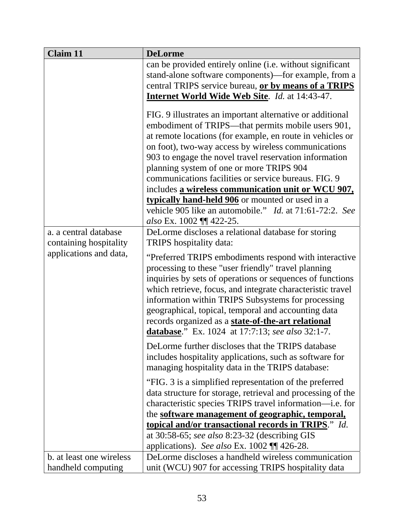| <b>Claim 11</b>                                 | <b>DeLorme</b>                                                                                                                                                                                                                                                                                                                                                                                                                                                                                                                                                                                                                                                                             |
|-------------------------------------------------|--------------------------------------------------------------------------------------------------------------------------------------------------------------------------------------------------------------------------------------------------------------------------------------------------------------------------------------------------------------------------------------------------------------------------------------------------------------------------------------------------------------------------------------------------------------------------------------------------------------------------------------------------------------------------------------------|
|                                                 | can be provided entirely online (i.e. without significant<br>stand-alone software components)-for example, from a<br>central TRIPS service bureau, or by means of a TRIPS<br><b>Internet World Wide Web Site. Id. at 14:43-47.</b>                                                                                                                                                                                                                                                                                                                                                                                                                                                         |
| a. a central database<br>containing hospitality | FIG. 9 illustrates an important alternative or additional<br>embodiment of TRIPS—that permits mobile users 901,<br>at remote locations (for example, en route in vehicles or<br>on foot), two-way access by wireless communications<br>903 to engage the novel travel reservation information<br>planning system of one or more TRIPS 904<br>communications facilities or service bureaus. FIG. 9<br>includes a wireless communication unit or WCU 907,<br>typically hand-held 906 or mounted or used in a<br>vehicle 905 like an automobile." <i>Id.</i> at 71:61-72:2. See<br>also Ex. 1002 ¶¶ 422-25.<br>DeLorme discloses a relational database for storing<br>TRIPS hospitality data: |
| applications and data,                          | "Preferred TRIPS embodiments respond with interactive<br>processing to these "user friendly" travel planning<br>inquiries by sets of operations or sequences of functions<br>which retrieve, focus, and integrate characteristic travel<br>information within TRIPS Subsystems for processing<br>geographical, topical, temporal and accounting data<br>records organized as a state-of-the-art relational<br>database." Ex. 1024 at 17:7:13; see also 32:1-7.                                                                                                                                                                                                                             |
|                                                 | DeLorme further discloses that the TRIPS database<br>includes hospitality applications, such as software for<br>managing hospitality data in the TRIPS database:                                                                                                                                                                                                                                                                                                                                                                                                                                                                                                                           |
|                                                 | "FIG. 3 is a simplified representation of the preferred<br>data structure for storage, retrieval and processing of the<br>characteristic species TRIPS travel information—i.e. for<br>the software management of geographic, temporal,<br>topical and/or transactional records in TRIPS." Id.<br>at 30:58-65; see also 8:23-32 (describing GIS                                                                                                                                                                                                                                                                                                                                             |
| b. at least one wireless                        | applications). See also Ex. $1002$ ¶ 426-28.<br>DeLorme discloses a handheld wireless communication                                                                                                                                                                                                                                                                                                                                                                                                                                                                                                                                                                                        |
| handheld computing                              | unit (WCU) 907 for accessing TRIPS hospitality data                                                                                                                                                                                                                                                                                                                                                                                                                                                                                                                                                                                                                                        |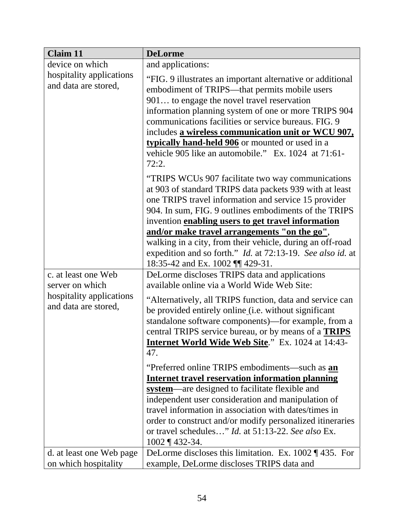| <b>Claim 11</b>                                                                            | <b>DeLorme</b>                                                                                                                                                                                                                                                                                                                                                                                                                                   |  |
|--------------------------------------------------------------------------------------------|--------------------------------------------------------------------------------------------------------------------------------------------------------------------------------------------------------------------------------------------------------------------------------------------------------------------------------------------------------------------------------------------------------------------------------------------------|--|
| device on which                                                                            | and applications:                                                                                                                                                                                                                                                                                                                                                                                                                                |  |
| hospitality applications<br>and data are stored,                                           | "FIG. 9 illustrates an important alternative or additional<br>embodiment of TRIPS—that permits mobile users<br>901 to engage the novel travel reservation<br>information planning system of one or more TRIPS 904<br>communications facilities or service bureaus. FIG. 9<br>includes a wireless communication unit or WCU 907,<br>typically hand-held 906 or mounted or used in a<br>vehicle 905 like an automobile." Ex. 1024 at 71:61-        |  |
|                                                                                            | 72:2.<br>"TRIPS WCUs 907 facilitate two way communications"<br>at 903 of standard TRIPS data packets 939 with at least<br>one TRIPS travel information and service 15 provider<br>904. In sum, FIG. 9 outlines embodiments of the TRIPS<br>invention enabling users to get travel information<br>and/or make travel arrangements "on the go",                                                                                                    |  |
|                                                                                            | walking in a city, from their vehicle, during an off-road<br>expedition and so forth." <i>Id.</i> at 72:13-19. See also id. at<br>18:35-42 and Ex. 1002    429-31.                                                                                                                                                                                                                                                                               |  |
| c. at least one Web<br>server on which<br>hospitality applications<br>and data are stored, | DeLorme discloses TRIPS data and applications<br>available online via a World Wide Web Site:<br>"Alternatively, all TRIPS function, data and service can<br>be provided entirely online (i.e. without significant<br>standalone software components)-for example, from a<br>central TRIPS service bureau, or by means of a <b>TRIPS</b><br>Internet World Wide Web Site." Ex. 1024 at 14:43-<br>47.                                              |  |
|                                                                                            | "Preferred online TRIPS embodiments—such as <b>an</b><br><b>Internet travel reservation information planning</b><br>system—are designed to facilitate flexible and<br>independent user consideration and manipulation of<br>travel information in association with dates/times in<br>order to construct and/or modify personalized itineraries<br>or travel schedules" Id. at 51:13-22. See also Ex.<br>$1002 \text{ } \text{\degree} 432 - 34.$ |  |
| d. at least one Web page<br>on which hospitality                                           | DeLorme discloses this limitation. Ex. $1002 \text{ % } 435$ . For<br>example, DeLorme discloses TRIPS data and                                                                                                                                                                                                                                                                                                                                  |  |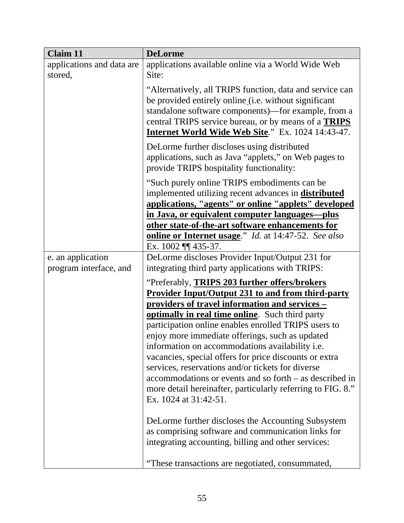| <b>Claim 11</b>                      | <b>DeLorme</b>                                                                                                                                                                                                                                                                                       |  |
|--------------------------------------|------------------------------------------------------------------------------------------------------------------------------------------------------------------------------------------------------------------------------------------------------------------------------------------------------|--|
| applications and data are<br>stored, | applications available online via a World Wide Web<br>Site:                                                                                                                                                                                                                                          |  |
|                                      | "Alternatively, all TRIPS function, data and service can<br>be provided entirely online (i.e. without significant<br>standalone software components)—for example, from a<br>central TRIPS service bureau, or by means of a <b>TRIPS</b><br><b>Internet World Wide Web Site.</b> " Ex. 1024 14:43-47. |  |
|                                      | DeLorme further discloses using distributed<br>applications, such as Java "applets," on Web pages to<br>provide TRIPS hospitality functionality:                                                                                                                                                     |  |
|                                      | "Such purely online TRIPS embodiments can be<br>implemented utilizing recent advances in <b>distributed</b><br>applications, "agents" or online "applets" developed                                                                                                                                  |  |
|                                      | in Java, or equivalent computer languages-plus                                                                                                                                                                                                                                                       |  |
|                                      | other state-of-the-art software enhancements for                                                                                                                                                                                                                                                     |  |
|                                      | <b>online or Internet usage.</b> " <i>Id.</i> at 14:47-52. See also<br>Ex. 1002    435-37.                                                                                                                                                                                                           |  |
| e. an application                    | DeLorme discloses Provider Input/Output 231 for                                                                                                                                                                                                                                                      |  |
| program interface, and               | integrating third party applications with TRIPS:                                                                                                                                                                                                                                                     |  |
|                                      | "Preferably, TRIPS 203 further offers/brokers                                                                                                                                                                                                                                                        |  |
|                                      | <b>Provider Input/Output 231 to and from third-party</b>                                                                                                                                                                                                                                             |  |
|                                      | providers of travel information and services -                                                                                                                                                                                                                                                       |  |
|                                      | optimally in real time online. Such third party                                                                                                                                                                                                                                                      |  |
|                                      | participation online enables enrolled TRIPS users to<br>enjoy more immediate offerings, such as updated                                                                                                                                                                                              |  |
|                                      | information on accommodations availability <i>i.e.</i>                                                                                                                                                                                                                                               |  |
|                                      | vacancies, special offers for price discounts or extra                                                                                                                                                                                                                                               |  |
|                                      | services, reservations and/or tickets for diverse                                                                                                                                                                                                                                                    |  |
|                                      | accommodations or events and so forth – as described in                                                                                                                                                                                                                                              |  |
|                                      | more detail hereinafter, particularly referring to FIG. 8."<br>Ex. 1024 at 31:42-51.                                                                                                                                                                                                                 |  |
|                                      | DeLorme further discloses the Accounting Subsystem                                                                                                                                                                                                                                                   |  |
|                                      | as comprising software and communication links for                                                                                                                                                                                                                                                   |  |
|                                      | integrating accounting, billing and other services:                                                                                                                                                                                                                                                  |  |
|                                      | "These transactions are negotiated, consummated,                                                                                                                                                                                                                                                     |  |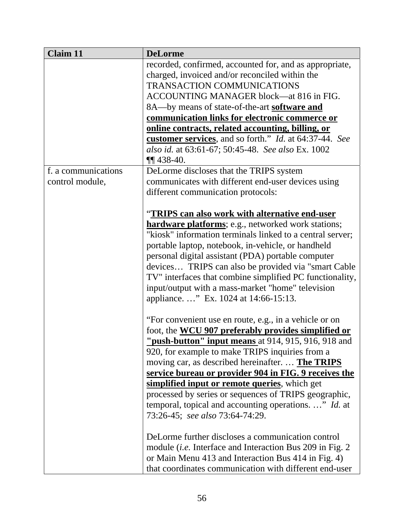| <b>Claim 11</b>     | <b>DeLorme</b>                                                |  |
|---------------------|---------------------------------------------------------------|--|
|                     | recorded, confirmed, accounted for, and as appropriate,       |  |
|                     | charged, invoiced and/or reconciled within the                |  |
|                     | <b>TRANSACTION COMMUNICATIONS</b>                             |  |
|                     | ACCOUNTING MANAGER block—at 816 in FIG.                       |  |
|                     | 8A—by means of state-of-the-art <b>software and</b>           |  |
|                     | communication links for electronic commerce or                |  |
|                     | online contracts, related accounting, billing, or             |  |
|                     | customer services, and so forth." <i>Id.</i> at 64:37-44. See |  |
|                     | also id. at 63:61-67; 50:45-48. See also Ex. 1002             |  |
|                     | $\P\P$ 438-40.                                                |  |
| f. a communications | DeLorme discloses that the TRIPS system                       |  |
| control module,     | communicates with different end-user devices using            |  |
|                     | different communication protocols:                            |  |
|                     |                                                               |  |
|                     | "TRIPS can also work with alternative end-user                |  |
|                     | <b>hardware platforms</b> ; e.g., networked work stations;    |  |
|                     | "kiosk" information terminals linked to a central server;     |  |
|                     | portable laptop, notebook, in-vehicle, or handheld            |  |
|                     |                                                               |  |
|                     | personal digital assistant (PDA) portable computer            |  |
|                     | devices TRIPS can also be provided via "smart Cable"          |  |
|                     | TV" interfaces that combine simplified PC functionality,      |  |
|                     | input/output with a mass-market "home" television             |  |
|                     | appliance" Ex. 1024 at 14:66-15:13.                           |  |
|                     |                                                               |  |
|                     | "For convenient use en route, e.g., in a vehicle or on        |  |
|                     | foot, the <b>WCU 907 preferably provides simplified or</b>    |  |
|                     | "push-button" input means at 914, 915, 916, 918 and           |  |
|                     | 920, for example to make TRIPS inquiries from a               |  |
|                     | moving car, as described hereinafter.  The TRIPS              |  |
|                     | service bureau or provider 904 in FIG. 9 receives the         |  |
|                     | simplified input or remote queries, which get                 |  |
|                     | processed by series or sequences of TRIPS geographic,         |  |
|                     | temporal, topical and accounting operations. " Id. at         |  |
|                     | 73:26-45; see also 73:64-74:29.                               |  |
|                     | DeLorme further discloses a communication control             |  |
|                     | module (i.e. Interface and Interaction Bus 209 in Fig. 2      |  |
|                     | or Main Menu 413 and Interaction Bus 414 in Fig. 4)           |  |
|                     | that coordinates communication with different end-user        |  |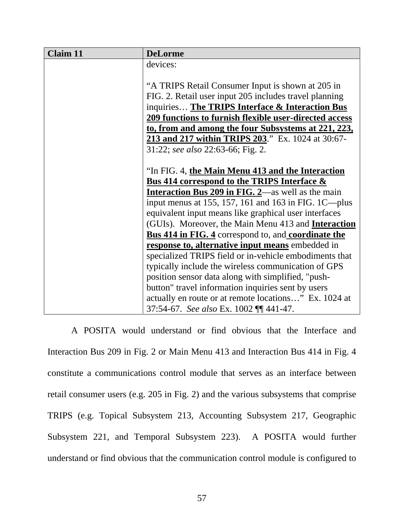| <b>Claim 11</b> | <b>DeLorme</b>                                                    |
|-----------------|-------------------------------------------------------------------|
|                 | devices:                                                          |
|                 |                                                                   |
|                 | "A TRIPS Retail Consumer Input is shown at 205 in                 |
|                 | FIG. 2. Retail user input 205 includes travel planning            |
|                 | inquiries The TRIPS Interface & Interaction Bus                   |
|                 | 209 functions to furnish flexible user-directed access            |
|                 | to, from and among the four Subsystems at 221, 223,               |
|                 | <b>213 and 217 within TRIPS 203.</b> " Ex. 1024 at 30:67-         |
|                 | 31:22; see also 22:63-66; Fig. 2.                                 |
|                 |                                                                   |
|                 | "In FIG. 4, the Main Menu 413 and the Interaction                 |
|                 | <b>Bus 414 correspond to the TRIPS Interface &amp;</b>            |
|                 | <b>Interaction Bus 209 in FIG. 2</b> —as well as the main         |
|                 | input menus at 155, 157, 161 and 163 in FIG. 1C—plus              |
|                 | equivalent input means like graphical user interfaces             |
|                 | (GUIs). Moreover, the Main Menu 413 and <b>Interaction</b>        |
|                 | <b>Bus 414 in FIG. 4</b> correspond to, and <b>coordinate the</b> |
|                 | response to, alternative input means embedded in                  |
|                 | specialized TRIPS field or in-vehicle embodiments that            |
|                 | typically include the wireless communication of GPS               |
|                 | position sensor data along with simplified, "push-                |
|                 | button" travel information inquiries sent by users                |
|                 | actually en route or at remote locations" Ex. 1024 at             |
|                 | 37:54-67. See also Ex. 1002 ¶¶ 441-47.                            |

A POSITA would understand or find obvious that the Interface and Interaction Bus 209 in Fig. 2 or Main Menu 413 and Interaction Bus 414 in Fig. 4 constitute a communications control module that serves as an interface between retail consumer users (e.g. 205 in Fig. 2) and the various subsystems that comprise TRIPS (e.g. Topical Subsystem 213, Accounting Subsystem 217, Geographic Subsystem 221, and Temporal Subsystem 223). A POSITA would further understand or find obvious that the communication control module is configured to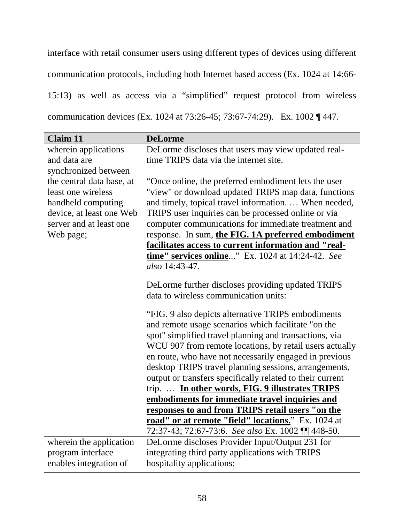interface with retail consumer users using different types of devices using different communication protocols, including both Internet based access (Ex. 1024 at 14:66- 15:13) as well as access via a "simplified" request protocol from wireless communication devices (Ex. 1024 at 73:26-45; 73:67-74:29). Ex. 1002 ¶ 447.

| <b>Claim 11</b>           | <b>DeLorme</b>                                            |  |
|---------------------------|-----------------------------------------------------------|--|
| wherein applications      | DeLorme discloses that users may view updated real-       |  |
| and data are              | time TRIPS data via the internet site.                    |  |
| synchronized between      |                                                           |  |
| the central data base, at | "Once online, the preferred embodiment lets the user      |  |
| least one wireless        | "view" or download updated TRIPS map data, functions      |  |
| handheld computing        | and timely, topical travel information.  When needed,     |  |
| device, at least one Web  | TRIPS user inquiries can be processed online or via       |  |
| server and at least one   | computer communications for immediate treatment and       |  |
| Web page;                 | response. In sum, the FIG. 1A preferred embodiment        |  |
|                           | facilitates access to current information and "real-      |  |
|                           | time" services online" Ex. 1024 at 14:24-42. See          |  |
|                           | also 14:43-47.                                            |  |
|                           |                                                           |  |
|                           | DeLorme further discloses providing updated TRIPS         |  |
|                           | data to wireless communication units:                     |  |
|                           | "FIG. 9 also depicts alternative TRIPS embodiments        |  |
|                           | and remote usage scenarios which facilitate "on the       |  |
|                           | spot" simplified travel planning and transactions, via    |  |
|                           | WCU 907 from remote locations, by retail users actually   |  |
|                           | en route, who have not necessarily engaged in previous    |  |
|                           | desktop TRIPS travel planning sessions, arrangements,     |  |
|                           | output or transfers specifically related to their current |  |
|                           | trip.  In other words, FIG. 9 illustrates TRIPS           |  |
|                           | embodiments for immediate travel inquiries and            |  |
|                           | responses to and from TRIPS retail users "on the          |  |
|                           | road" or at remote "field" locations." Ex. 1024 at        |  |
|                           | 72:37-43; 72:67-73:6. See also Ex. 1002 \[\] 448-50.      |  |
| wherein the application   | DeLorme discloses Provider Input/Output 231 for           |  |
| program interface         | integrating third party applications with TRIPS           |  |
| enables integration of    | hospitality applications:                                 |  |
|                           |                                                           |  |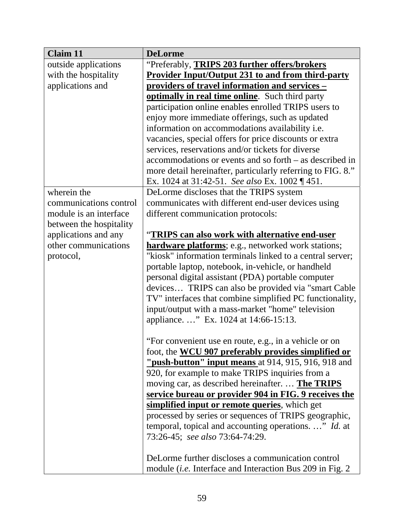| <b>Claim 11</b>         | <b>DeLorme</b>                                                                                                       |  |
|-------------------------|----------------------------------------------------------------------------------------------------------------------|--|
| outside applications    | "Preferably, TRIPS 203 further offers/brokers                                                                        |  |
| with the hospitality    | <b>Provider Input/Output 231 to and from third-party</b>                                                             |  |
| applications and        | providers of travel information and services -                                                                       |  |
|                         | optimally in real time online. Such third party                                                                      |  |
|                         | participation online enables enrolled TRIPS users to                                                                 |  |
|                         | enjoy more immediate offerings, such as updated                                                                      |  |
|                         | information on accommodations availability i.e.                                                                      |  |
|                         | vacancies, special offers for price discounts or extra                                                               |  |
|                         | services, reservations and/or tickets for diverse                                                                    |  |
|                         | accommodations or events and so forth – as described in                                                              |  |
|                         | more detail hereinafter, particularly referring to FIG. 8."                                                          |  |
|                         | Ex. 1024 at 31:42-51. See also Ex. 1002 $\P$ 451.                                                                    |  |
| wherein the             | DeLorme discloses that the TRIPS system                                                                              |  |
| communications control  | communicates with different end-user devices using                                                                   |  |
| module is an interface  | different communication protocols:                                                                                   |  |
| between the hospitality |                                                                                                                      |  |
| applications and any    | "TRIPS can also work with alternative end-user                                                                       |  |
| other communications    | <b>hardware platforms</b> ; e.g., networked work stations;                                                           |  |
| protocol,               | "kiosk" information terminals linked to a central server;                                                            |  |
|                         | portable laptop, notebook, in-vehicle, or handheld                                                                   |  |
|                         | personal digital assistant (PDA) portable computer                                                                   |  |
|                         | devices TRIPS can also be provided via "smart Cable"                                                                 |  |
|                         | TV" interfaces that combine simplified PC functionality,                                                             |  |
|                         | input/output with a mass-market "home" television                                                                    |  |
|                         | appliance" Ex. 1024 at 14:66-15:13.                                                                                  |  |
|                         |                                                                                                                      |  |
|                         | "For convenient use en route, e.g., in a vehicle or on<br>foot, the <b>WCU 907 preferably provides simplified or</b> |  |
|                         | <b>"push-button" input means</b> at 914, 915, 916, 918 and                                                           |  |
|                         | 920, for example to make TRIPS inquiries from a                                                                      |  |
|                         | moving car, as described hereinafter.  The TRIPS                                                                     |  |
|                         | service bureau or provider 904 in FIG. 9 receives the                                                                |  |
|                         | simplified input or remote queries, which get                                                                        |  |
|                         | processed by series or sequences of TRIPS geographic,                                                                |  |
|                         | temporal, topical and accounting operations. " Id. at                                                                |  |
|                         | 73:26-45; see also 73:64-74:29.                                                                                      |  |
|                         |                                                                                                                      |  |
|                         | DeLorme further discloses a communication control                                                                    |  |
|                         | module <i>(i.e.</i> Interface and Interaction Bus 209 in Fig. 2)                                                     |  |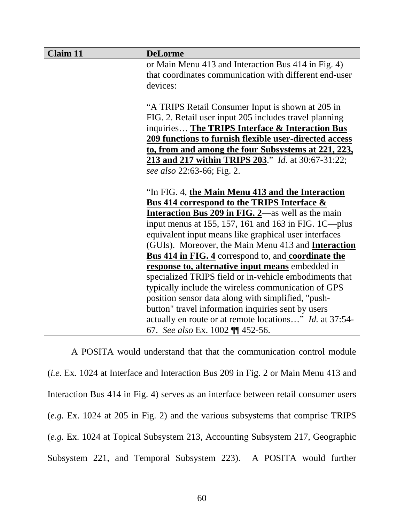| <b>Claim 11</b> | <b>DeLorme</b>                                                    |
|-----------------|-------------------------------------------------------------------|
|                 | or Main Menu 413 and Interaction Bus 414 in Fig. 4)               |
|                 | that coordinates communication with different end-user            |
|                 | devices:                                                          |
|                 |                                                                   |
|                 | "A TRIPS Retail Consumer Input is shown at 205 in                 |
|                 | FIG. 2. Retail user input 205 includes travel planning            |
|                 | inquiries The TRIPS Interface & Interaction Bus                   |
|                 | 209 functions to furnish flexible user-directed access            |
|                 | to, from and among the four Subsystems at 221, 223,               |
|                 | <b>213 and 217 within TRIPS 203.</b> " <i>Id.</i> at 30:67-31:22; |
|                 | see also 22:63-66; Fig. 2.                                        |
|                 |                                                                   |
|                 | "In FIG. 4, the Main Menu 413 and the Interaction                 |
|                 | <b>Bus 414 correspond to the TRIPS Interface &amp;</b>            |
|                 | <b>Interaction Bus 209 in FIG. 2</b> —as well as the main         |
|                 | input menus at 155, 157, 161 and 163 in FIG. 1C—plus              |
|                 | equivalent input means like graphical user interfaces             |
|                 | (GUIs). Moreover, the Main Menu 413 and Interaction               |
|                 | <b>Bus 414 in FIG. 4</b> correspond to, and <b>coordinate the</b> |
|                 | response to, alternative input means embedded in                  |
|                 | specialized TRIPS field or in-vehicle embodiments that            |
|                 | typically include the wireless communication of GPS               |
|                 | position sensor data along with simplified, "push-                |
|                 | button" travel information inquiries sent by users                |
|                 | actually en route or at remote locations" <i>Id.</i> at 37:54-    |
|                 | 67. See also Ex. 1002 ¶¶ 452-56.                                  |

A POSITA would understand that that the communication control module (*i.e.* Ex. 1024 at Interface and Interaction Bus 209 in Fig. 2 or Main Menu 413 and Interaction Bus 414 in Fig. 4) serves as an interface between retail consumer users (*e.g.* Ex. 1024 at 205 in Fig. 2) and the various subsystems that comprise TRIPS (*e.g.* Ex. 1024 at Topical Subsystem 213, Accounting Subsystem 217, Geographic Subsystem 221, and Temporal Subsystem 223). A POSITA would further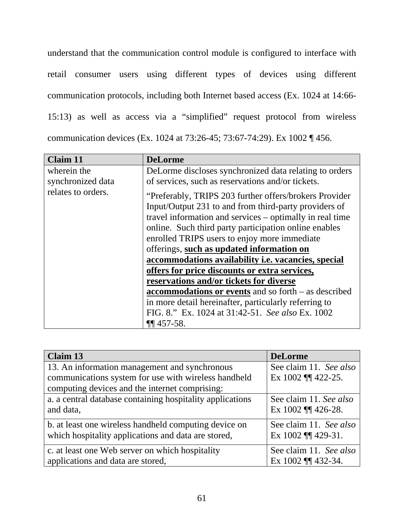understand that the communication control module is configured to interface with retail consumer users using different types of devices using different communication protocols, including both Internet based access (Ex. 1024 at 14:66- 15:13) as well as access via a "simplified" request protocol from wireless communication devices (Ex. 1024 at 73:26-45; 73:67-74:29). Ex 1002 ¶ 456.

| <b>Claim 11</b>    | <b>DeLorme</b>                                                                                                                                                                                                                                                                                                                                                                                                                                                                                                                                                                                                                                                                          |
|--------------------|-----------------------------------------------------------------------------------------------------------------------------------------------------------------------------------------------------------------------------------------------------------------------------------------------------------------------------------------------------------------------------------------------------------------------------------------------------------------------------------------------------------------------------------------------------------------------------------------------------------------------------------------------------------------------------------------|
| wherein the        | DeLorme discloses synchronized data relating to orders                                                                                                                                                                                                                                                                                                                                                                                                                                                                                                                                                                                                                                  |
| synchronized data  | of services, such as reservations and/or tickets.                                                                                                                                                                                                                                                                                                                                                                                                                                                                                                                                                                                                                                       |
| relates to orders. | "Preferably, TRIPS 203 further offers/brokers Provider<br>Input/Output 231 to and from third-party providers of<br>travel information and services – optimally in real time<br>online. Such third party participation online enables<br>enrolled TRIPS users to enjoy more immediate<br>offerings, such as updated information on<br>accommodations availability <i>i.e.</i> vacancies, special<br>offers for price discounts or extra services,<br>reservations and/or tickets for diverse<br><b>accommodations or events</b> and so forth – as described<br>in more detail hereinafter, particularly referring to<br>FIG. 8." Ex. 1024 at 31:42-51. See also Ex. 1002<br>$\P$ 457-58. |

| Claim 13                                                  | <b>DeLorme</b>         |
|-----------------------------------------------------------|------------------------|
| 13. An information management and synchronous             | See claim 11. See also |
| communications system for use with wireless handheld      | Ex 1002 11 422-25.     |
| computing devices and the internet comprising:            |                        |
| a. a central database containing hospitality applications | See claim 11. See also |
| and data,                                                 | Ex 1002 11 426-28.     |
| b. at least one wireless handheld computing device on     | See claim 11. See also |
| which hospitality applications and data are stored,       | Ex 1002    429-31.     |
| c. at least one Web server on which hospitality           | See claim 11. See also |
| applications and data are stored,                         | Ex 1002 11 432-34.     |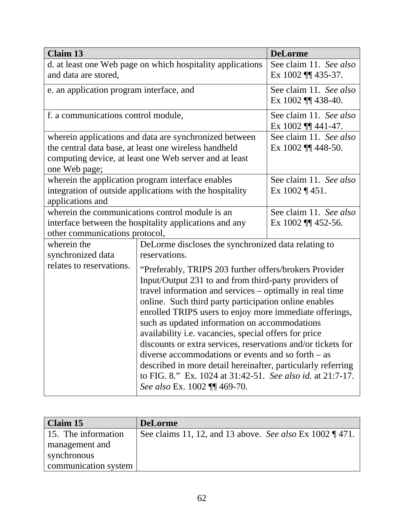| <b>Claim 13</b>                                            |                                                              | <b>DeLorme</b>            |
|------------------------------------------------------------|--------------------------------------------------------------|---------------------------|
| d. at least one Web page on which hospitality applications |                                                              | See claim 11. See also    |
| and data are stored,                                       |                                                              | Ex $1002$ ¶ 435-37.       |
| e. an application program interface, and                   |                                                              | See claim 11. See also    |
|                                                            |                                                              | Ex $1002$ ¶ 438-40.       |
| f. a communications control module,                        |                                                              | See claim 11. See also    |
|                                                            |                                                              | Ex 1002    441-47.        |
|                                                            | wherein applications and data are synchronized between       | See claim 11. See also    |
|                                                            | the central data base, at least one wireless handheld        | Ex $1002$ ¶ 448-50.       |
|                                                            | computing device, at least one Web server and at least       |                           |
| one Web page;                                              |                                                              |                           |
|                                                            | wherein the application program interface enables            | See claim 11. See also    |
|                                                            | integration of outside applications with the hospitality     | Ex $1002 \text{ } q$ 451. |
| applications and                                           |                                                              |                           |
|                                                            | wherein the communications control module is an              | See claim 11. See also    |
|                                                            | interface between the hospitality applications and any       | Ex $1002$ ¶ 452-56.       |
| other communications protocol,                             |                                                              |                           |
| wherein the                                                | DeLorme discloses the synchronized data relating to          |                           |
| synchronized data                                          | reservations.                                                |                           |
| relates to reservations.                                   | "Preferably, TRIPS 203 further offers/brokers Provider       |                           |
|                                                            | Input/Output 231 to and from third-party providers of        |                           |
|                                                            | travel information and services – optimally in real time     |                           |
|                                                            | online. Such third party participation online enables        |                           |
|                                                            | enrolled TRIPS users to enjoy more immediate offerings,      |                           |
|                                                            | such as updated information on accommodations                |                           |
|                                                            | availability i.e. vacancies, special offers for price        |                           |
|                                                            | discounts or extra services, reservations and/or tickets for |                           |
|                                                            | diverse accommodations or events and so forth $-$ as         |                           |
|                                                            | described in more detail hereinafter, particularly referring |                           |
|                                                            | to FIG. 8." Ex. 1024 at 31:42-51. See also id. at 21:7-17.   |                           |
|                                                            | See also Ex. 1002    469-70.                                 |                           |

| Claim 15             | <b>DeLorme</b>                                              |
|----------------------|-------------------------------------------------------------|
| 15. The information  | See claims 11, 12, and 13 above. See also Ex 1002 $\P$ 471. |
| management and       |                                                             |
| synchronous          |                                                             |
| communication system |                                                             |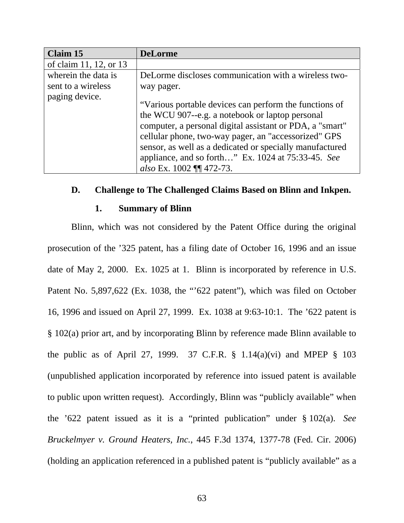| <b>Claim 15</b>        | <b>DeLorme</b>                                                                                                                                                                                                                                                                                                                                                              |
|------------------------|-----------------------------------------------------------------------------------------------------------------------------------------------------------------------------------------------------------------------------------------------------------------------------------------------------------------------------------------------------------------------------|
| of claim 11, 12, or 13 |                                                                                                                                                                                                                                                                                                                                                                             |
| wherein the data is    | DeLorme discloses communication with a wireless two-                                                                                                                                                                                                                                                                                                                        |
| sent to a wireless     | way pager.                                                                                                                                                                                                                                                                                                                                                                  |
| paging device.         | "Various portable devices can perform the functions of<br>the WCU 907--e.g. a notebook or laptop personal<br>computer, a personal digital assistant or PDA, a "smart"<br>cellular phone, two-way pager, an "accessorized" GPS<br>sensor, as well as a dedicated or specially manufactured<br>appliance, and so forth" Ex. 1024 at 75:33-45. See<br>also Ex. 1002 ¶¶ 472-73. |

## **D. Challenge to The Challenged Claims Based on Blinn and Inkpen.**

### **1. Summary of Blinn**

 Blinn, which was not considered by the Patent Office during the original prosecution of the '325 patent, has a filing date of October 16, 1996 and an issue date of May 2, 2000. Ex. 1025 at 1. Blinn is incorporated by reference in U.S. Patent No. 5,897,622 (Ex. 1038, the "'622 patent"), which was filed on October 16, 1996 and issued on April 27, 1999. Ex. 1038 at 9:63-10:1. The '622 patent is § 102(a) prior art, and by incorporating Blinn by reference made Blinn available to the public as of April 27, 1999. 37 C.F.R.  $\S$  1.14(a)(vi) and MPEP  $\S$  103 (unpublished application incorporated by reference into issued patent is available to public upon written request). Accordingly, Blinn was "publicly available" when the '622 patent issued as it is a "printed publication" under § 102(a). *See Bruckelmyer v. Ground Heaters, Inc.*, 445 F.3d 1374, 1377-78 (Fed. Cir. 2006) (holding an application referenced in a published patent is "publicly available" as a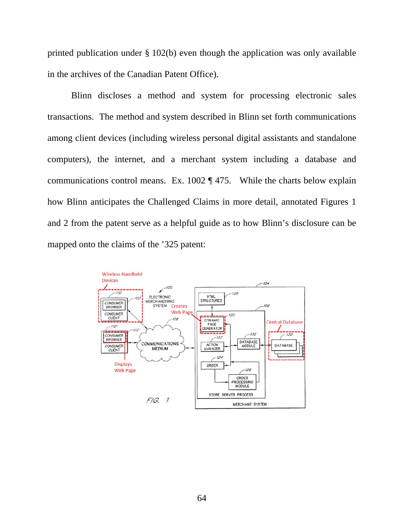printed publication under § 102(b) even though the application was only available in the archives of the Canadian Patent Office).

Blinn discloses a method and system for processing electronic sales transactions. The method and system described in Blinn set forth communications among client devices (including wireless personal digital assistants and standalone computers), the internet, and a merchant system including a database and communications control means. Ex. 1002 ¶ 475. While the charts below explain how Blinn anticipates the Challenged Claims in more detail, annotated Figures 1 and 2 from the patent serve as a helpful guide as to how Blinn's disclosure can be mapped onto the claims of the '325 patent:

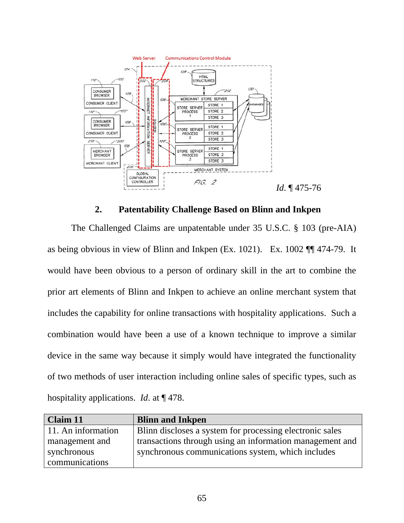

## **2. Patentability Challenge Based on Blinn and Inkpen**

The Challenged Claims are unpatentable under 35 U.S.C. § 103 (pre-AIA) as being obvious in view of Blinn and Inkpen (Ex. 1021). Ex. 1002 ¶¶ 474-79. It would have been obvious to a person of ordinary skill in the art to combine the prior art elements of Blinn and Inkpen to achieve an online merchant system that includes the capability for online transactions with hospitality applications. Such a combination would have been a use of a known technique to improve a similar device in the same way because it simply would have integrated the functionality of two methods of user interaction including online sales of specific types, such as hospitality applications. *Id*. at ¶ 478.

| <b>Claim 11</b>    | <b>Blinn and Inkpen</b>                                  |
|--------------------|----------------------------------------------------------|
| 11. An information | Blinn discloses a system for processing electronic sales |
| management and     | transactions through using an information management and |
| synchronous        | synchronous communications system, which includes        |
| communications     |                                                          |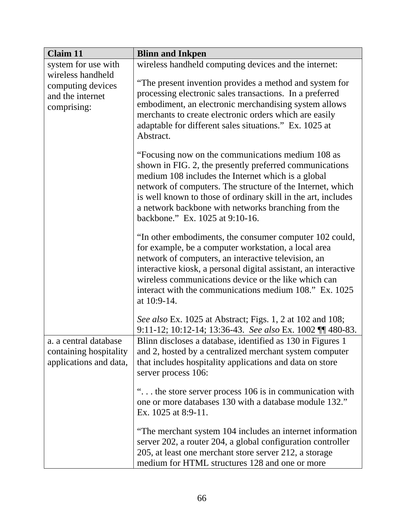| <b>Claim 11</b>                                                           | <b>Blinn and Inkpen</b>                                                                                                                                                                                                                                                                                                                                                                     |
|---------------------------------------------------------------------------|---------------------------------------------------------------------------------------------------------------------------------------------------------------------------------------------------------------------------------------------------------------------------------------------------------------------------------------------------------------------------------------------|
| system for use with                                                       | wireless handheld computing devices and the internet:                                                                                                                                                                                                                                                                                                                                       |
| wireless handheld<br>computing devices<br>and the internet<br>comprising: | "The present invention provides a method and system for<br>processing electronic sales transactions. In a preferred<br>embodiment, an electronic merchandising system allows<br>merchants to create electronic orders which are easily<br>adaptable for different sales situations." Ex. 1025 at<br>Abstract.                                                                               |
|                                                                           | "Focusing now on the communications medium 108 as<br>shown in FIG. 2, the presently preferred communications<br>medium 108 includes the Internet which is a global<br>network of computers. The structure of the Internet, which<br>is well known to those of ordinary skill in the art, includes<br>a network backbone with networks branching from the<br>backbone." Ex. 1025 at 9:10-16. |
|                                                                           | "In other embodiments, the consumer computer 102 could,<br>for example, be a computer workstation, a local area<br>network of computers, an interactive television, an<br>interactive kiosk, a personal digital assistant, an interactive<br>wireless communications device or the like which can<br>interact with the communications medium 108." Ex. 1025<br>at 10:9-14.                  |
|                                                                           | See also Ex. 1025 at Abstract; Figs. 1, 2 at 102 and 108;<br>9:11-12; 10:12-14; 13:36-43. See also Ex. 1002 11 480-83.                                                                                                                                                                                                                                                                      |
| a. a central database<br>containing hospitality<br>applications and data, | Blinn discloses a database, identified as 130 in Figures 1<br>and 2, hosted by a centralized merchant system computer<br>that includes hospitality applications and data on store<br>server process 106:                                                                                                                                                                                    |
|                                                                           | " the store server process 106 is in communication with<br>one or more databases 130 with a database module 132."<br>Ex. 1025 at 8:9-11.                                                                                                                                                                                                                                                    |
|                                                                           | "The merchant system 104 includes an internet information<br>server 202, a router 204, a global configuration controller<br>205, at least one merchant store server 212, a storage<br>medium for HTML structures 128 and one or more                                                                                                                                                        |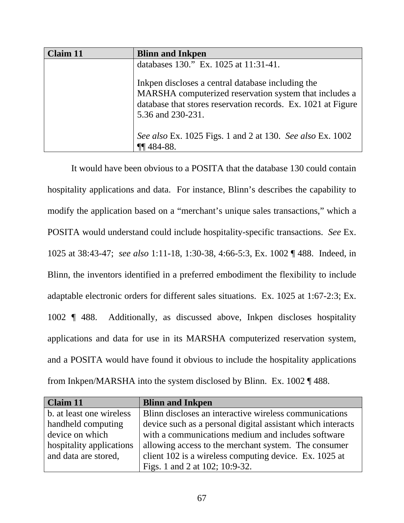| <b>Claim 11</b> | <b>Blinn and Inkpen</b>                                                                                                                                                                          |
|-----------------|--------------------------------------------------------------------------------------------------------------------------------------------------------------------------------------------------|
|                 | databases 130." Ex. 1025 at 11:31-41.                                                                                                                                                            |
|                 | Inkpen discloses a central database including the<br>MARSHA computerized reservation system that includes a<br>database that stores reservation records. Ex. 1021 at Figure<br>5.36 and 230-231. |
|                 | See also Ex. 1025 Figs. 1 and 2 at 130. See also Ex. 1002                                                                                                                                        |
|                 | $\P\P$ 484-88.                                                                                                                                                                                   |

It would have been obvious to a POSITA that the database 130 could contain hospitality applications and data. For instance, Blinn's describes the capability to modify the application based on a "merchant's unique sales transactions," which a POSITA would understand could include hospitality-specific transactions. *See* Ex. 1025 at 38:43-47; *see also* 1:11-18, 1:30-38, 4:66-5:3, Ex. 1002 ¶ 488. Indeed, in Blinn, the inventors identified in a preferred embodiment the flexibility to include adaptable electronic orders for different sales situations. Ex. 1025 at 1:67-2:3; Ex. 1002 ¶ 488. Additionally, as discussed above, Inkpen discloses hospitality applications and data for use in its MARSHA computerized reservation system, and a POSITA would have found it obvious to include the hospitality applications from Inkpen/MARSHA into the system disclosed by Blinn. Ex. 1002 ¶ 488.

| Claim 11                 | <b>Blinn and Inkpen</b>                                     |
|--------------------------|-------------------------------------------------------------|
| b. at least one wireless | Blinn discloses an interactive wireless communications      |
| handheld computing       | device such as a personal digital assistant which interacts |
| device on which          | with a communications medium and includes software          |
| hospitality applications | allowing access to the merchant system. The consumer        |
| and data are stored,     | client 102 is a wireless computing device. Ex. 1025 at      |
|                          | Figs. 1 and 2 at 102; 10:9-32.                              |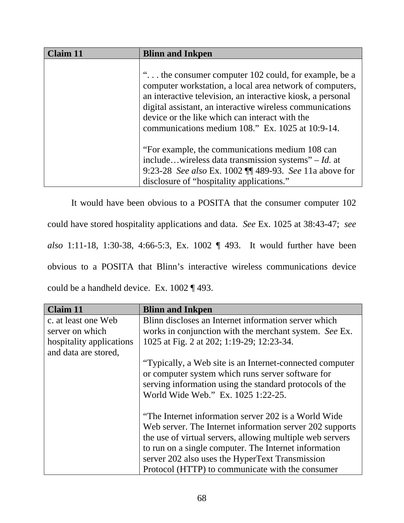| $C$ laim 11 | <b>Blinn and Inkpen</b>                                                                                                                                                                                                                                                                                                                            |
|-------------|----------------------------------------------------------------------------------------------------------------------------------------------------------------------------------------------------------------------------------------------------------------------------------------------------------------------------------------------------|
|             | " the consumer computer 102 could, for example, be a<br>computer workstation, a local area network of computers,<br>an interactive television, an interactive kiosk, a personal<br>digital assistant, an interactive wireless communications<br>device or the like which can interact with the<br>communications medium 108." Ex. 1025 at 10:9-14. |
|             | "For example, the communications medium 108 can<br>includewireless data transmission systems" – Id. at<br>9:23-28 See also Ex. 1002 ¶ 489-93. See 11a above for<br>disclosure of "hospitality applications."                                                                                                                                       |

It would have been obvious to a POSITA that the consumer computer 102 could have stored hospitality applications and data. *See* Ex. 1025 at 38:43-47; *see also* 1:11-18, 1:30-38, 4:66-5:3, Ex. 1002 ¶ 493. It would further have been obvious to a POSITA that Blinn's interactive wireless communications device could be a handheld device. Ex. 1002 ¶ 493.

| Claim 11                 | <b>Blinn and Inkpen</b>                                   |
|--------------------------|-----------------------------------------------------------|
| c. at least one Web      | Blinn discloses an Internet information server which      |
| server on which          | works in conjunction with the merchant system. See Ex.    |
| hospitality applications | 1025 at Fig. 2 at 202; 1:19-29; 12:23-34.                 |
| and data are stored,     |                                                           |
|                          | "Typically, a Web site is an Internet-connected computer  |
|                          | or computer system which runs server software for         |
|                          | serving information using the standard protocols of the   |
|                          | World Wide Web." Ex. 1025 1:22-25.                        |
|                          |                                                           |
|                          | "The Internet information server 202 is a World Wide"     |
|                          | Web server. The Internet information server 202 supports  |
|                          | the use of virtual servers, allowing multiple web servers |
|                          | to run on a single computer. The Internet information     |
|                          | server 202 also uses the HyperText Transmission           |
|                          | Protocol (HTTP) to communicate with the consumer          |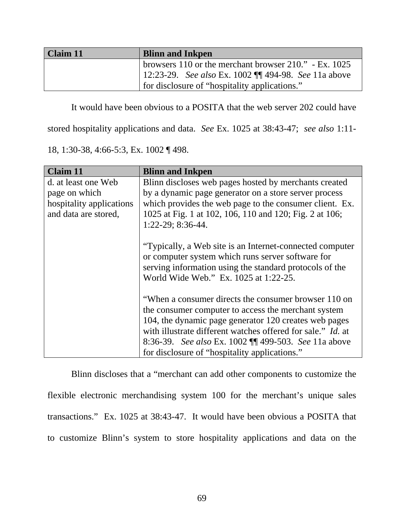| Claim 11 | <b>Blinn and Inkpen</b>                                  |
|----------|----------------------------------------------------------|
|          | browsers 110 or the merchant browser $210$ ." - Ex. 1025 |
|          | 12:23-29. See also Ex. 1002    494-98. See 11a above     |
|          | for disclosure of "hospitality applications."            |

It would have been obvious to a POSITA that the web server 202 could have

stored hospitality applications and data. *See* Ex. 1025 at 38:43-47; *see also* 1:11-

18, 1:30-38, 4:66-5:3, Ex. 1002 ¶ 498.

| <b>Claim 11</b>          | <b>Blinn and Inkpen</b>                                            |
|--------------------------|--------------------------------------------------------------------|
| d. at least one Web      | Blinn discloses web pages hosted by merchants created              |
| page on which            | by a dynamic page generator on a store server process              |
| hospitality applications | which provides the web page to the consumer client. Ex.            |
| and data are stored,     | 1025 at Fig. 1 at 102, 106, 110 and 120; Fig. 2 at 106;            |
|                          | 1:22-29; 8:36-44.                                                  |
|                          |                                                                    |
|                          | "Typically, a Web site is an Internet-connected computer"          |
|                          | or computer system which runs server software for                  |
|                          | serving information using the standard protocols of the            |
|                          | World Wide Web." Ex. 1025 at 1:22-25.                              |
|                          |                                                                    |
|                          | "When a consumer directs the consumer browser 110 on               |
|                          | the consumer computer to access the merchant system                |
|                          | 104, the dynamic page generator 120 creates web pages              |
|                          | with illustrate different watches offered for sale." <i>Id.</i> at |
|                          | 8:36-39. See also Ex. 1002 [[ 499-503. See 11a above               |
|                          | for disclosure of "hospitality applications."                      |

Blinn discloses that a "merchant can add other components to customize the flexible electronic merchandising system 100 for the merchant's unique sales transactions." Ex. 1025 at 38:43-47. It would have been obvious a POSITA that to customize Blinn's system to store hospitality applications and data on the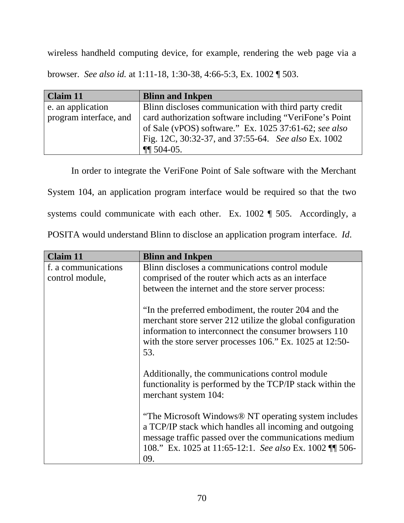wireless handheld computing device, for example, rendering the web page via a browser. *See also id.* at 1:11-18, 1:30-38, 4:66-5:3, Ex. 1002 ¶ 503.

| Claim 11               | <b>Blinn and Inkpen</b>                                 |
|------------------------|---------------------------------------------------------|
| e. an application      | Blinn discloses communication with third party credit   |
| program interface, and | card authorization software including "VeriFone's Point |
|                        | of Sale (vPOS) software." Ex. 1025 37:61-62; see also   |
|                        | Fig. 12C, 30:32-37, and 37:55-64. See also Ex. 1002     |
|                        | $\P\P$ 504-05.                                          |

In order to integrate the VeriFone Point of Sale software with the Merchant

System 104, an application program interface would be required so that the two

systems could communicate with each other. Ex. 1002 ¶ 505. Accordingly, a

| POSITA would understand Blinn to disclose an application program interface. <i>Id.</i> |  |  |  |  |
|----------------------------------------------------------------------------------------|--|--|--|--|
|----------------------------------------------------------------------------------------|--|--|--|--|

| <b>Claim 11</b>     | <b>Blinn and Inkpen</b>                                                                                                                                                                                                                                |
|---------------------|--------------------------------------------------------------------------------------------------------------------------------------------------------------------------------------------------------------------------------------------------------|
| f. a communications | Blinn discloses a communications control module                                                                                                                                                                                                        |
| control module,     | comprised of the router which acts as an interface                                                                                                                                                                                                     |
|                     | between the internet and the store server process:                                                                                                                                                                                                     |
|                     | "In the preferred embodiment, the router 204 and the<br>merchant store server 212 utilize the global configuration<br>information to interconnect the consumer browsers 110<br>with the store server processes $106$ ." Ex. $1025$ at $12:50$ -<br>53. |
|                     | Additionally, the communications control module<br>functionality is performed by the TCP/IP stack within the<br>merchant system 104:                                                                                                                   |
|                     | "The Microsoft Windows® NT operating system includes<br>a TCP/IP stack which handles all incoming and outgoing<br>message traffic passed over the communications medium<br>108." Ex. 1025 at 11:65-12:1. See also Ex. 1002 11 506-<br>09.              |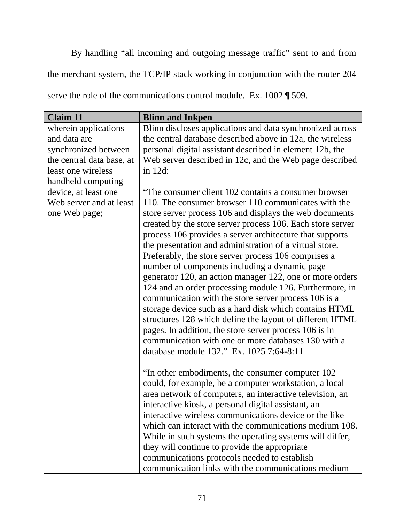By handling "all incoming and outgoing message traffic" sent to and from the merchant system, the TCP/IP stack working in conjunction with the router 204 serve the role of the communications control module. Ex. 1002  $\parallel$  509.

| <b>Claim 11</b>           | <b>Blinn and Inkpen</b>                                    |
|---------------------------|------------------------------------------------------------|
| wherein applications      | Blinn discloses applications and data synchronized across  |
| and data are              | the central database described above in 12a, the wireless  |
| synchronized between      | personal digital assistant described in element 12b, the   |
| the central data base, at | Web server described in 12c, and the Web page described    |
| least one wireless        | in 12d:                                                    |
| handheld computing        |                                                            |
| device, at least one      | "The consumer client 102 contains a consumer browser       |
| Web server and at least   | 110. The consumer browser 110 communicates with the        |
| one Web page;             | store server process 106 and displays the web documents    |
|                           | created by the store server process 106. Each store server |
|                           | process 106 provides a server architecture that supports   |
|                           | the presentation and administration of a virtual store.    |
|                           | Preferably, the store server process 106 comprises a       |
|                           | number of components including a dynamic page              |
|                           | generator 120, an action manager 122, one or more orders   |
|                           | 124 and an order processing module 126. Furthermore, in    |
|                           | communication with the store server process 106 is a       |
|                           | storage device such as a hard disk which contains HTML     |
|                           | structures 128 which define the layout of different HTML   |
|                           | pages. In addition, the store server process 106 is in     |
|                           | communication with one or more databases 130 with a        |
|                           | database module 132." Ex. 1025 7:64-8:11                   |
|                           | "In other embodiments, the consumer computer 102           |
|                           | could, for example, be a computer workstation, a local     |
|                           | area network of computers, an interactive television, an   |
|                           | interactive kiosk, a personal digital assistant, an        |
|                           | interactive wireless communications device or the like     |
|                           | which can interact with the communications medium 108.     |
|                           | While in such systems the operating systems will differ,   |
|                           | they will continue to provide the appropriate              |
|                           | communications protocols needed to establish               |
|                           | communication links with the communications medium         |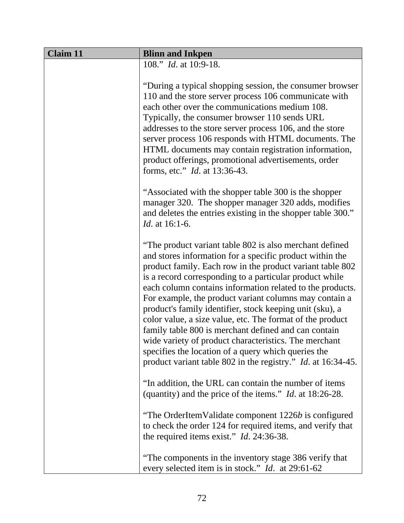| <b>Claim 11</b> | <b>Blinn and Inkpen</b>                                                                                                                                                                                                                                                                                                                                                                                                                                                                                                                                                                                                                                                                                                                    |  |
|-----------------|--------------------------------------------------------------------------------------------------------------------------------------------------------------------------------------------------------------------------------------------------------------------------------------------------------------------------------------------------------------------------------------------------------------------------------------------------------------------------------------------------------------------------------------------------------------------------------------------------------------------------------------------------------------------------------------------------------------------------------------------|--|
|                 | 108." <i>Id.</i> at 10:9-18.                                                                                                                                                                                                                                                                                                                                                                                                                                                                                                                                                                                                                                                                                                               |  |
|                 | "During a typical shopping session, the consumer browser<br>110 and the store server process 106 communicate with<br>each other over the communications medium 108.<br>Typically, the consumer browser 110 sends URL<br>addresses to the store server process 106, and the store<br>server process 106 responds with HTML documents. The<br>HTML documents may contain registration information,<br>product offerings, promotional advertisements, order<br>forms, etc." <i>Id.</i> at 13:36-43.                                                                                                                                                                                                                                           |  |
|                 | "Associated with the shopper table 300 is the shopper<br>manager 320. The shopper manager 320 adds, modifies<br>and deletes the entries existing in the shopper table 300."<br><i>Id.</i> at 16:1-6.                                                                                                                                                                                                                                                                                                                                                                                                                                                                                                                                       |  |
|                 | "The product variant table 802 is also merchant defined<br>and stores information for a specific product within the<br>product family. Each row in the product variant table 802<br>is a record corresponding to a particular product while<br>each column contains information related to the products.<br>For example, the product variant columns may contain a<br>product's family identifier, stock keeping unit (sku), a<br>color value, a size value, etc. The format of the product<br>family table 800 is merchant defined and can contain<br>wide variety of product characteristics. The merchant<br>specifies the location of a query which queries the<br>product variant table 802 in the registry." <i>Id.</i> at 16:34-45. |  |
|                 | "In addition, the URL can contain the number of items<br>(quantity) and the price of the items." <i>Id.</i> at $18:26-28$ .                                                                                                                                                                                                                                                                                                                                                                                                                                                                                                                                                                                                                |  |
|                 | "The OrderItemValidate component 1226b is configured<br>to check the order 124 for required items, and verify that<br>the required items exist." $Id. 24:36-38$ .                                                                                                                                                                                                                                                                                                                                                                                                                                                                                                                                                                          |  |
|                 | "The components in the inventory stage 386 verify that<br>every selected item is in stock." <i>Id.</i> at 29:61-62                                                                                                                                                                                                                                                                                                                                                                                                                                                                                                                                                                                                                         |  |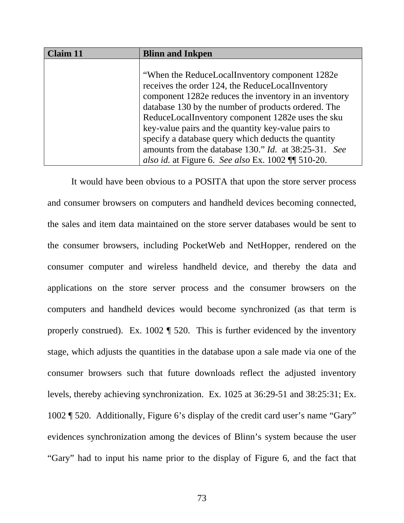| <b>Claim 11</b> | <b>Blinn and Inkpen</b>                                     |
|-----------------|-------------------------------------------------------------|
|                 |                                                             |
|                 | "When the ReduceLocalInventory component 1282e"             |
|                 | receives the order 124, the ReduceLocalInventory            |
|                 | component 1282e reduces the inventory in an inventory       |
|                 | database 130 by the number of products ordered. The         |
|                 | ReduceLocalInventory component 1282e uses the sku           |
|                 | key-value pairs and the quantity key-value pairs to         |
|                 | specify a database query which deducts the quantity         |
|                 | amounts from the database 130." <i>Id.</i> at 38:25-31. See |
|                 | also id. at Figure 6. See also Ex. 1002 $\P$ 510-20.        |

It would have been obvious to a POSITA that upon the store server process and consumer browsers on computers and handheld devices becoming connected, the sales and item data maintained on the store server databases would be sent to the consumer browsers, including PocketWeb and NetHopper, rendered on the consumer computer and wireless handheld device, and thereby the data and applications on the store server process and the consumer browsers on the computers and handheld devices would become synchronized (as that term is properly construed). Ex. 1002 ¶ 520. This is further evidenced by the inventory stage, which adjusts the quantities in the database upon a sale made via one of the consumer browsers such that future downloads reflect the adjusted inventory levels, thereby achieving synchronization. Ex. 1025 at 36:29-51 and 38:25:31; Ex. 1002 ¶ 520. Additionally, Figure 6's display of the credit card user's name "Gary" evidences synchronization among the devices of Blinn's system because the user "Gary" had to input his name prior to the display of Figure 6, and the fact that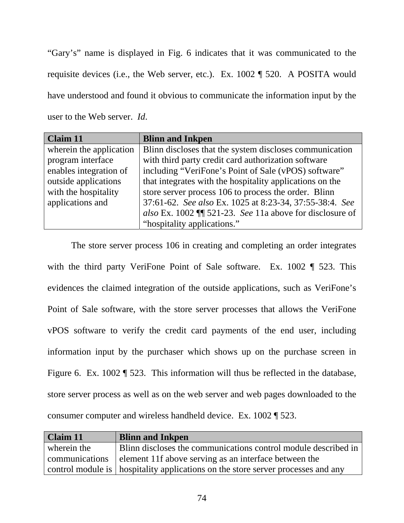"Gary's" name is displayed in Fig. 6 indicates that it was communicated to the requisite devices (i.e., the Web server, etc.). Ex. 1002 ¶ 520. A POSITA would have understood and found it obvious to communicate the information input by the user to the Web server. *Id*.

| <b>Claim 11</b>         | <b>Blinn and Inkpen</b>                                    |
|-------------------------|------------------------------------------------------------|
| wherein the application | Blinn discloses that the system discloses communication    |
| program interface       | with third party credit card authorization software        |
| enables integration of  | including "VeriFone's Point of Sale (vPOS) software"       |
| outside applications    | that integrates with the hospitality applications on the   |
| with the hospitality    | store server process 106 to process the order. Blinn       |
| applications and        | 37:61-62. See also Ex. 1025 at 8:23-34, 37:55-38:4. See    |
|                         | also Ex. 1002 $\P$ 521-23. See 11a above for disclosure of |
|                         | "hospitality applications."                                |

The store server process 106 in creating and completing an order integrates with the third party VeriFone Point of Sale software. Ex. 1002 ¶ 523. This evidences the claimed integration of the outside applications, such as VeriFone's Point of Sale software, with the store server processes that allows the VeriFone vPOS software to verify the credit card payments of the end user, including information input by the purchaser which shows up on the purchase screen in Figure 6. Ex. 1002 ¶ 523. This information will thus be reflected in the database, store server process as well as on the web server and web pages downloaded to the consumer computer and wireless handheld device. Ex. 1002 ¶ 523.

| <b>Claim 11</b> | <b>Blinn and Inkpen</b>                                                            |
|-----------------|------------------------------------------------------------------------------------|
| wherein the     | Blinn discloses the communications control module described in                     |
|                 | communications element 11f above serving as an interface between the               |
|                 | control module is   hospitality applications on the store server processes and any |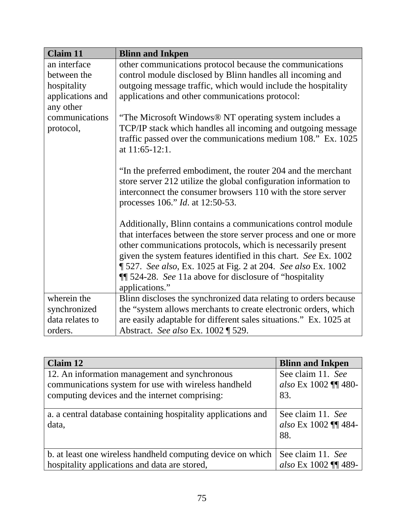| <b>Claim 11</b>  | <b>Blinn and Inkpen</b>                                           |
|------------------|-------------------------------------------------------------------|
| an interface     | other communications protocol because the communications          |
| between the      | control module disclosed by Blinn handles all incoming and        |
| hospitality      | outgoing message traffic, which would include the hospitality     |
| applications and | applications and other communications protocol:                   |
| any other        |                                                                   |
| communications   | "The Microsoft Windows® NT operating system includes a            |
| protocol,        | TCP/IP stack which handles all incoming and outgoing message      |
|                  | traffic passed over the communications medium 108." Ex. 1025      |
|                  | at 11:65-12:1.                                                    |
|                  |                                                                   |
|                  | "In the preferred embodiment, the router 204 and the merchant     |
|                  | store server 212 utilize the global configuration information to  |
|                  | interconnect the consumer browsers 110 with the store server      |
|                  | processes 106." <i>Id.</i> at 12:50-53.                           |
|                  | Additionally, Blinn contains a communications control module      |
|                  | that interfaces between the store server process and one or more  |
|                  | other communications protocols, which is necessarily present      |
|                  | given the system features identified in this chart. See Ex. 1002  |
|                  | ¶ 527. See also, Ex. 1025 at Fig. 2 at 204. See also Ex. 1002     |
|                  | <b>II</b> 524-28. See 11a above for disclosure of "hospitality"   |
|                  | applications."                                                    |
| wherein the      | Blinn discloses the synchronized data relating to orders because  |
| synchronized     | the "system allows merchants to create electronic orders, which   |
| data relates to  | are easily adaptable for different sales situations." Ex. 1025 at |
| orders.          | Abstract. See also Ex. 1002   529.                                |

| Claim 12                                                               | <b>Blinn and Inkpen</b>                          |
|------------------------------------------------------------------------|--------------------------------------------------|
| 12. An information management and synchronous                          | See claim 11. See                                |
| communications system for use with wireless handheld                   | also Ex 1002 ¶¶ 480-                             |
| computing devices and the internet comprising:                         | 83.                                              |
| a. a central database containing hospitality applications and<br>data, | See claim 11. See<br>also Ex 1002 ¶¶ 484-<br>88. |
| b. at least one wireless handheld computing device on which            | See claim 11. See                                |
| hospitality applications and data are stored,                          | also Ex 1002 ¶¶ 489-                             |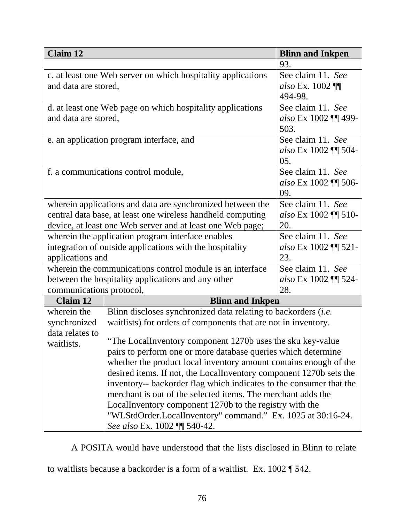| <b>Claim 12</b>                                              |                                                                                                                                     | <b>Blinn and Inkpen</b> |  |
|--------------------------------------------------------------|-------------------------------------------------------------------------------------------------------------------------------------|-------------------------|--|
|                                                              |                                                                                                                                     | 93.                     |  |
| c. at least one Web server on which hospitality applications |                                                                                                                                     | See claim 11. See       |  |
| and data are stored,                                         |                                                                                                                                     | also Ex. $1002$ ¶       |  |
|                                                              |                                                                                                                                     | 494-98.                 |  |
|                                                              | d. at least one Web page on which hospitality applications                                                                          | See claim 11. See       |  |
| and data are stored,                                         |                                                                                                                                     | also Ex 1002 ¶¶ 499-    |  |
|                                                              |                                                                                                                                     | 503.                    |  |
|                                                              | e. an application program interface, and                                                                                            | See claim 11. See       |  |
|                                                              |                                                                                                                                     | also Ex 1002 ¶¶ 504-    |  |
|                                                              |                                                                                                                                     | 05.                     |  |
|                                                              | f. a communications control module,                                                                                                 | See claim 11. See       |  |
|                                                              |                                                                                                                                     | also Ex 1002 11 506-    |  |
|                                                              | 09.                                                                                                                                 |                         |  |
|                                                              | wherein applications and data are synchronized between the                                                                          | See claim 11. See       |  |
| central data base, at least one wireless handheld computing  |                                                                                                                                     | also Ex 1002 ¶¶ 510-    |  |
| device, at least one Web server and at least one Web page;   |                                                                                                                                     | 20.                     |  |
| wherein the application program interface enables            |                                                                                                                                     | See claim 11. See       |  |
| integration of outside applications with the hospitality     |                                                                                                                                     | also Ex 1002 ¶¶ 521-    |  |
| applications and                                             |                                                                                                                                     | 23.                     |  |
| wherein the communications control module is an interface    |                                                                                                                                     | See claim 11. See       |  |
| between the hospitality applications and any other           |                                                                                                                                     | also Ex 1002 ¶¶ 524-    |  |
| 28.<br>communications protocol,                              |                                                                                                                                     |                         |  |
| <b>Claim 12</b>                                              | <b>Blinn and Inkpen</b>                                                                                                             |                         |  |
| wherein the                                                  | Blinn discloses synchronized data relating to backorders (i.e.                                                                      |                         |  |
| synchronized                                                 | waitlists) for orders of components that are not in inventory.                                                                      |                         |  |
| data relates to                                              |                                                                                                                                     |                         |  |
| waitlists.                                                   | "The LocalInventory component 1270b uses the sku key-value                                                                          |                         |  |
|                                                              | pairs to perform one or more database queries which determine                                                                       |                         |  |
|                                                              | whether the product local inventory amount contains enough of the                                                                   |                         |  |
|                                                              | desired items. If not, the LocalInventory component 1270b sets the                                                                  |                         |  |
|                                                              | inventory-- backorder flag which indicates to the consumer that the<br>merchant is out of the selected items. The merchant adds the |                         |  |
|                                                              |                                                                                                                                     |                         |  |
|                                                              | LocalInventory component 1270b to the registry with the                                                                             |                         |  |
|                                                              | "WLStdOrder.LocalInventory" command." Ex. 1025 at 30:16-24.                                                                         |                         |  |
|                                                              | See also Ex. 1002 \\ 540-42.                                                                                                        |                         |  |

A POSITA would have understood that the lists disclosed in Blinn to relate

to waitlists because a backorder is a form of a waitlist. Ex. 1002 ¶ 542.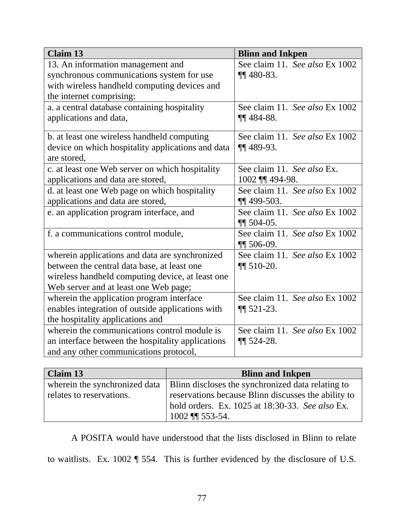| <b>Claim 13</b>                                   | <b>Blinn and Inkpen</b>        |
|---------------------------------------------------|--------------------------------|
| 13. An information management and                 | See claim 11. See also Ex 1002 |
| synchronous communications system for use         | $\P\P$ 480-83.                 |
| with wireless handheld computing devices and      |                                |
| the internet comprising:                          |                                |
| a. a central database containing hospitality      | See claim 11. See also Ex 1002 |
| applications and data,                            | $\P\P$ 484-88.                 |
|                                                   |                                |
| b. at least one wireless handheld computing       | See claim 11. See also Ex 1002 |
| device on which hospitality applications and data | $\P\P$ 489-93.                 |
| are stored,                                       |                                |
| c. at least one Web server on which hospitality   | See claim 11. See also Ex.     |
| applications and data are stored,                 | 1002 ¶¶ 494-98.                |
| d. at least one Web page on which hospitality     | See claim 11. See also Ex 1002 |
| applications and data are stored,                 | $\P$ 499-503.                  |
| e. an application program interface, and          | See claim 11. See also Ex 1002 |
|                                                   | $\P\P$ 504-05.                 |
| f. a communications control module,               | See claim 11. See also Ex 1002 |
|                                                   | $\P\P$ 506-09.                 |
| wherein applications and data are synchronized    | See claim 11. See also Ex 1002 |
| between the central data base, at least one       | $\P\P$ 510-20.                 |
| wireless handheld computing device, at least one  |                                |
| Web server and at least one Web page;             |                                |
| wherein the application program interface         | See claim 11. See also Ex 1002 |
| enables integration of outside applications with  | $\P\P$ 521-23.                 |
| the hospitality applications and                  |                                |
| wherein the communications control module is      | See claim 11. See also Ex 1002 |
| an interface between the hospitality applications | $\P$ 524-28.                   |
| and any other communications protocol,            |                                |

| Claim 13                 | <b>Blinn and Inkpen</b>                                                           |
|--------------------------|-----------------------------------------------------------------------------------|
|                          | wherein the synchronized data   Blinn discloses the synchronized data relating to |
| relates to reservations. | reservations because Blinn discusses the ability to                               |
|                          | hold orders. Ex. 1025 at 18:30-33. See also Ex.                                   |
|                          | $1002$ ¶ 553-54.                                                                  |

A POSITA would have understood that the lists disclosed in Blinn to relate

to waitlists. Ex. 1002 ¶ 554. This is further evidenced by the disclosure of U.S.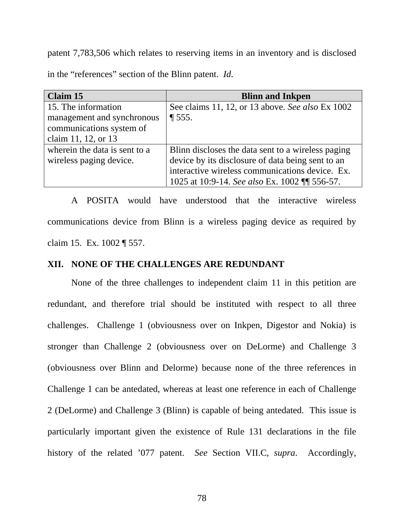patent 7,783,506 which relates to reserving items in an inventory and is disclosed in the "references" section of the Blinn patent. *Id*.

| Claim 15                      | <b>Blinn and Inkpen</b>                            |
|-------------------------------|----------------------------------------------------|
| 15. The information           | See claims 11, 12, or 13 above. See also Ex 1002   |
| management and synchronous    | $\P 555.$                                          |
| communications system of      |                                                    |
| claim 11, 12, or 13           |                                                    |
| wherein the data is sent to a | Blinn discloses the data sent to a wireless paging |
| wireless paging device.       | device by its disclosure of data being sent to an  |
|                               | interactive wireless communications device. Ex.    |
|                               | 1025 at 10:9-14. See also Ex. 1002 ¶ 556-57.       |

A POSITA would have understood that the interactive wireless communications device from Blinn is a wireless paging device as required by claim 15. Ex. 1002 ¶ 557.

## **XII. NONE OF THE CHALLENGES ARE REDUNDANT**

None of the three challenges to independent claim 11 in this petition are redundant, and therefore trial should be instituted with respect to all three challenges. Challenge 1 (obviousness over on Inkpen, Digestor and Nokia) is stronger than Challenge 2 (obviousness over on DeLorme) and Challenge 3 (obviousness over Blinn and Delorme) because none of the three references in Challenge 1 can be antedated, whereas at least one reference in each of Challenge 2 (DeLorme) and Challenge 3 (Blinn) is capable of being antedated. This issue is particularly important given the existence of Rule 131 declarations in the file history of the related '077 patent. *See* Section VII.C, *supra*. Accordingly,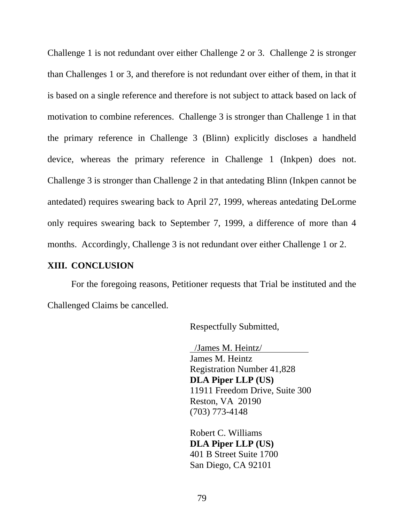Challenge 1 is not redundant over either Challenge 2 or 3. Challenge 2 is stronger than Challenges 1 or 3, and therefore is not redundant over either of them, in that it is based on a single reference and therefore is not subject to attack based on lack of motivation to combine references. Challenge 3 is stronger than Challenge 1 in that the primary reference in Challenge 3 (Blinn) explicitly discloses a handheld device, whereas the primary reference in Challenge 1 (Inkpen) does not. Challenge 3 is stronger than Challenge 2 in that antedating Blinn (Inkpen cannot be antedated) requires swearing back to April 27, 1999, whereas antedating DeLorme only requires swearing back to September 7, 1999, a difference of more than 4 months. Accordingly, Challenge 3 is not redundant over either Challenge 1 or 2.

## **XIII. CONCLUSION**

 For the foregoing reasons, Petitioner requests that Trial be instituted and the Challenged Claims be cancelled.

Respectfully Submitted,

 /James M. Heintz/ James M. Heintz Registration Number 41,828 **DLA Piper LLP (US)**  11911 Freedom Drive, Suite 300 Reston, VA 20190 (703) 773-4148

Robert C. Williams **DLA Piper LLP (US)**  401 B Street Suite 1700 San Diego, CA 92101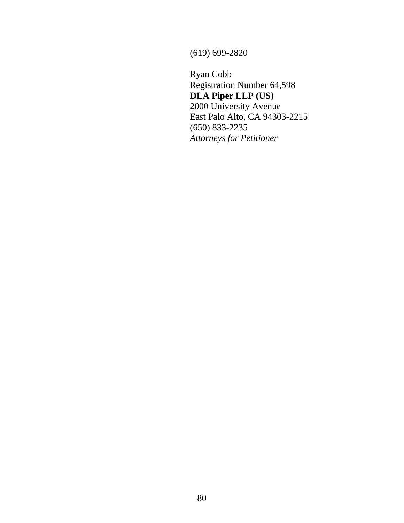(619) 699-2820

Ryan Cobb Registration Number 64,598 **DLA Piper LLP (US)**  2000 University Avenue East Palo Alto, CA 94303-2215 (650) 833-2235 *Attorneys for Petitioner*